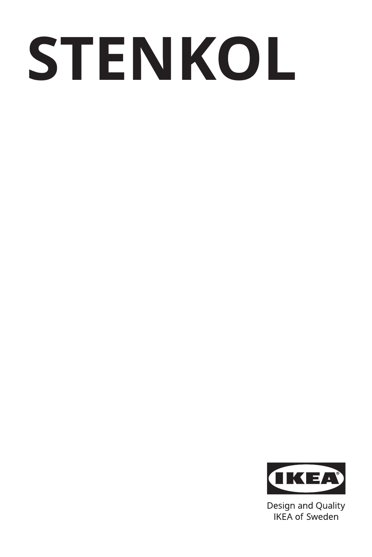# **STENKOL**



Design and Quality IKEA of Sweden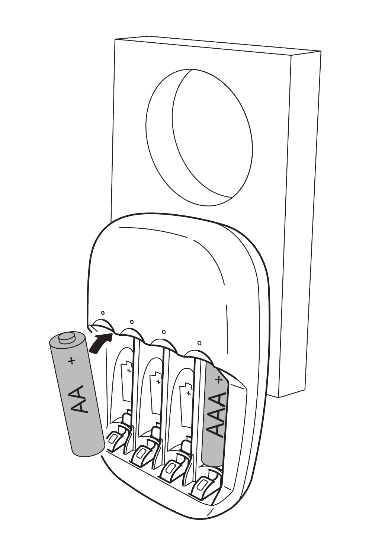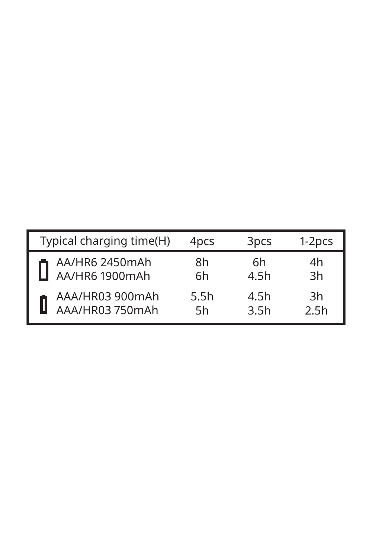| Typical charging time(H) | 4 <sub>DCS</sub> | 3pcs | 1-2pcs |
|--------------------------|------------------|------|--------|
| AA/HR6 2450mAh           | 8h               | 6h   | 4h     |
| AA/HR6 1900mAh           | 6h               | 45h  | 3h     |
| AAA/HR03 900mAh          | 5.5h             | 4.5h | 3h     |
| AAA/HR03 750mAh          | 5h               | 35h  | 2.5h   |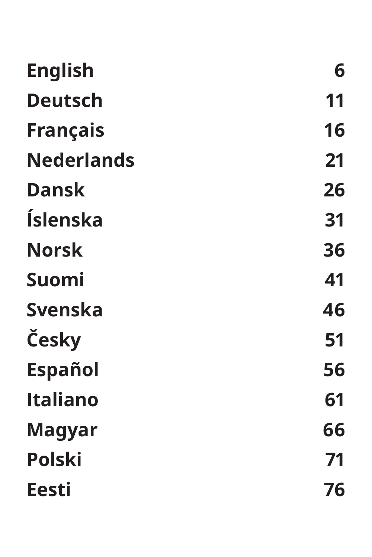| <b>English</b>    | 6  |
|-------------------|----|
| <b>Deutsch</b>    | 11 |
| <b>Français</b>   | 16 |
| <b>Nederlands</b> | 21 |
| <b>Dansk</b>      | 26 |
| Íslenska          | 31 |
| <b>Norsk</b>      | 36 |
| Suomi             | 41 |
| <b>Svenska</b>    | 46 |
| Česky             | 51 |
| <b>Español</b>    | 56 |
| <b>Italiano</b>   | 61 |
| <b>Magyar</b>     | 66 |
| <b>Polski</b>     | 71 |
| Eesti             | 76 |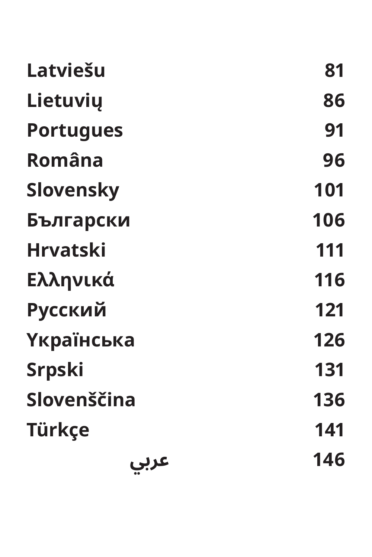| Latviešu         | 81  |
|------------------|-----|
| Lietuvių         | 86  |
| <b>Portugues</b> | 91  |
| Româna           | 96  |
| Slovensky        | 101 |
| Български        | 106 |
| <b>Hrvatski</b>  | 111 |
| Ελληνικά         | 116 |
| <b>Русский</b>   | 121 |
| Үкраїнська       | 126 |
| <b>Srpski</b>    | 131 |
| Slovenščina      | 136 |
| <b>Türkçe</b>    | 141 |
| عربي             | 146 |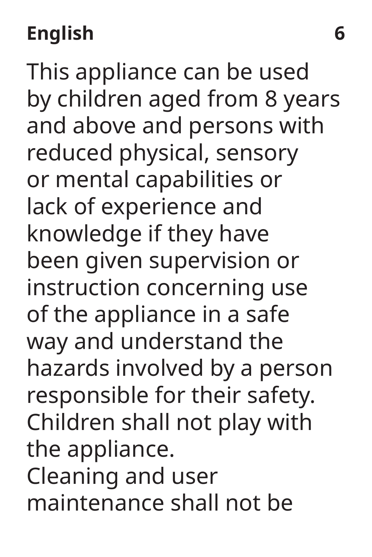## **English 6**

This appliance can be used by children aged from 8 years and above and persons with reduced physical, sensory or mental capabilities or lack of experience and knowledge if they have been given supervision or instruction concerning use of the appliance in a safe way and understand the hazards involved by a person responsible for their safety. Children shall not play with the appliance. Cleaning and user maintenance shall not be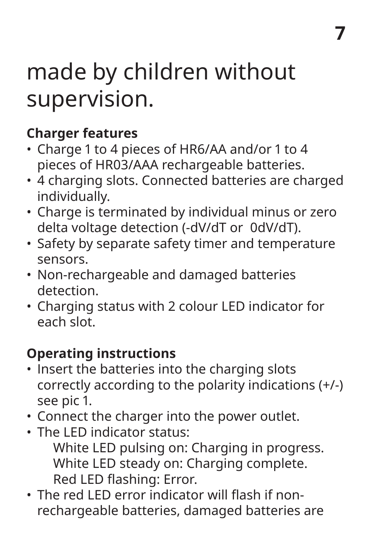# made by children without supervision.

#### **Charger features**

- Charge 1 to 4 pieces of HR6/AA and/or 1 to 4 pieces of HR03/AAA rechargeable batteries.
- 4 charging slots. Connected batteries are charged individually.
- Charge is terminated by individual minus or zero delta voltage detection (-dV/dT or 0dV/dT).
- Safety by separate safety timer and temperature sensors.
- Non-rechargeable and damaged batteries detection.
- Charging status with 2 colour LED indicator for each slot.

#### **Operating instructions**

- Insert the batteries into the charging slots correctly according to the polarity indications (+/-) see pic 1.
- Connect the charger into the power outlet.
- The LED indicator status:

White LED pulsing on: Charging in progress. White LED steady on: Charging complete. Red LED flashing: Error.

• The red LED error indicator will flash if nonrechargeable batteries, damaged batteries are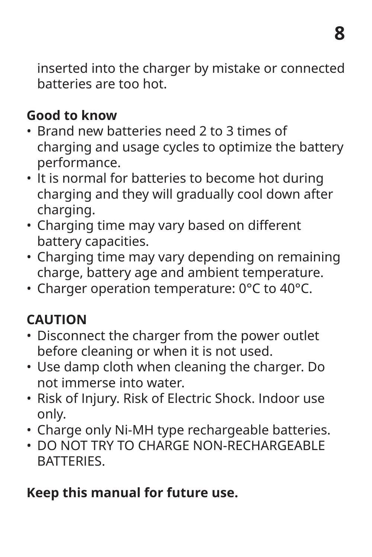inserted into the charger by mistake or connected batteries are too hot.

#### **Good to know**

- Brand new batteries need 2 to 3 times of charging and usage cycles to optimize the battery performance.
- It is normal for batteries to become hot during charging and they will gradually cool down after charging.
- Charging time may vary based on different battery capacities.
- Charging time may vary depending on remaining charge, battery age and ambient temperature.
- Charger operation temperature: 0°C to 40°C.

#### **CAUTION**

- Disconnect the charger from the power outlet before cleaning or when it is not used.
- Use damp cloth when cleaning the charger. Do not immerse into water.
- Risk of Injury. Risk of Electric Shock. Indoor use only.
- Charge only Ni-MH type rechargeable batteries.
- DO NOT TRY TO CHARGE NON-RECHARGEABLE **BATTERIES**

#### **Keep this manual for future use.**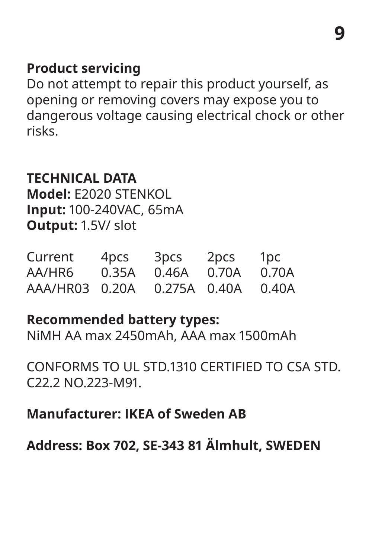#### **Product servicing**

Do not attempt to repair this product yourself, as opening or removing covers may expose you to dangerous voltage causing electrical chock or other ricks

#### **TECHNICAL DATA**

**Model:** E2020 STENKOL **Input:** 100-240VAC, 65mA **Output:** 1.5V/ slot

| Current        | 4pcs  | 3pcs           | 2pcs  | 1pc   |
|----------------|-------|----------------|-------|-------|
| AA/HR6         | 0.35A | 0.46A          | 0.70A | 0.70A |
| AAA/HR03 0.20A |       | $0.275A$ 0.40A |       | 0.40A |

#### **Recommended battery types:** NiMH AA max 2450mAh, AAA max 1500mAh

CONFORMS TO UL STD.1310 CERTIFIED TO CSA STD. C22.2 NO.223-M91.

#### **Manufacturer: IKEA of Sweden AB**

**Address: Box 702, SE-343 81 Älmhult, SWEDEN**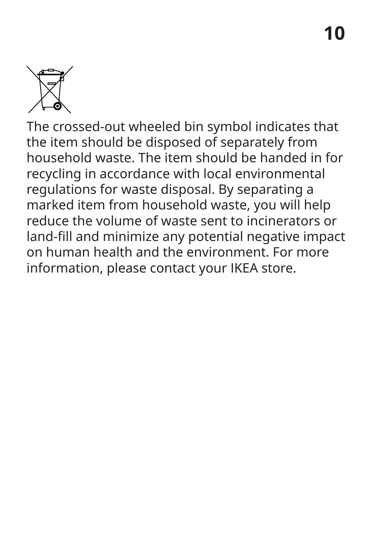

The crossed-out wheeled bin symbol indicates that the item should be disposed of separately from household waste. The item should be handed in for recycling in accordance with local environmental regulations for waste disposal. By separating a marked item from household waste, you will help reduce the volume of waste sent to incinerators or land-fill and minimize any potential negative impact on human health and the environment. For more information, please contact your IKEA store.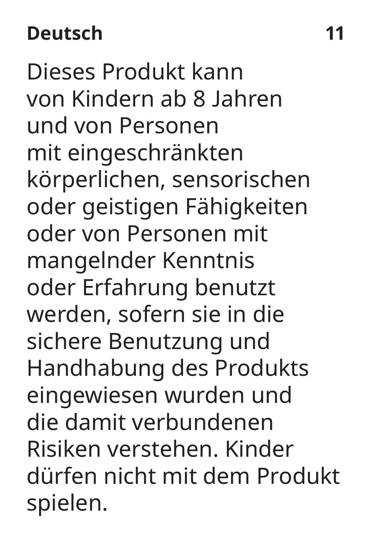### **Deutsch 11**

Dieses Produkt kann von Kindern ab 8 Jahren und von Personen mit eingeschränkten körperlichen, sensorischen oder geistigen Fähigkeiten oder von Personen mit mangelnder Kenntnis oder Erfahrung benutzt werden, sofern sie in die sichere Benutzung und Handhabung des Produkts eingewiesen wurden und die damit verbundenen Risiken verstehen. Kinder dürfen nicht mit dem Produkt spielen.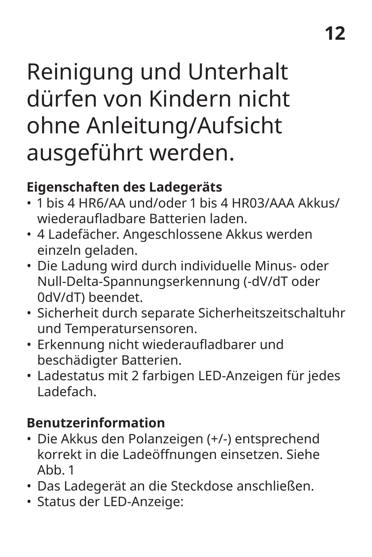# Reinigung und Unterhalt dürfen von Kindern nicht ohne Anleitung/Aufsicht ausgeführt werden.

#### **Eigenschaften des Ladegeräts**

- 1 bis 4 HR6/AA und/oder 1 bis 4 HR03/AAA Akkus/ wiederaufladbare Batterien laden.
- 4 Ladefächer. Angeschlossene Akkus werden einzeln geladen.
- Die Ladung wird durch individuelle Minus- oder Null-Delta-Spannungserkennung (-dV/dT oder 0dV/dT) beendet.
- Sicherheit durch separate Sicherheitszeitschaltuhr und Temperatursensoren.
- Erkennung nicht wiederaufladbarer und beschädigter Batterien.
- Ladestatus mit 2 farbigen LED-Anzeigen für jedes Ladefach.

#### **Benutzerinformation**

- Die Akkus den Polanzeigen (+/-) entsprechend korrekt in die Ladeöffnungen einsetzen. Siehe Ahh. 1
- Das Ladegerät an die Steckdose anschließen.
- Status der LED-Anzeige: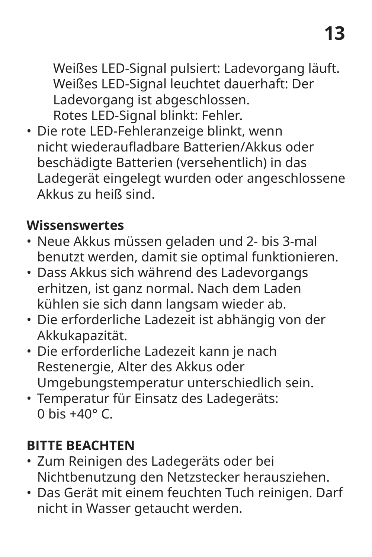Weißes LED-Signal pulsiert: Ladevorgang läuft. Weißes LED-Signal leuchtet dauerhaft: Der Ladevorgang ist abgeschlossen. Rotes LED-Signal blinkt: Fehler.

• Die rote LED-Fehleranzeige blinkt, wenn nicht wiederaufladbare Batterien/Akkus oder beschädigte Batterien (versehentlich) in das Ladegerät eingelegt wurden oder angeschlossene Akkus zu heiß sind.

#### **Wissenswertes**

- Neue Akkus müssen geladen und 2- bis 3-mal benutzt werden, damit sie optimal funktionieren.
- Dass Akkus sich während des Ladevorgangs erhitzen, ist ganz normal. Nach dem Laden kühlen sie sich dann langsam wieder ab.
- Die erforderliche Ladezeit ist abhängig von der Akkukapazität.
- Die erforderliche Ladezeit kann je nach Restenergie, Alter des Akkus oder Umgebungstemperatur unterschiedlich sein.
- Temperatur für Einsatz des Ladegeräts: 0 bis  $+40^\circ$  C.

#### **BITTE BEACHTEN**

- Zum Reinigen des Ladegeräts oder bei Nichtbenutzung den Netzstecker herausziehen.
- Das Gerät mit einem feuchten Tuch reinigen. Darf nicht in Wasser getaucht werden.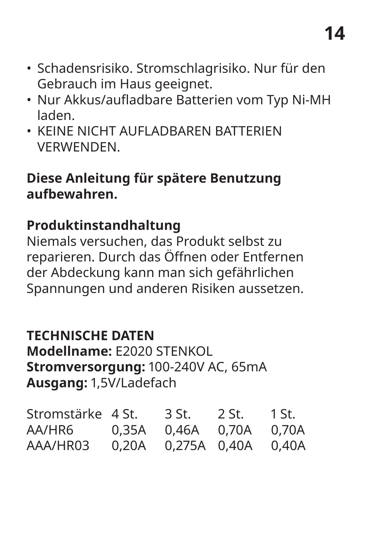- Schadensrisiko. Stromschlagrisiko. Nur für den Gebrauch im Haus geeignet.
- Nur Akkus/aufladbare Batterien vom Typ Ni-MH laden.
- KEINE NICHT AUFLADBAREN BATTERIEN VERWENDEN.

#### **Diese Anleitung für spätere Benutzung aufbewahren.**

#### **Produktinstandhaltung**

Niemals versuchen, das Produkt selbst zu reparieren. Durch das Öffnen oder Entfernen der Abdeckung kann man sich gefährlichen Spannungen und anderen Risiken aussetzen.

#### **TECHNISCHE DATEN**

**Modellname:** E2020 STENKOL **Stromversorgung:** 100-240V AC, 65mA **Ausgang:** 1,5V/Ladefach

| Stromstärke 4 St. |       | 3 St.         | 2 St. | $1$ St. |
|-------------------|-------|---------------|-------|---------|
| AA/HR6            | 0.35A | $0.46A$ 0.70A |       | 0.70A   |
| AAA/HR03          | 0.20A | 0.275A 0.40A  |       | 0.40A   |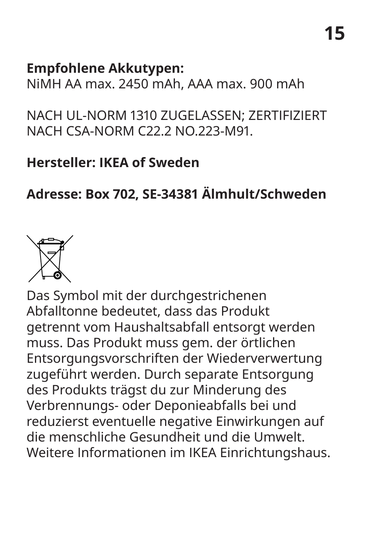#### **Empfohlene Akkutypen:**

NiMH AA max. 2450 mAh, AAA max. 900 mAh

NACH UL-NORM 1310 ZUGELASSEN; ZERTIFIZIERT NACH CSA-NORM C22.2 NO.223-M91

#### **Hersteller: IKEA of Sweden**

#### **Adresse: Box 702, SE-34381 Älmhult/Schweden**



Das Symbol mit der durchgestrichenen Abfalltonne bedeutet, dass das Produkt getrennt vom Haushaltsabfall entsorgt werden muss. Das Produkt muss gem. der örtlichen Entsorgungsvorschriften der Wiederverwertung zugeführt werden. Durch separate Entsorgung des Produkts trägst du zur Minderung des Verbrennungs- oder Deponieabfalls bei und reduzierst eventuelle negative Einwirkungen auf die menschliche Gesundheit und die Umwelt. Weitere Informationen im IKEA Einrichtungshaus.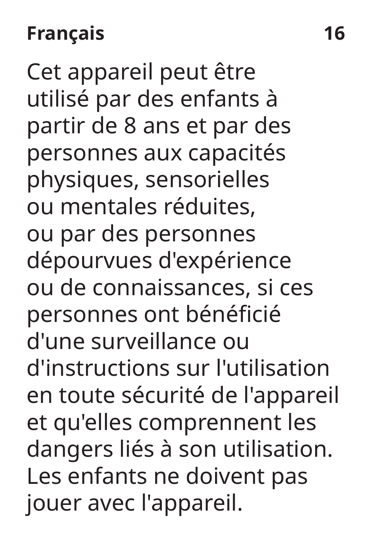## **Français 16**

Cet appareil peut être utilisé par des enfants à partir de 8 ans et par des personnes aux capacités physiques, sensorielles ou mentales réduites, ou par des personnes dépourvues d'expérience ou de connaissances, si ces personnes ont bénéficié d'une surveillance ou d'instructions sur l'utilisation en toute sécurité de l'appareil et qu'elles comprennent les dangers liés à son utilisation. Les enfants ne doivent pas jouer avec l'appareil.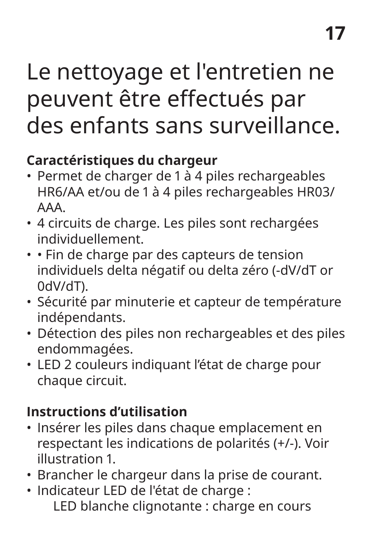# Le nettoyage et l'entretien ne peuvent être effectués par des enfants sans surveillance.

#### **Caractéristiques du chargeur**

- Permet de charger de 1 à 4 piles rechargeables HR6/AA et/ou de 1 à 4 piles rechargeables HR03/ AAA.
- 4 circuits de charge. Les piles sont rechargées individuellement.
- • Fin de charge par des capteurs de tension individuels delta négatif ou delta zéro (-dV/dT or 0dV/dT).
- Sécurité par minuterie et capteur de température indépendants.
- Détection des piles non rechargeables et des piles endommagées.
- LED 2 couleurs indiquant l'état de charge pour chaque circuit.

#### **Instructions d'utilisation**

- Insérer les piles dans chaque emplacement en respectant les indications de polarités (+/-). Voir illustration 1.
- Brancher le chargeur dans la prise de courant.
- Indicateur LED de l'état de charge : LED blanche clignotante : charge en cours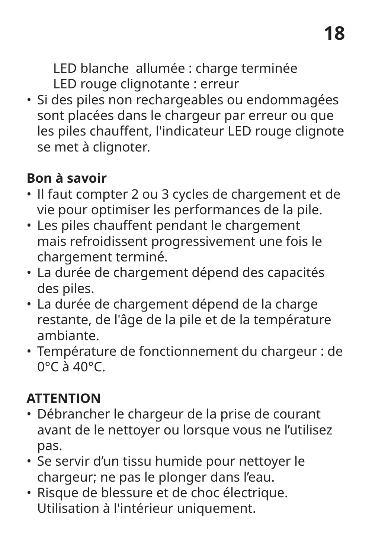LED blanche allumée : charge terminée LED rouge clignotante : erreur

• Si des piles non rechargeables ou endommagées sont placées dans le chargeur par erreur ou que les piles chauffent, l'indicateur LED rouge clignote se met à clignoter.

#### **Bon à savoir**

- Il faut compter 2 ou 3 cycles de chargement et de vie pour optimiser les performances de la pile.
- Les piles chauffent pendant le chargement mais refroidissent progressivement une fois le chargement terminé.
- La durée de chargement dépend des capacités des piles.
- La durée de chargement dépend de la charge restante, de l'âge de la pile et de la température ambiante.
- Température de fonctionnement du chargeur : de  $0°C$  à  $40°C$ .

#### **ATTENTION**

- Débrancher le chargeur de la prise de courant avant de le nettoyer ou lorsque vous ne l'utilisez pas.
- Se servir d'un tissu humide pour nettoyer le chargeur; ne pas le plonger dans l'eau.
- Risque de blessure et de choc électrique. Utilisation à l'intérieur uniquement.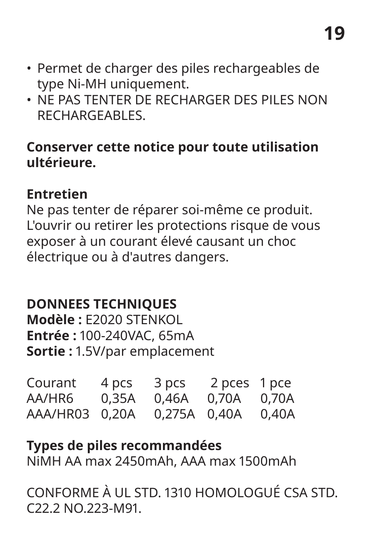- Permet de charger des piles rechargeables de type Ni-MH uniquement.
- NE PAS TENTER DE RECHARGER DES PILES NON RECHARGEABLES.

#### **Conserver cette notice pour toute utilisation ultérieure.**

#### **Entretien**

Ne pas tenter de réparer soi-même ce produit. L'ouvrir ou retirer les protections risque de vous exposer à un courant élevé causant un choc électrique ou à d'autres dangers.

#### **DONNEES TECHNIQUES**

**Modèle :** E2020 STENKOL **Entrée :** 100-240VAC, 65mA **Sortie :** 1.5V/par emplacement

| Courant        | 4 pcs | 3 pcs        | 2 pces 1 pce |       |
|----------------|-------|--------------|--------------|-------|
| AA/HR6         | 0.35A | 0.46A        | 0.70A        | 0.70A |
| AAA/HR03 0.20A |       | 0.275A 0.40A |              | 0.40A |

#### **Types de piles recommandées**

NiMH AA max 2450mAh, AAA max 1500mAh

CONFORME À UL STD. 1310 HOMOLOGUÉ CSA STD. C22.2 NO.223-M91.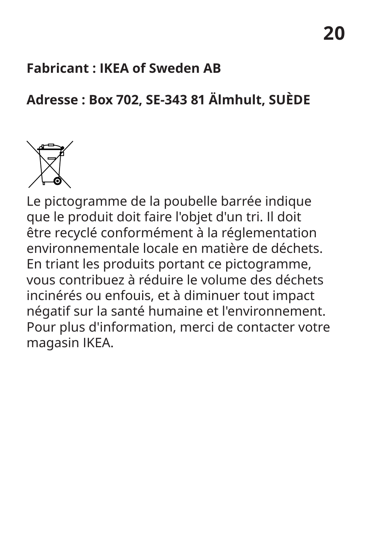#### **Fabricant : IKEA of Sweden AB**

#### **Adresse : Box 702, SE-343 81 Älmhult, SUÈDE**



Le pictogramme de la poubelle barrée indique que le produit doit faire l'objet d'un tri. Il doit être recyclé conformément à la réglementation environnementale locale en matière de déchets. En triant les produits portant ce pictogramme, vous contribuez à réduire le volume des déchets incinérés ou enfouis, et à diminuer tout impact négatif sur la santé humaine et l'environnement. Pour plus d'information, merci de contacter votre magasin IKEA.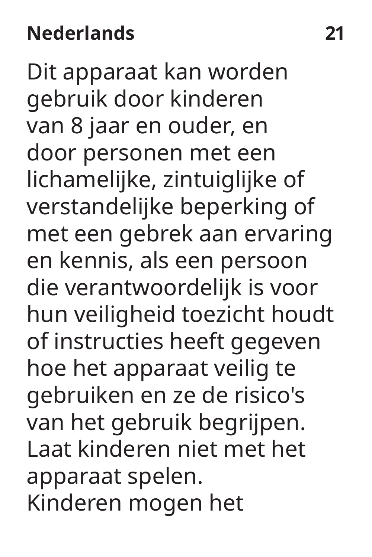Dit apparaat kan worden gebruik door kinderen van 8 jaar en ouder, en door personen met een lichamelijke, zintuiglijke of verstandelijke beperking of met een gebrek aan ervaring en kennis, als een persoon die verantwoordelijk is voor hun veiligheid toezicht houdt of instructies heeft gegeven hoe het apparaat veilig te gebruiken en ze de risico's van het gebruik begrijpen. Laat kinderen niet met het apparaat spelen. Kinderen mogen het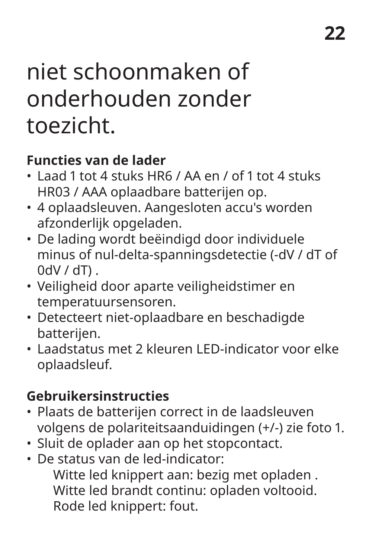# niet schoonmaken of onderhouden zonder toezicht.

#### **Functies van de lader**

- Laad 1 tot 4 stuks HR6 / AA en / of 1 tot 4 stuks HR03 / AAA oplaadbare batterijen op.
- 4 oplaadsleuven. Aangesloten accu's worden afzonderlijk opgeladen.
- De lading wordt beëindigd door individuele minus of nul-delta-spanningsdetectie (-dV / dT of  $0dV / dT$ ).
- Veiligheid door aparte veiligheidstimer en temperatuursensoren.
- Detecteert niet-oplaadbare en beschadigde batterijen.
- Laadstatus met 2 kleuren LED-indicator voor elke oplaadsleuf.

#### **Gebruikersinstructies**

- Plaats de batterijen correct in de laadsleuven volgens de polariteitsaanduidingen (+/-) zie foto 1.
- Sluit de oplader aan op het stopcontact.
- De status van de led-indicator: Witte led knippert aan: bezig met opladen . Witte led brandt continu: opladen voltooid. Rode led knippert: fout.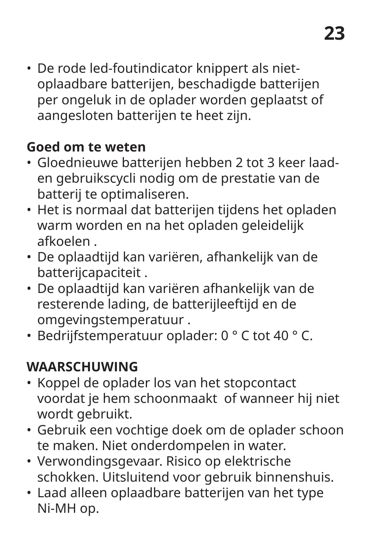• De rode led-foutindicator knippert als nietoplaadbare batterijen, beschadigde batterijen per ongeluk in de oplader worden geplaatst of aangesloten batterijen te heet zijn.

#### **Goed om te weten**

- Gloednieuwe batterijen hebben 2 tot 3 keer laaden gebruikscycli nodig om de prestatie van de batterij te optimaliseren.
- Het is normaal dat batterijen tijdens het opladen warm worden en na het opladen geleidelijk afkoelen .
- De oplaadtijd kan variëren, afhankelijk van de batteriicapaciteit.
- De oplaadtijd kan variëren afhankelijk van de resterende lading, de batterijleeftijd en de omgevingstemperatuur .
- Bedrijfstemperatuur oplader: 0 ° C tot 40 ° C.

#### **WAARSCHUWING**

- Koppel de oplader los van het stopcontact voordat je hem schoonmaakt of wanneer hij niet wordt gebruikt.
- Gebruik een vochtige doek om de oplader schoon te maken. Niet onderdompelen in water.
- Verwondingsgevaar. Risico op elektrische schokken. Uitsluitend voor gebruik binnenshuis.
- Laad alleen oplaadbare batterijen van het type Ni-MH op.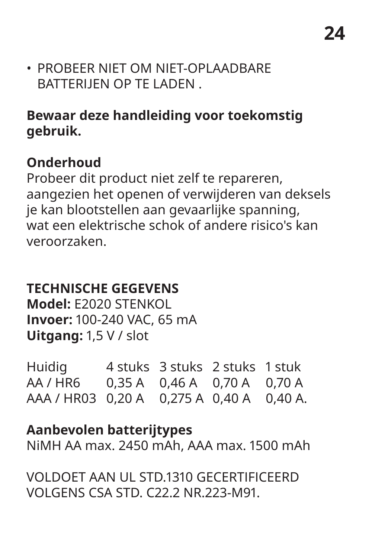• PROBEER NIET OM NIET-OPLAADBARE BATTERIJEN OP TE LADEN .

#### **Bewaar deze handleiding voor toekomstig gebruik.**

#### **Onderhoud**

Probeer dit product niet zelf te repareren, aangezien het openen of verwijderen van deksels je kan blootstellen aan gevaarlijke spanning, wat een elektrische schok of andere risico's kan veroorzaken.

#### **TECHNISCHE GEGEVENS**

**Model:** E2020 STENKOL **Invoer:** 100-240 VAC, 65 mA **Uitgang:** 1,5 V / slot

| Huidig                                   | 4 stuks 3 stuks 2 stuks 1 stuk      |  |
|------------------------------------------|-------------------------------------|--|
| AA / HR6                                 | $0.35 A$ $0.46 A$ $0.70 A$ $0.70 A$ |  |
| AAA / HR03 0,20 A 0,275 A 0,40 A 0,40 A. |                                     |  |

#### **Aanbevolen batterijtypes**

NiMH AA max. 2450 mAh, AAA max. 1500 mAh

VOLDOET AAN UL STD.1310 GECERTIFICEERD VOLGENS CSA STD. C22.2 NR.223-M91.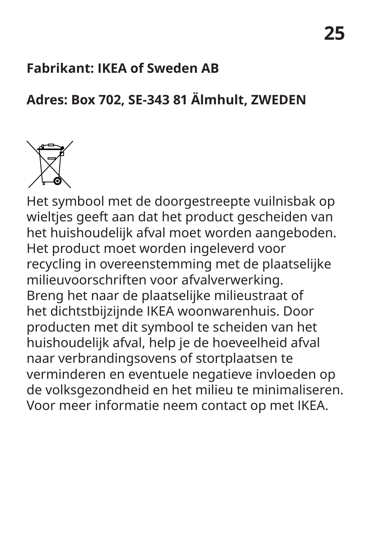#### **Fabrikant: IKEA of Sweden AB**

#### **Adres: Box 702, SE-343 81 Älmhult, ZWEDEN**



Het symbool met de doorgestreepte vuilnisbak op wieltjes geeft aan dat het product gescheiden van het huishoudelijk afval moet worden aangeboden. Het product moet worden ingeleverd voor recycling in overeenstemming met de plaatselijke milieuvoorschriften voor afvalverwerking. Breng het naar de plaatselijke milieustraat of het dichtstbijzijnde IKEA woonwarenhuis. Door producten met dit symbool te scheiden van het huishoudelijk afval, help je de hoeveelheid afval naar verbrandingsovens of stortplaatsen te verminderen en eventuele negatieve invloeden op de volksgezondheid en het milieu te minimaliseren. Voor meer informatie neem contact op met IKEA.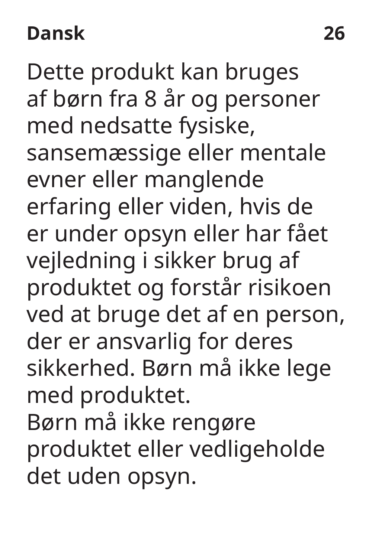## **Dansk 26**

Dette produkt kan bruges af børn fra 8 år og personer med nedsatte fysiske, sansemæssige eller mentale evner eller manglende erfaring eller viden, hvis de er under opsyn eller har fået vejledning i sikker brug af produktet og forstår risikoen ved at bruge det af en person, der er ansvarlig for deres sikkerhed. Børn må ikke lege med produktet. Børn må ikke rengøre produktet eller vedligeholde det uden opsyn.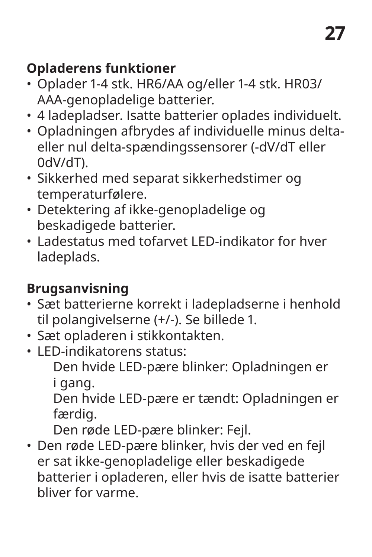#### **Opladerens funktioner**

- Oplader 1-4 stk. HR6/AA og/eller 1-4 stk. HR03/ AAA-genopladelige batterier.
- 4 ladepladser. Isatte batterier oplades individuelt.
- Opladningen afbrydes af individuelle minus deltaeller nul delta-spændingssensorer (-dV/dT eller 0dV/dT).
- Sikkerhed med separat sikkerhedstimer og temperaturfølere.
- Detektering af ikke-genopladelige og beskadigede batterier.
- Ladestatus med tofarvet LED-indikator for hver ladeplads.

#### **Brugsanvisning**

- Sæt batterierne korrekt i ladepladserne i henhold til polangivelserne (+/-). Se billede 1.
- Sæt opladeren i stikkontakten.
- LED-indikatorens status:

Den hvide LED-pære blinker: Opladningen er i gang.

Den hvide LED-pære er tændt: Opladningen er færdig.

Den røde LED-pære blinker: Fejl.

• Den røde LED-pære blinker, hvis der ved en fejl er sat ikke-genopladelige eller beskadigede batterier i opladeren, eller hvis de isatte batterier bliver for varme.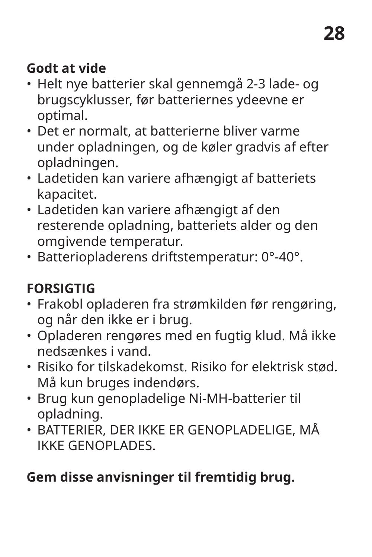#### **Godt at vide**

- Helt nye batterier skal gennemgå 2-3 lade- og brugscyklusser, før batteriernes ydeevne er optimal.
- Det er normalt, at batterierne bliver varme under opladningen, og de køler gradvis af efter opladningen.
- Ladetiden kan variere afhængigt af batteriets kapacitet.
- Ladetiden kan variere afhængigt af den resterende opladning, batteriets alder og den omgivende temperatur.
- Batteriopladerens driftstemperatur: 0°-40°.

#### **FORSIGTIG**

- Frakobl opladeren fra strømkilden før rengøring, og når den ikke er i brug.
- Opladeren rengøres med en fugtig klud. Må ikke nedsænkes i vand.
- Risiko for tilskadekomst. Risiko for elektrisk stød. Må kun bruges indendørs.
- Brug kun genopladelige Ni-MH-batterier til opladning.
- BATTERIER, DER IKKE ER GENOPLADELIGE, MÅ IKKE GENOPLADES.

#### **Gem disse anvisninger til fremtidig brug.**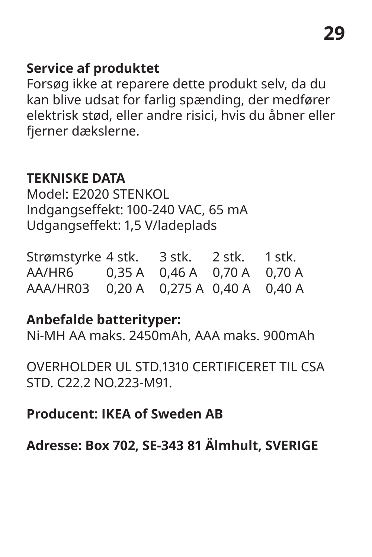#### **Service af produktet**

Forsøg ikke at reparere dette produkt selv, da du kan blive udsat for farlig spænding, der medfører elektrisk stød, eller andre risici, hvis du åbner eller fjerner dækslerne.

#### **TEKNISKE DATA**

Model: E2020 STENKOL Indgangseffekt: 100-240 VAC, 65 mA Udgangseffekt: 1,5 V/ladeplads

Strømstyrke 4 stk. 3 stk. 2 stk. 1 stk. AA/HR6 0,35 A 0,46 A 0,70 A 0,70 A AAA/HR03 0,20 A 0,275 A 0,40 A 0,40 A

#### **Anbefalde batterityper:**

Ni-MH AA maks. 2450mAh, AAA maks. 900mAh

OVERHOLDER UL STD.1310 CERTIFICERET TIL CSA STD. C22.2 NO.223-M91.

**Producent: IKEA of Sweden AB**

**Adresse: Box 702, SE-343 81 Älmhult, SVERIGE**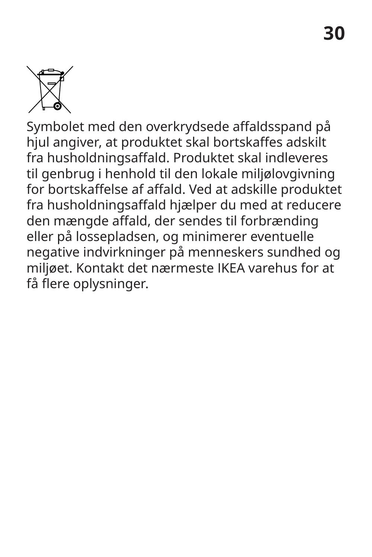

Symbolet med den overkrydsede affaldsspand på hjul angiver, at produktet skal bortskaffes adskilt fra husholdningsaffald. Produktet skal indleveres til genbrug i henhold til den lokale miljølovgivning for bortskaffelse af affald. Ved at adskille produktet fra husholdningsaffald hjælper du med at reducere den mængde affald, der sendes til forbrænding eller på lossepladsen, og minimerer eventuelle negative indvirkninger på menneskers sundhed og miljøet. Kontakt det nærmeste IKEA varehus for at få flere oplysninger.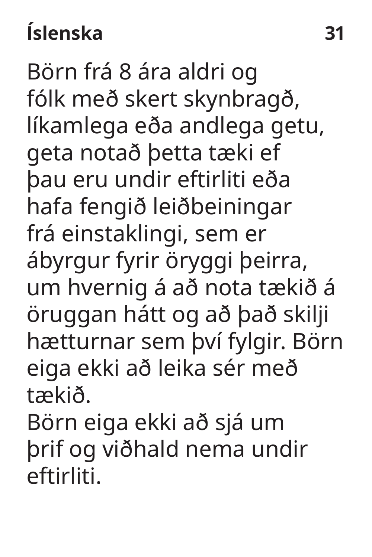## **Íslenska 31**

Börn frá 8 ára aldri og fólk með skert skynbragð, líkamlega eða andlega getu, geta notað þetta tæki ef þau eru undir eftirliti eða hafa fengið leiðbeiningar frá einstaklingi, sem er ábyrgur fyrir öryggi þeirra, um hvernig á að nota tækið á öruggan hátt og að það skilji hætturnar sem því fylgir. Börn eiga ekki að leika sér með tækið. Börn eiga ekki að sjá um

þrif og viðhald nema undir eftirliti.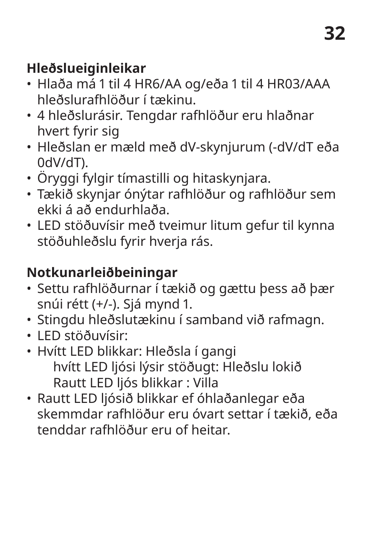#### **Hleðslueiginleikar**

- Hlaða má 1 til 4 HR6/AA og/eða 1 til 4 HR03/AAA hleðslurafhlöður í tækinu.
- 4 hleðslurásir. Tengdar rafhlöður eru hlaðnar hvert fyrir sig
- Hleðslan er mæld með dV-skynjurum (-dV/dT eða 0dV/dT).
- Öryggi fylgir tímastilli og hitaskynjara.
- Tækið skynjar ónýtar rafhlöður og rafhlöður sem ekki á að endurhlaða.
- LED stöðuvísir með tveimur litum gefur til kynna stöðuhleðslu fyrir hverja rás.

#### **Notkunarleiðbeiningar**

- Settu rafhlöðurnar í tækið og gættu þess að þær snúi rétt (+/-). Sjá mynd 1.
- Stingdu hleðslutækinu í samband við rafmagn.
- LED stöðuvísir:
- Hvítt LED blikkar: Hleðsla í gangi hvítt LED ljósi lýsir stöðugt: Hleðslu lokið Rautt LED ljós blikkar : Villa
- Rautt LED ljósið blikkar ef óhlaðanlegar eða skemmdar rafhlöður eru óvart settar í tækið, eða tenddar rafhlöður eru of heitar.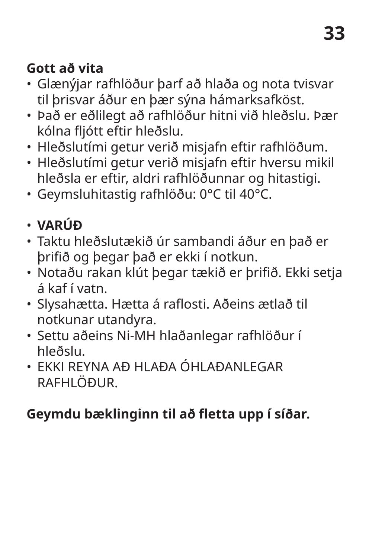#### **Gott að vita**

- Glænýjar rafhlöður þarf að hlaða og nota tvisvar til þrisvar áður en þær sýna hámarksafköst.
- Það er eðlilegt að rafhlöður hitni við hleðslu. Þær kólna fljótt eftir hleðslu.
- Hleðslutími getur verið misjafn eftir rafhlöðum.
- Hleðslutími getur verið misjafn eftir hversu mikil hleðsla er eftir, aldri rafhlöðunnar og hitastigi.
- Geymsluhitastig rafhlöðu: 0°C til 40°C.
- **VARÚÐ**
- Taktu hleðslutækið úr sambandi áður en það er þrifið og þegar það er ekki í notkun.
- Notaðu rakan klút þegar tækið er þrifið. Ekki setja á kaf í vatn.
- Slysahætta. Hætta á raflosti. Aðeins ætlað til notkunar utandyra.
- Settu aðeins Ni-MH hlaðanlegar rafhlöður í hleðslu.
- EKKI REYNA AÐ HLAÐA ÓHLAÐANLEGAR RAFHLÖÐUR.

#### **Geymdu bæklinginn til að fletta upp í síðar.**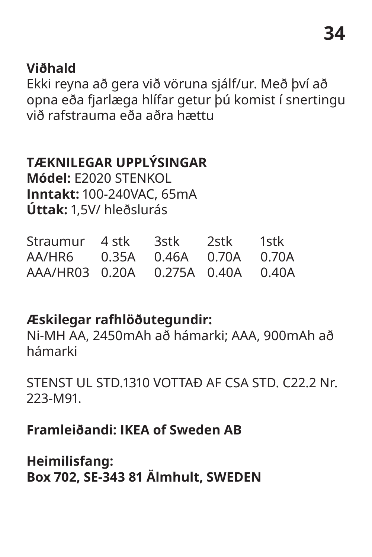#### **Viðhald**

Ekki reyna að gera við vöruna sjálf/ur. Með því að opna eða fjarlæga hlífar getur þú komist í snertingu við rafstrauma eða aðra hættu

#### **TÆKNILEGAR UPPLÝSINGAR**

**Módel:** E2020 STENKOL **Inntakt:** 100-240VAC, 65mA **Úttak:** 1,5V/ hleðslurás

| Straumur       | 4 stk | 3stk         | 2stk  | 1stk  |
|----------------|-------|--------------|-------|-------|
| AA/HR6         | 0.35A | 0.46A        | 0.70A | 0.70A |
| AAA/HR03 0.20A |       | 0.275A 0.40A |       | 0.40A |

#### **Æskilegar rafhlöðutegundir:**

Ni-MH AA, 2450mAh að hámarki; AAA, 900mAh að hámarki

STENST UL STD.1310 VOTTAÐ AF CSA STD. C22.2 Nr. 223-M91.

**Framleiðandi: IKEA of Sweden AB**

**Heimilisfang: Box 702, SE-343 81 Älmhult, SWEDEN**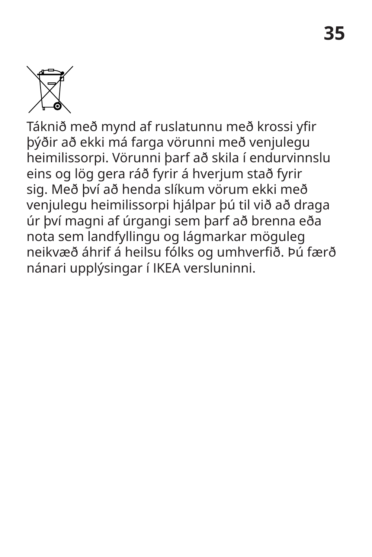

Táknið með mynd af ruslatunnu með krossi yfir þýðir að ekki má farga vörunni með venjulegu heimilissorpi. Vörunni þarf að skila í endurvinnslu eins og lög gera ráð fyrir á hverjum stað fyrir sig. Með því að henda slíkum vörum ekki með venjulegu heimilissorpi hjálpar þú til við að draga úr því magni af úrgangi sem þarf að brenna eða nota sem landfyllingu og lágmarkar möguleg neikvæð áhrif á heilsu fólks og umhverfið. Þú færð nánari upplýsingar í IKEA versluninni.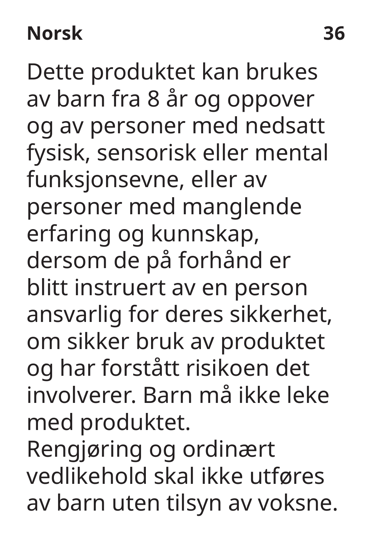## **Norsk 36**

Dette produktet kan brukes av barn fra 8 år og oppover og av personer med nedsatt fysisk, sensorisk eller mental funksjonsevne, eller av personer med manglende erfaring og kunnskap, dersom de på forhånd er blitt instruert av en person ansvarlig for deres sikkerhet, om sikker bruk av produktet og har forstått risikoen det involverer. Barn må ikke leke med produktet.

Rengjøring og ordinært vedlikehold skal ikke utføres av barn uten tilsyn av voksne.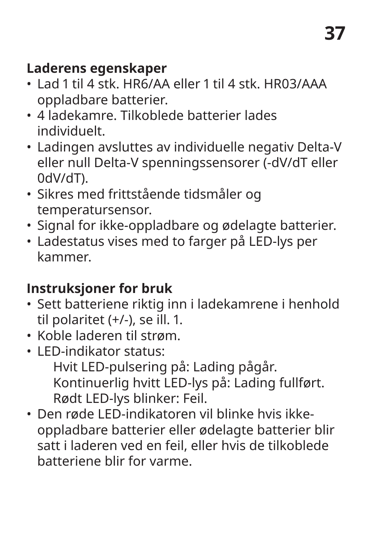# **37**

## **Laderens egenskaper**

- Lad 1 til 4 stk. HR6/AA eller 1 til 4 stk. HR03/AAA oppladbare batterier.
- 4 ladekamre. Tilkoblede batterier lades individuelt.
- Ladingen avsluttes av individuelle negativ Delta-V eller null Delta-V spenningssensorer (-dV/dT eller 0dV/dT).
- Sikres med frittstående tidsmåler og temperatursensor.
- Signal for ikke-oppladbare og ødelagte batterier.
- Ladestatus vises med to farger på LED-lys per kammer.

### **Instruksjoner for bruk**

- Sett batteriene riktig inn i ladekamrene i henhold til polaritet (+/-), se ill. 1.
- Koble laderen til strøm.
- LED-indikator status: Hvit LED-pulsering på: Lading pågår. Kontinuerlig hvitt LED-lys på: Lading fullført. Rødt LED-lys blinker: Feil.
- Den røde LED-indikatoren vil blinke hvis ikkeoppladbare batterier eller ødelagte batterier blir satt i laderen ved en feil, eller hvis de tilkoblede batteriene blir for varme.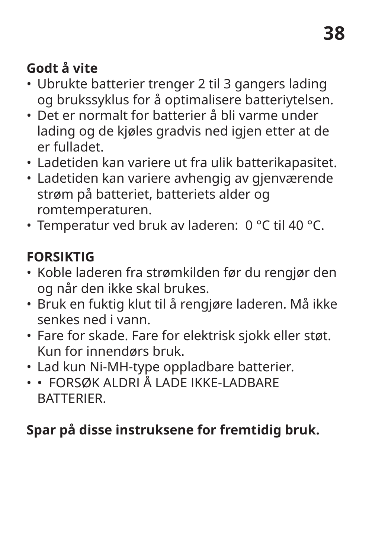# **Godt å vite**

- Ubrukte batterier trenger 2 til 3 gangers lading og brukssyklus for å optimalisere batteriytelsen.
- Det er normalt for batterier å bli varme under lading og de kjøles gradvis ned igjen etter at de er fulladet.
- Ladetiden kan variere ut fra ulik batterikapasitet.
- Ladetiden kan variere avhengig av gjenværende strøm på batteriet, batteriets alder og romtemperaturen.
- Temperatur ved bruk av laderen: 0 °C til 40 °C.

# **FORSIKTIG**

- Koble laderen fra strømkilden før du rengjør den og når den ikke skal brukes.
- Bruk en fuktig klut til å rengjøre laderen. Må ikke senkes ned i vann.
- Fare for skade. Fare for elektrisk sjokk eller støt. Kun for innendørs bruk.
- Lad kun Ni-MH-type oppladbare batterier.
- • FORSØK ALDRI Å LADE IKKE-LADBARE **BATTERIER**

## **Spar på disse instruksene for fremtidig bruk.**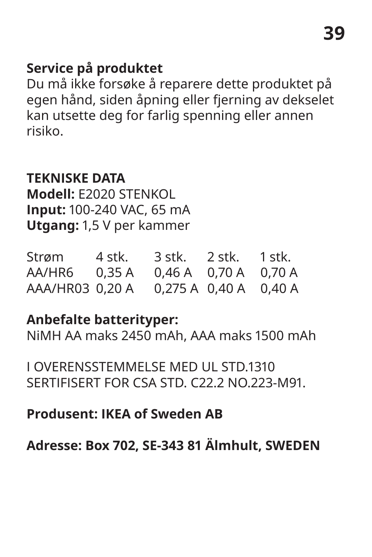### **Service på produktet**

Du må ikke forsøke å reparere dette produktet på egen hånd, siden åpning eller fjerning av dekselet kan utsette deg for farlig spenning eller annen risiko.

### **TEKNISKE DATA**

**Modell:** E2020 STENKOL **Input:** 100-240 VAC, 65 mA **Utgang:** 1,5 V per kammer

| Strøm           | 4 stk. | 3 stk.         | 2 stk.                  | 1 stk. |
|-----------------|--------|----------------|-------------------------|--------|
| AA/HR6          | 0.35A  | $0.46A$ 0.70 A |                         | 0.70 A |
| AAA/HR03 0.20 A |        |                | $0.275 A$ 0.40 A 0.40 A |        |

### **Anbefalte batterityper:**

NiMH AA maks 2450 mAh, AAA maks 1500 mAh

I OVERENSSTEMMELSE MED UL STD.1310 SERTIFISERT FOR CSA STD. C22.2 NO.223-M91.

**Produsent: IKEA of Sweden AB**

**Adresse: Box 702, SE-343 81 Älmhult, SWEDEN**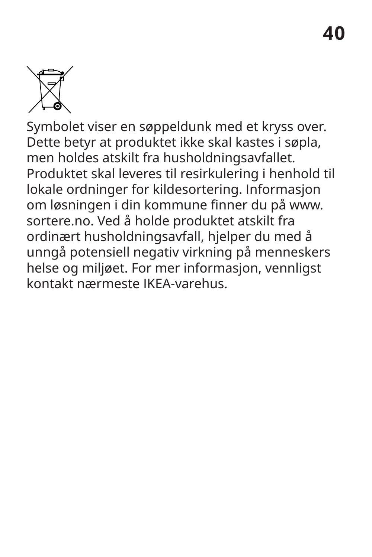

Symbolet viser en søppeldunk med et kryss over. Dette betyr at produktet ikke skal kastes i søpla, men holdes atskilt fra husholdningsavfallet. Produktet skal leveres til resirkulering i henhold til lokale ordninger for kildesortering. Informasjon om løsningen i din kommune finner du på www. sortere.no. Ved å holde produktet atskilt fra ordinært husholdningsavfall, hjelper du med å unngå potensiell negativ virkning på menneskers helse og miljøet. For mer informasjon, vennligst kontakt nærmeste IKEA-varehus.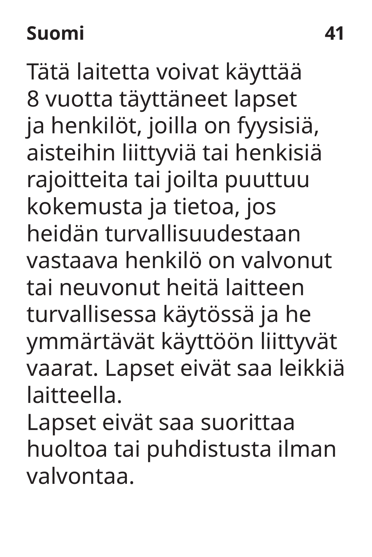# **Suomi 41**

Tätä laitetta voivat käyttää 8 vuotta täyttäneet lapset ja henkilöt, joilla on fyysisiä, aisteihin liittyviä tai henkisiä rajoitteita tai joilta puuttuu kokemusta ja tietoa, jos heidän turvallisuudestaan vastaava henkilö on valvonut tai neuvonut heitä laitteen turvallisessa käytössä ja he ymmärtävät käyttöön liittyvät vaarat. Lapset eivät saa leikkiä laitteella.

Lapset eivät saa suorittaa huoltoa tai puhdistusta ilman valvontaa.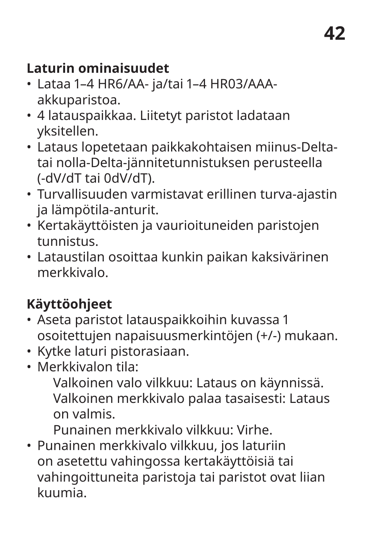# **Laturin ominaisuudet**

- Lataa 1–4 HR6/AA- ja/tai 1–4 HR03/AAAakkuparistoa.
- 4 latauspaikkaa. Liitetyt paristot ladataan yksitellen.
- Lataus lopetetaan paikkakohtaisen miinus-Deltatai nolla-Delta-jännitetunnistuksen perusteella (-dV/dT tai 0dV/dT).
- Turvallisuuden varmistavat erillinen turva-ajastin ja lämpötila-anturit.
- Kertakäyttöisten ja vaurioituneiden paristojen tunnistus.
- Lataustilan osoittaa kunkin paikan kaksivärinen merkkivalo.

# **Käyttöohjeet**

- Aseta paristot latauspaikkoihin kuvassa 1 osoitettujen napaisuusmerkintöjen (+/-) mukaan.
- Kytke laturi pistorasiaan.
- Merkkivalon tila:

Valkoinen valo vilkkuu: Lataus on käynnissä. Valkoinen merkkivalo palaa tasaisesti: Lataus on valmis.

Punainen merkkivalo vilkkuu: Virhe.

• Punainen merkkivalo vilkkuu, jos laturiin on asetettu vahingossa kertakäyttöisiä tai vahingoittuneita paristoja tai paristot ovat liian kuumia.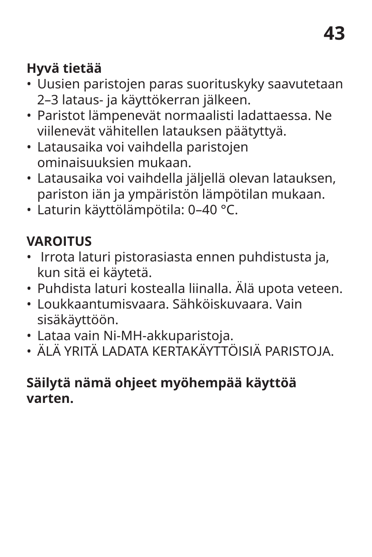# **43**

# **Hyvä tietää**

- Uusien paristojen paras suorituskyky saavutetaan 2–3 lataus- ja käyttökerran jälkeen.
- Paristot lämpenevät normaalisti ladattaessa. Ne viilenevät vähitellen latauksen päätyttyä.
- Latausaika voi vaihdella paristojen ominaisuuksien mukaan.
- Latausaika voi vaihdella jäljellä olevan latauksen, pariston iän ja ympäristön lämpötilan mukaan.
- Laturin käyttölämpötila: 0–40 °C.

# **VAROITUS**

- Irrota laturi pistorasiasta ennen puhdistusta ja, kun sitä ei käytetä.
- Puhdista laturi kostealla liinalla. Älä upota veteen.
- Loukkaantumisvaara. Sähköiskuvaara. Vain sisäkäyttöön.
- Lataa vain Ni-MH-akkuparistoja.
- ÄLÄ YRITÄ LADATA KERTAKÄYTTÖISIÄ PARISTOJA.

### **Säilytä nämä ohjeet myöhempää käyttöä varten.**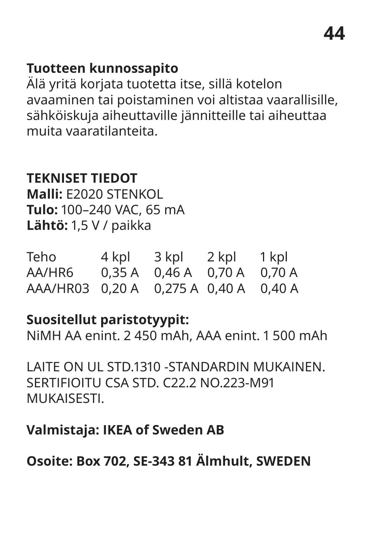### **Tuotteen kunnossapito**

Älä yritä korjata tuotetta itse, sillä kotelon avaaminen tai poistaminen voi altistaa vaarallisille, sähköiskuja aiheuttaville jännitteille tai aiheuttaa muita vaaratilanteita.

### **TEKNISET TIEDOT**

**Malli:** E2020 STENKOL **Tulo:** 100–240 VAC, 65 mA **Lähtö:** 1,5 V / paikka

| Teho            | 4 kpl | 3 kpl           | 2 kpl  | 1 kpl  |
|-----------------|-------|-----------------|--------|--------|
| AA/HR6          | 0.35A | 0.46 A          | 0.70 A | 0.70 A |
| AAA/HR03 0.20 A |       | $0,275A$ 0,40 A |        | 0.40 A |

### **Suositellut paristotyypit:**

NiMH AA enint. 2 450 mAh, AAA enint. 1 500 mAh

LAITE ON UL STD.1310 - STANDARDIN MUKAINEN. SERTIFIOITU CSA STD. C22.2 NO.223-M91 **MUKAISESTI** 

### **Valmistaja: IKEA of Sweden AB**

## **Osoite: Box 702, SE-343 81 Älmhult, SWEDEN**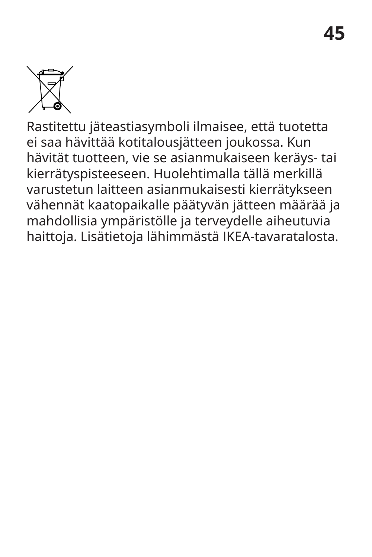

Rastitettu jäteastiasymboli ilmaisee, että tuotetta ei saa hävittää kotitalousjätteen joukossa. Kun hävität tuotteen, vie se asianmukaiseen keräys- tai kierrätyspisteeseen. Huolehtimalla tällä merkillä varustetun laitteen asianmukaisesti kierrätykseen vähennät kaatopaikalle päätyvän jätteen määrää ja mahdollisia ympäristölle ja terveydelle aiheutuvia haittoja. Lisätietoja lähimmästä IKEA-tavaratalosta.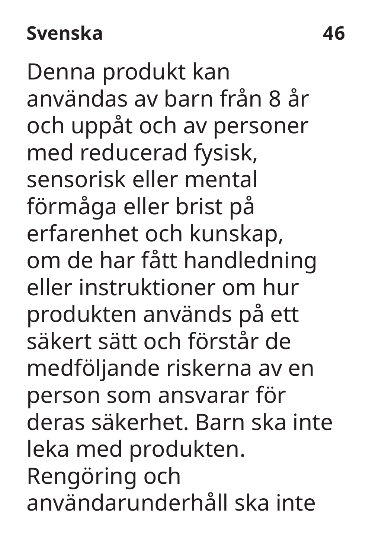# **Svenska 46**

Denna produkt kan användas av barn från 8 år och uppåt och av personer med reducerad fysisk, sensorisk eller mental förmåga eller brist på erfarenhet och kunskap, om de har fått handledning eller instruktioner om hur produkten används på ett säkert sätt och förstår de medföljande riskerna av en person som ansvarar för deras säkerhet. Barn ska inte leka med produkten. Rengöring och användarunderhåll ska inte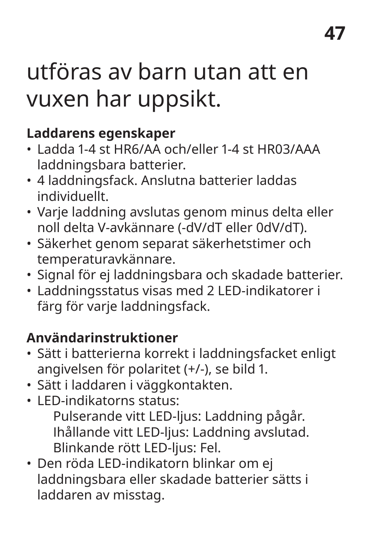# utföras av barn utan att en vuxen har uppsikt.

### **Laddarens egenskaper**

- Ladda 1-4 st HR6/AA och/eller 1-4 st HR03/AAA laddningsbara batterier.
- 4 laddningsfack. Anslutna batterier laddas individuellt.
- Varie laddning avslutas genom minus delta eller noll delta V-avkännare (-dV/dT eller 0dV/dT).
- Säkerhet genom separat säkerhetstimer och temperaturavkännare.
- Signal för ej laddningsbara och skadade batterier.
- Laddningsstatus visas med 2 LED-indikatorer i färg för varje laddningsfack.

### **Användarinstruktioner**

- Sätt i batterierna korrekt i laddningsfacket enligt angivelsen för polaritet (+/-), se bild 1.
- Sätt i laddaren i väggkontakten.
- LED-indikatorns status: Pulserande vitt LED-ljus: Laddning pågår. Ihållande vitt LED-ljus: Laddning avslutad. Blinkande rött LED-ljus: Fel.
- Den röda LED-indikatorn blinkar om ej laddningsbara eller skadade batterier sätts i laddaren av misstag.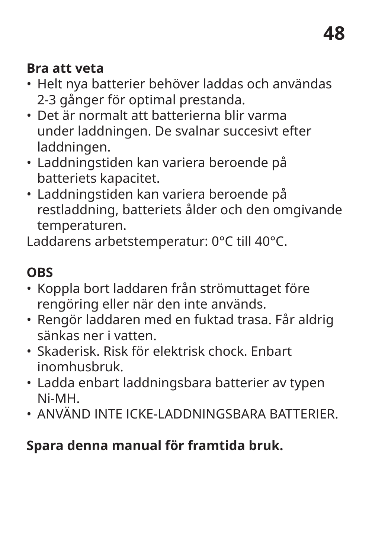### **Bra att veta**

- Helt nya batterier behöver laddas och användas 2-3 gånger för optimal prestanda.
- Det är normalt att batterierna blir varma under laddningen. De svalnar succesivt efter laddningen.
- Laddningstiden kan variera beroende på batteriets kapacitet.
- Laddningstiden kan variera beroende på restladdning, batteriets ålder och den omgivande temperaturen.

Laddarens arbetstemperatur: 0°C till 40°C.

### **OBS**

- Koppla bort laddaren från strömuttaget före rengöring eller när den inte används.
- Rengör laddaren med en fuktad trasa. Får aldrig sänkas ner i vatten.
- Skaderisk. Risk för elektrisk chock. Enbart inomhusbruk.
- Ladda enbart laddningsbara batterier av typen Ni-MH.
- ANVÄND INTE ICKE-LADDNINGSBARA BATTERIER.

## **Spara denna manual för framtida bruk.**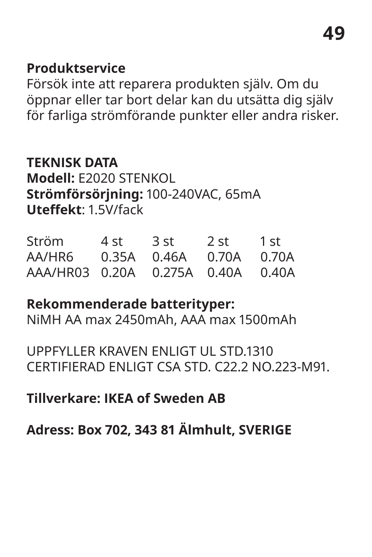### **Produktservice**

Försök inte att reparera produkten själv. Om du öppnar eller tar bort delar kan du utsätta dig själv för farliga strömförande punkter eller andra risker.

### **TEKNISK DATA**

**Modell:** E2020 STENKOL **Strömförsörjning:** 100-240VAC, 65mA **Uteffekt**: 1.5V/fack

| Ström          | 4 st  | 3 st           | 2st   | 1 st  |
|----------------|-------|----------------|-------|-------|
| AA/HR6         | 0.35A | 0.46A          | 0.70A | 0.70A |
| AAA/HR03 0.20A |       | $0.275A$ 0.40A |       | 0.40A |

#### **Rekommenderade batterityper:**

NiMH AA max 2450mAh, AAA max 1500mAh

UPPFYLLER KRAVEN ENLIGT UL STD.1310 CERTIFIERAD ENLIGT CSA STD. C22.2 NO.223-M91.

**Tillverkare: IKEA of Sweden AB**

**Adress: Box 702, 343 81 Älmhult, SVERIGE**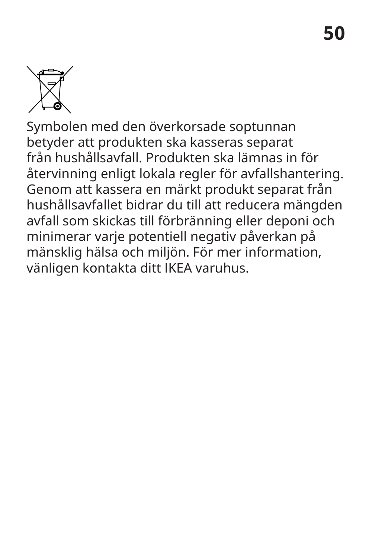

Symbolen med den överkorsade soptunnan betyder att produkten ska kasseras separat från hushållsavfall. Produkten ska lämnas in för återvinning enligt lokala regler för avfallshantering. Genom att kassera en märkt produkt separat från hushållsavfallet bidrar du till att reducera mängden avfall som skickas till förbränning eller deponi och minimerar varje potentiell negativ påverkan på mänsklig hälsa och miljön. För mer information, vänligen kontakta ditt IKEA varuhus.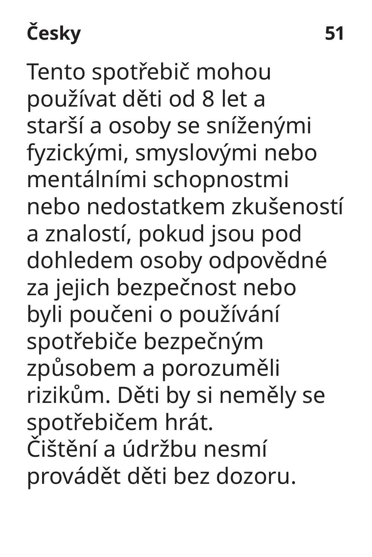# **Česky 51**

Tento spotřebič mohou používat děti od 8 let a starší a osoby se sníženými fyzickými, smyslovými nebo mentálními schopnostmi nebo nedostatkem zkušeností a znalostí, pokud jsou pod dohledem osoby odpovědné za jejich bezpečnost nebo byli poučeni o používání spotřebiče bezpečným způsobem a porozuměli rizikům. Děti by si neměly se spotřebičem hrát. Čištění a údržbu nesmí provádět děti bez dozoru.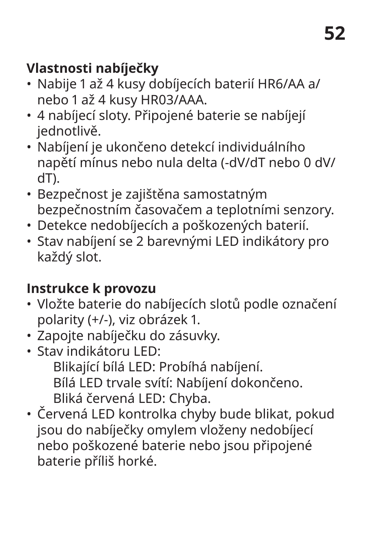# **Vlastnosti nabíječky**

- Nabije 1 až 4 kusy dobíjecích baterií HR6/AA a/ nebo 1 až 4 kusy HR03/AAA.
- 4 nabíjecí sloty. Připojené baterie se nabíjejí jednotlivě.
- Nabíjení je ukončeno detekcí individuálního napětí mínus nebo nula delta (-dV/dT nebo 0 dV/ dT).
- Bezpečnost je zajištěna samostatným bezpečnostním časovačem a teplotními senzory.
- Detekce nedobíjecích a poškozených baterií.
- Stav nabíjení se 2 barevnými LED indikátory pro každý slot.

### **Instrukce k provozu**

- Vložte baterie do nabíjecích slotů podle označení polarity (+/-), viz obrázek 1.
- Zapojte nabíječku do zásuvky.
- Stav indikátoru LED: Blikající bílá LED: Probíhá nabíjení. Bílá LED trvale svítí: Nabíjení dokončeno. Bliká červená LED: Chyba.
- Červená LED kontrolka chyby bude blikat, pokud jsou do nabíječky omylem vloženy nedobíjecí nebo poškozené baterie nebo jsou připojené baterie příliš horké.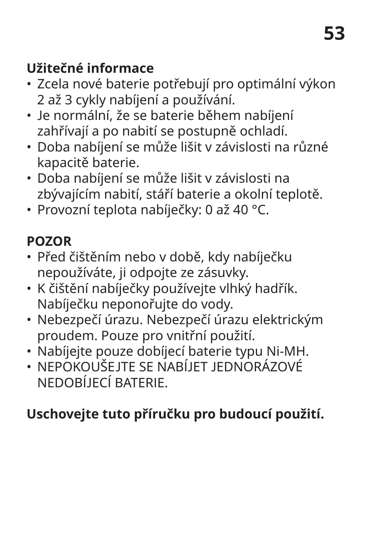# **Užitečné informace**

- Zcela nové baterie potřebují pro optimální výkon 2 až 3 cykly nabíjení a používání.
- Je normální, že se baterie během nabíjení zahřívají a po nabití se postupně ochladí.
- Doba nabíjení se může lišit v závislosti na různé kapacitě baterie.
- Doba nabíjení se může lišit v závislosti na zbývajícím nabití, stáří baterie a okolní teplotě.
- Provozní teplota nabíječky: 0 až 40 °C.

## **POZOR**

- Před čištěním nebo v době, kdy nabíječku nepoužíváte, ji odpojte ze zásuvky.
- K čištění nabíječky používejte vlhký hadřík. Nabíječku neponořujte do vody.
- Nebezpečí úrazu. Nebezpečí úrazu elektrickým proudem. Pouze pro vnitřní použití.
- Nabíjejte pouze dobíjecí baterie typu Ni-MH.
- NEPOKOLIŠE ITE SE NABÍJET JEDNORÁZOVÉ NEDOBÍJECÍ BATERIE.

## **Uschovejte tuto příručku pro budoucí použití.**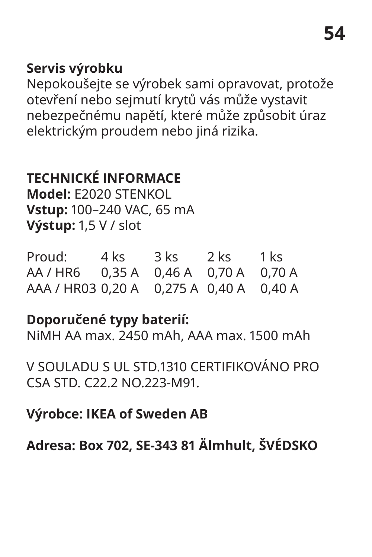### **Servis výrobku**

Nepokoušejte se výrobek sami opravovat, protože otevření nebo sejmutí krytů vás může vystavit nebezpečnému napětí, které může způsobit úraz elektrickým proudem nebo jiná rizika.

### **TECHNICKÉ INFORMACE**

**Model:** E2020 STENKOL **Vstup:** 100–240 VAC, 65 mA **Výstup:** 1,5 V / slot

Proud: 4 ks 3 ks 2 ks 1 ks AA / HR6 0,35 A 0,46 A 0,70 A 0,70 A AAA / HR03 0,20 A 0,275 A 0,40 A 0,40 A

## **Doporučené typy baterií:**

NiMH AA max. 2450 mAh, AAA max. 1500 mAh

V SOULADU S UL STD.1310 CERTIFIKOVÁNO PRO CSA STD. C22.2 NO.223-M91.

**Výrobce: IKEA of Sweden AB**

**Adresa: Box 702, SE-343 81 Älmhult, ŠVÉDSKO**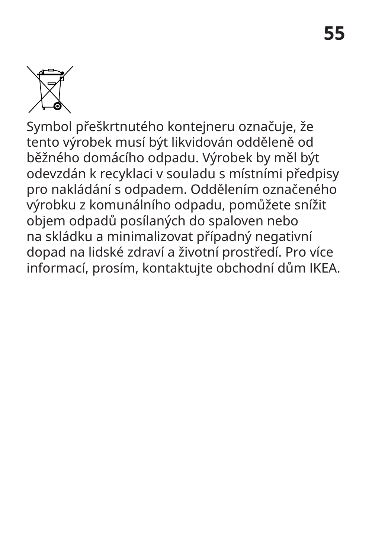

Symbol přeškrtnutého kontejneru označuje, že tento výrobek musí být likvidován odděleně od běžného domácího odpadu. Výrobek by měl být odevzdán k recyklaci v souladu s místními předpisy pro nakládání s odpadem. Oddělením označeného výrobku z komunálního odpadu, pomůžete snížit objem odpadů posílaných do spaloven nebo na skládku a minimalizovat případný negativní dopad na lidské zdraví a životní prostředí. Pro více informací, prosím, kontaktujte obchodní dům IKEA.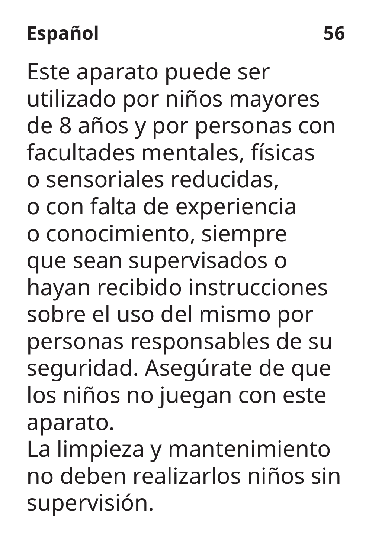# **Español 56**

Este aparato puede ser utilizado por niños mayores de 8 años y por personas con facultades mentales, físicas o sensoriales reducidas, o con falta de experiencia o conocimiento, siempre que sean supervisados o hayan recibido instrucciones sobre el uso del mismo por personas responsables de su seguridad. Asegúrate de que los niños no juegan con este aparato.

La limpieza y mantenimiento no deben realizarlos niños sin supervisión.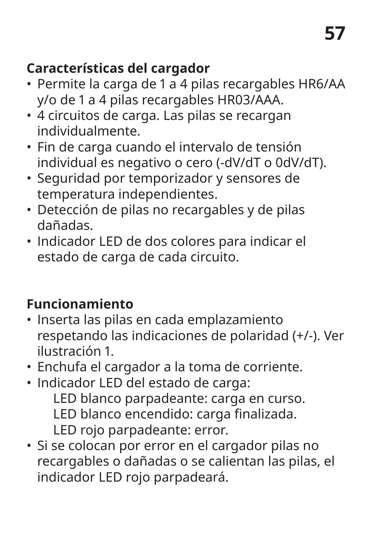### **Características del cargador**

- Permite la carga de 1 a 4 pilas recargables HR6/AA y/o de 1 a 4 pilas recargables HR03/AAA.
- 4 circuitos de carga. Las pilas se recargan individualmente.
- Fin de carga cuando el intervalo de tensión individual es negativo o cero (-dV/dT o 0dV/dT).
- Seguridad por temporizador y sensores de temperatura independientes.
- Detección de pilas no recargables y de pilas dañadas.
- Indicador LED de dos colores para indicar el estado de carga de cada circuito.

## **Funcionamiento**

- Inserta las pilas en cada emplazamiento respetando las indicaciones de polaridad (+/-). Ver ilustración 1.
- Enchufa el cargador a la toma de corriente.
- Indicador LED del estado de carga: LED blanco parpadeante: carga en curso. LED blanco encendido: carga finalizada. LED rojo parpadeante: error.
- Si se colocan por error en el cargador pilas no recargables o dañadas o se calientan las pilas, el indicador LED rojo parpadeará.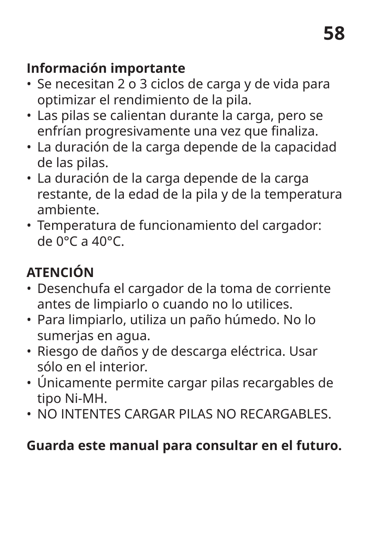### **Información importante**

- Se necesitan 2 o 3 ciclos de carga y de vida para optimizar el rendimiento de la pila.
- Las pilas se calientan durante la carga, pero se enfrían progresivamente una vez que finaliza.
- La duración de la carga depende de la capacidad de las pilas.
- La duración de la carga depende de la carga restante, de la edad de la pila y de la temperatura ambiente.
- Temperatura de funcionamiento del cargador: de 0°C a 40°C.

# **ATENCIÓN**

- Desenchufa el cargador de la toma de corriente antes de limpiarlo o cuando no lo utilices.
- Para limpiarlo, utiliza un paño húmedo. No lo sumerjas en agua.
- Riesgo de daños y de descarga eléctrica. Usar sólo en el interior.
- Únicamente permite cargar pilas recargables de tipo Ni-MH.
- NO INTENTES CARGAR PILAS NO RECARGABLES.

### **Guarda este manual para consultar en el futuro.**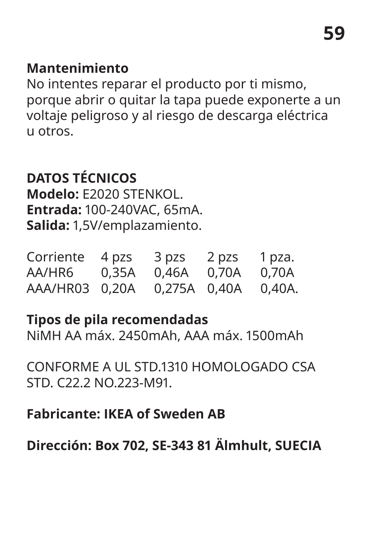#### **Mantenimiento**

No intentes reparar el producto por ti mismo, porque abrir o quitar la tapa puede exponerte a un voltaje peligroso y al riesgo de descarga eléctrica u otros.

### **DATOS TÉCNICOS**

**Modelo:** E2020 STENKOL. **Entrada:** 100-240VAC, 65mA. **Salida:** 1,5V/emplazamiento.

| Corriente      | 4 pzs | 3 pzs        | 2 pzs | 1 pza. |
|----------------|-------|--------------|-------|--------|
| AA/HR6         | 0.35A | 0.46A        | 0.70A | 0.70A  |
| AAA/HR03 0.20A |       | 0.275A 0.40A |       | 0.40A. |

#### **Tipos de pila recomendadas**

NiMH AA máx. 2450mAh, AAA máx. 1500mAh

CONFORME A UL STD.1310 HOMOLOGADO CSA STD. C22.2 NO.223-M91.

**Fabricante: IKEA of Sweden AB**

**Dirección: Box 702, SE-343 81 Älmhult, SUECIA**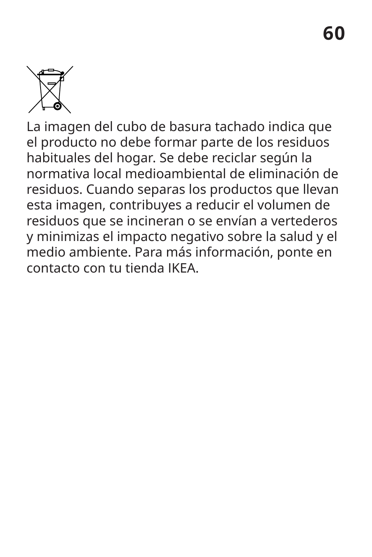

La imagen del cubo de basura tachado indica que el producto no debe formar parte de los residuos habituales del hogar. Se debe reciclar según la normativa local medioambiental de eliminación de residuos. Cuando separas los productos que llevan esta imagen, contribuyes a reducir el volumen de residuos que se incineran o se envían a vertederos y minimizas el impacto negativo sobre la salud y el medio ambiente. Para más información, ponte en contacto con tu tienda IKEA.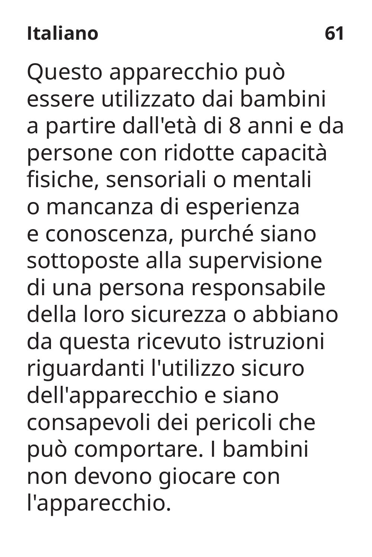# **Italiano 61**

Questo apparecchio può essere utilizzato dai bambini a partire dall'età di 8 anni e da persone con ridotte capacità fisiche, sensoriali o mentali o mancanza di esperienza e conoscenza, purché siano sottoposte alla supervisione di una persona responsabile della loro sicurezza o abbiano da questa ricevuto istruzioni riguardanti l'utilizzo sicuro dell'apparecchio e siano consapevoli dei pericoli che può comportare. I bambini non devono giocare con l'apparecchio.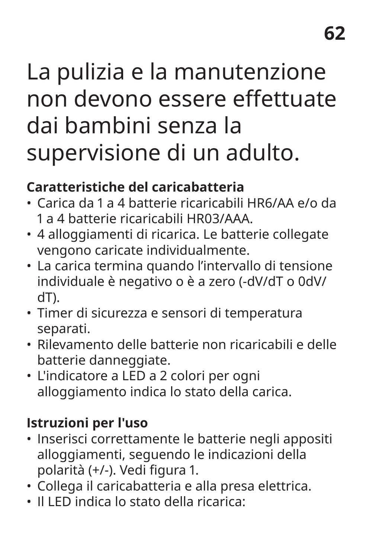# La pulizia e la manutenzione non devono essere effettuate dai bambini senza la supervisione di un adulto.

# **Caratteristiche del caricabatteria**

- Carica da 1 a 4 batterie ricaricabili HR6/AA e/o da 1 a 4 batterie ricaricabili HR03/AAA.
- 4 alloggiamenti di ricarica. Le batterie collegate vengono caricate individualmente.
- La carica termina quando l'intervallo di tensione individuale è negativo o è a zero (-dV/dT o 0dV/ dT).
- Timer di sicurezza e sensori di temperatura separati.
- Rilevamento delle batterie non ricaricabili e delle batterie danneggiate.
- L'indicatore a LED a 2 colori per ogni alloggiamento indica lo stato della carica.

# **Istruzioni per l'uso**

- Inserisci correttamente le batterie negli appositi alloggiamenti, seguendo le indicazioni della polarità (+/-). Vedi figura 1.
- Collega il caricabatteria e alla presa elettrica.
- Il LED indica lo stato della ricarica: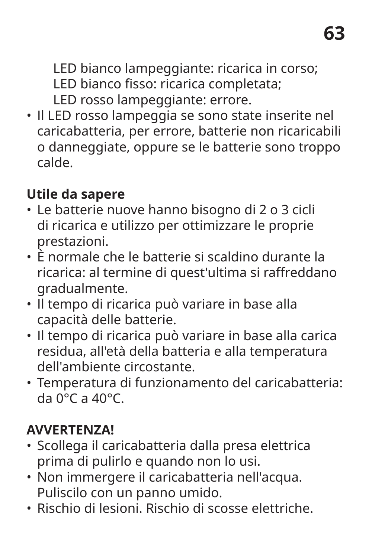LED bianco lampeggiante: ricarica in corso; LED bianco fisso: ricarica completata; LED rosso lampeggiante: errore.

• Il LED rosso lampeggia se sono state inserite nel caricabatteria, per errore, batterie non ricaricabili o danneggiate, oppure se le batterie sono troppo calde.

### **Utile da sapere**

- Le batterie nuove hanno bisogno di 2 o 3 cicli di ricarica e utilizzo per ottimizzare le proprie prestazioni.
- È normale che le batterie si scaldino durante la ricarica: al termine di quest'ultima si raffreddano gradualmente.
- Il tempo di ricarica può variare in base alla capacità delle batterie.
- Il tempo di ricarica può variare in base alla carica residua, all'età della batteria e alla temperatura dell'ambiente circostante.
- Temperatura di funzionamento del caricabatteria: da 0°C a 40°C.

## **AVVERTENZA!**

- Scollega il caricabatteria dalla presa elettrica prima di pulirlo e quando non lo usi.
- Non immergere il caricabatteria nell'acqua. Puliscilo con un panno umido.
- Rischio di lesioni. Rischio di scosse elettriche.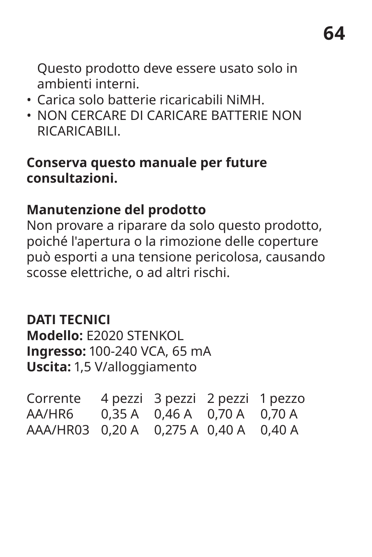Questo prodotto deve essere usato solo in ambienti interni.

- Carica solo batterie ricaricabili NiMH.
- NON CERCARE DI CARICARE BATTERIE NON RICARICABILI.

#### **Conserva questo manuale per future consultazioni.**

### **Manutenzione del prodotto**

Non provare a riparare da solo questo prodotto, poiché l'apertura o la rimozione delle coperture può esporti a una tensione pericolosa, causando scosse elettriche, o ad altri rischi.

### **DATI TECNICI**

**Modello:** E2020 STENKOL **Ingresso:** 100-240 VCA, 65 mA **Uscita:** 1,5 V/alloggiamento

| Corrente                              | 4 pezzi 3 pezzi 2 pezzi 1 pezzo |  |
|---------------------------------------|---------------------------------|--|
| AA/HR6                                | 0.35 A 0.46 A 0.70 A 0.70 A     |  |
| AAA/HR03 0,20 A 0,275 A 0,40 A 0,40 A |                                 |  |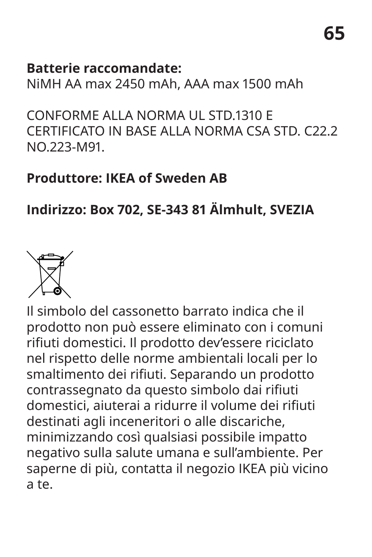#### **Batterie raccomandate:**

NiMH AA max 2450 mAh, AAA max 1500 mAh

CONFORME ALLA NORMA UL STD.1310 E CERTIFICATO IN BASE ALLA NORMA CSA STD. C22.2 NO.223-M91.

#### **Produttore: IKEA of Sweden AB**

**Indirizzo: Box 702, SE-343 81 Älmhult, SVEZIA**



Il simbolo del cassonetto barrato indica che il prodotto non può essere eliminato con i comuni rifiuti domestici. Il prodotto dev'essere riciclato nel rispetto delle norme ambientali locali per lo smaltimento dei rifiuti. Separando un prodotto contrassegnato da questo simbolo dai rifiuti domestici, aiuterai a ridurre il volume dei rifiuti destinati agli inceneritori o alle discariche, minimizzando così qualsiasi possibile impatto negativo sulla salute umana e sull'ambiente. Per saperne di più, contatta il negozio IKEA più vicino a te.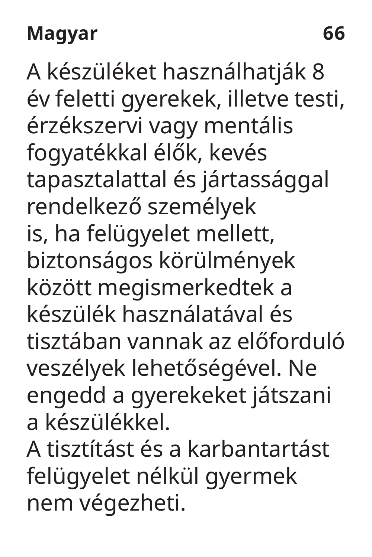# **Magyar 66**

A készüléket használhatják 8 év feletti gyerekek, illetve testi, érzékszervi vagy mentális fogyatékkal élők, kevés tapasztalattal és jártassággal rendelkező személyek is, ha felügyelet mellett, biztonságos körülmények között megismerkedtek a készülék használatával és tisztában vannak az előforduló veszélyek lehetőségével. Ne engedd a gyerekeket játszani a készülékkel.

A tisztítást és a karbantartást felügyelet nélkül gyermek nem végezheti.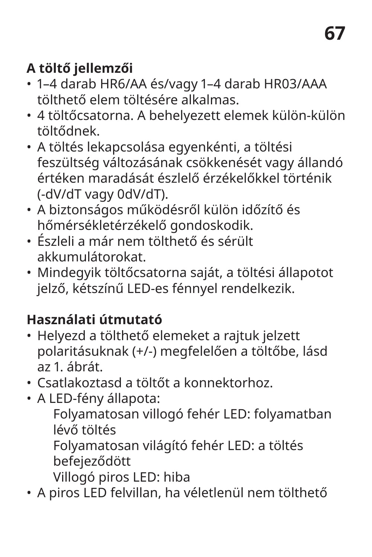# **A töltő jellemzői**

- 1–4 darab HR6/AA és/vagy 1–4 darab HR03/AAA tölthető elem töltésére alkalmas.
- 4 töltőcsatorna. A behelyezett elemek külön-külön töltődnek.
- A töltés lekapcsolása egyenkénti, a töltési feszültség változásának csökkenését vagy állandó értéken maradását észlelő érzékelőkkel történik (-dV/dT vagy 0dV/dT).
- A biztonságos működésről külön időzítő és hőmérsékletérzékelő gondoskodik.
- Észleli a már nem tölthető és sérült akkumulátorokat.
- Mindegyik töltőcsatorna saját, a töltési állapotot jelző, kétszínű LED-es fénnyel rendelkezik.

# **Használati útmutató**

- Helyezd a tölthető elemeket a rajtuk jelzett polaritásuknak (+/-) megfelelően a töltőbe, lásd az 1. ábrát.
- Csatlakoztasd a töltőt a konnektorhoz.
- A LED-fény állapota:
	- Folyamatosan villogó fehér LED: folyamatban lévő töltés
	- Folyamatosan világító fehér LED: a töltés befejeződött
	- Villogó piros LED: hiba
- A piros LED felvillan, ha véletlenül nem tölthető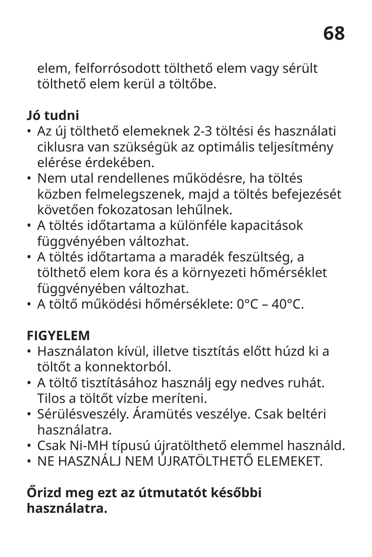elem, felforrósodott tölthető elem vagy sérült tölthető elem kerül a töltőbe.

# **Jó tudni**

- Az új tölthető elemeknek 2-3 töltési és használati ciklusra van szükségük az optimális teljesítmény elérése érdekében.
- Nem utal rendellenes működésre, ha töltés közben felmelegszenek, majd a töltés befejezését követően fokozatosan lehűlnek.
- A töltés időtartama a különféle kapacitások függvényében változhat.
- A töltés időtartama a maradék feszültség, a tölthető elem kora és a környezeti hőmérséklet függvényében változhat.
- A töltő működési hőmérséklete: 0°C 40°C.

### **FIGYELEM**

- Használaton kívül, illetve tisztítás előtt húzd ki a töltőt a konnektorból.
- A töltő tisztításához használj egy nedves ruhát. Tilos a töltőt vízbe meríteni.
- Sérülésveszély. Áramütés veszélye. Csak beltéri használatra.
- Csak Ni-MH típusú újratölthető elemmel használd.
- NE HASZNÁLJ NEM ÚJRATOLTHETŐ ELEMEKET.

### **Őrizd meg ezt az útmutatót későbbi használatra.**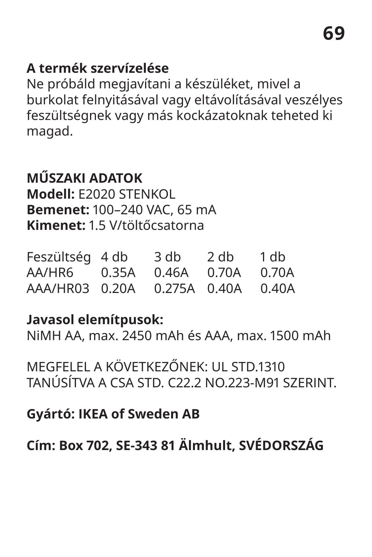### **A termék szervízelése**

Ne próbáld megjavítani a készüléket, mivel a burkolat felnyitásával vagy eltávolításával veszélyes feszültségnek vagy más kockázatoknak teheted ki magad.

### **MŰSZAKI ADATOK**

**Modell:** E2020 STENKOL **Bemenet:** 100–240 VAC, 65 mA **Kimenet:** 1.5 V/töltőcsatorna

| Feszültség 4 db | 3 db           | 2 dh  | 1 db  |
|-----------------|----------------|-------|-------|
| AA/HR6 0.35A    | 0.46A          | 0.70A | 0.70A |
| AAA/HR03 0.20A  | $0.275A$ 0.40A |       | 0.40A |

### **Javasol elemítpusok:**

NiMH AA, max. 2450 mAh és AAA, max. 1500 mAh

MEGFELEL A KÖVETKEZŐNEK: UL STD 1310 TANÚSÍTVA A CSA STD. C22.2 NO.223-M91 SZERINT.

**Gyártó: IKEA of Sweden AB**

**Cím: Box 702, SE-343 81 Älmhult, SVÉDORSZÁG**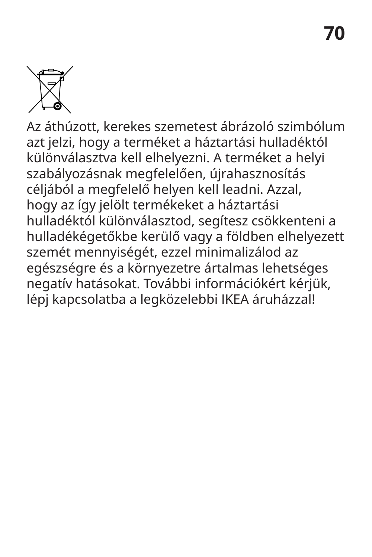

Az áthúzott, kerekes szemetest ábrázoló szimbólum azt jelzi, hogy a terméket a háztartási hulladéktól különválasztva kell elhelyezni. A terméket a helyi szabályozásnak megfelelően, újrahasznosítás céljából a megfelelő helyen kell leadni. Azzal, hogy az így jelölt termékeket a háztartási hulladéktól különválasztod, segítesz csökkenteni a hulladékégetőkbe kerülő vagy a földben elhelyezett szemét mennyiségét, ezzel minimalizálod az egészségre és a környezetre ártalmas lehetséges negatív hatásokat. További információkért kérjük, lépj kapcsolatba a legközelebbi IKEA áruházzal!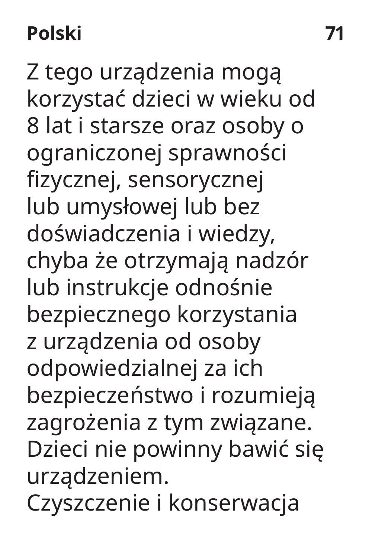# **Polski 71**

Z tego urządzenia mogą korzystać dzieci w wieku od 8 lat i starsze oraz osoby o ograniczonej sprawności fizycznej, sensorycznej lub umysłowej lub bez doświadczenia i wiedzy, chyba że otrzymają nadzór lub instrukcje odnośnie bezpiecznego korzystania z urządzenia od osoby odpowiedzialnej za ich bezpieczeństwo i rozumieją zagrożenia z tym związane. Dzieci nie powinny bawić się urządzeniem.

Czyszczenie i konserwacja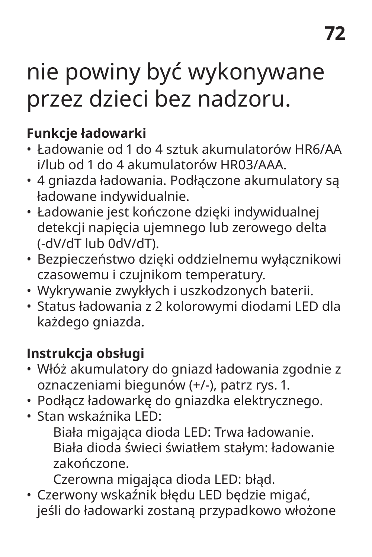# nie powiny być wykonywane przez dzieci bez nadzoru.

# **Funkcje ładowarki**

- Ładowanie od 1 do 4 sztuk akumulatorów HR6/AA i/lub od 1 do 4 akumulatorów HR03/AAA.
- 4 gniazda ładowania. Podłączone akumulatory są ładowane indywidualnie.
- Ładowanie jest kończone dzięki indywidualnej detekcji napięcia ujemnego lub zerowego delta (-dV/dT lub 0dV/dT).
- Bezpieczeństwo dzięki oddzielnemu wyłącznikowi czasowemu i czujnikom temperatury.
- Wykrywanie zwykłych i uszkodzonych baterii.
- Status ładowania z 2 kolorowymi diodami LED dla każdego gniazda.

# **Instrukcja obsługi**

- Włóż akumulatory do gniazd ładowania zgodnie z oznaczeniami biegunów (+/-), patrz rys. 1.
- Podłącz ładowarkę do gniazdka elektrycznego.
- Stan wskaźnika LED:
	- Biała migająca dioda LED: Trwa ładowanie. Biała dioda świeci światłem stałym: ładowanie zakończone.

Czerowna migająca dioda LED: błąd.

• Czerwony wskaźnik błędu LED będzie migać, jeśli do ładowarki zostaną przypadkowo włożone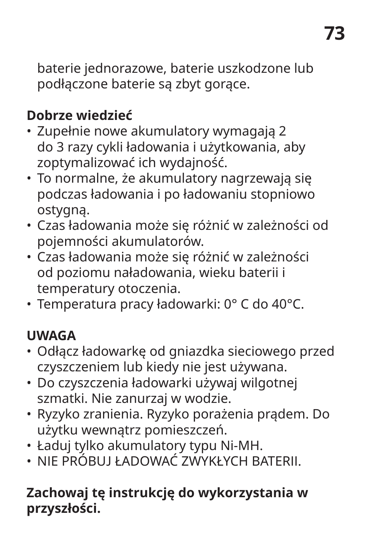baterie jednorazowe, baterie uszkodzone lub podłączone baterie są zbyt gorące.

# **Dobrze wiedzieć**

- Zupełnie nowe akumulatory wymagają 2 do 3 razy cykli ładowania i użytkowania, aby zoptymalizować ich wydajność.
- To normalne, że akumulatory nagrzewają się podczas ładowania i po ładowaniu stopniowo ostygną.
- Czas ładowania może się różnić w zależności od pojemności akumulatorów.
- Czas ładowania może się różnić w zależności od poziomu naładowania, wieku baterii i temperatury otoczenia.
- Temperatura pracy ładowarki: 0° C do 40°C.

#### **UWAGA**

- Odłącz ładowarkę od gniazdka sieciowego przed czyszczeniem lub kiedy nie jest używana.
- Do czyszczenia ładowarki używaj wilgotnej szmatki. Nie zanurzaj w wodzie.
- Ryzyko zranienia. Ryzyko porażenia prądem. Do użytku wewnątrz pomieszczeń.
- Ładuj tylko akumulatory typu Ni-MH.
- NIE PRÓBUJ ŁADOWAĆ ZWYKŁYCH BATERII.

#### **Zachowaj tę instrukcję do wykorzystania w przyszłości.**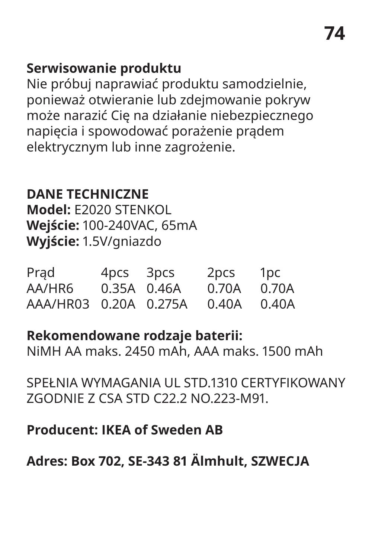#### **Serwisowanie produktu**

Nie próbuj naprawiać produktu samodzielnie, ponieważ otwieranie lub zdejmowanie pokryw może narazić Cię na działanie niebezpiecznego napięcia i spowodować porażenie prądem elektrycznym lub inne zagrożenie.

#### **DANE TECHNICZNE**

**Model:** E2020 STENKOL **Wejście:** 100-240VAC, 65mA **Wyjście:** 1.5V/gniazdo

| Prad                  | 4pcs 3pcs     | 2pcs  | 1pc   |
|-----------------------|---------------|-------|-------|
| AA/HR6                | $0.35A$ 0.46A | 0.70A | 0.70A |
| AAA/HR03 0.20A 0.275A |               | 0.40A | 0.40A |

#### **Rekomendowane rodzaje baterii:**

NiMH AA maks. 2450 mAh, AAA maks. 1500 mAh

SPEŁNIA WYMAGANIA UL STD.1310 CERTYFIKOWANY ZGODNIE Z CSA STD C22.2 NO.223-M91

# **Producent: IKEA of Sweden AB**

#### **Adres: Box 702, SE-343 81 Älmhult, SZWECJA**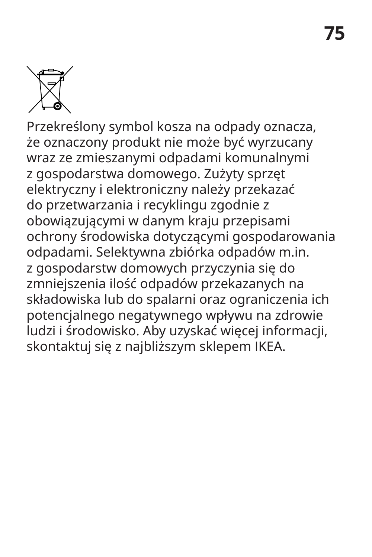

Przekreślony symbol kosza na odpady oznacza, że oznaczony produkt nie może być wyrzucany wraz ze zmieszanymi odpadami komunalnymi z gospodarstwa domowego. Zużyty sprzęt elektryczny i elektroniczny należy przekazać do przetwarzania i recyklingu zgodnie z obowiązującymi w danym kraju przepisami ochrony środowiska dotyczącymi gospodarowania odpadami. Selektywna zbiórka odpadów m.in. z gospodarstw domowych przyczynia się do zmniejszenia ilość odpadów przekazanych na składowiska lub do spalarni oraz ograniczenia ich potencjalnego negatywnego wpływu na zdrowie ludzi i środowisko. Aby uzyskać więcej informacji, skontaktuj się z najbliższym sklepem IKEA.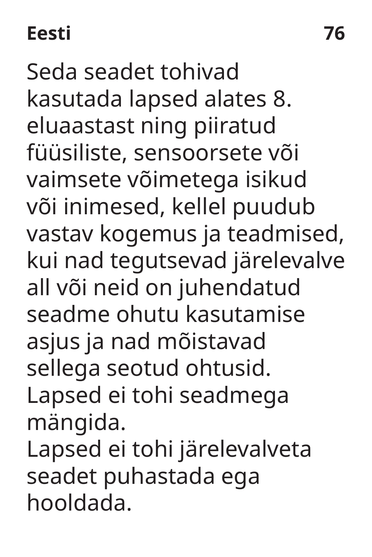# **Eesti 76**

Seda seadet tohivad kasutada lapsed alates 8. eluaastast ning piiratud füüsiliste, sensoorsete või vaimsete võimetega isikud või inimesed, kellel puudub vastav kogemus ja teadmised, kui nad tegutsevad järelevalve all või neid on juhendatud seadme ohutu kasutamise asjus ja nad mõistavad sellega seotud ohtusid. Lapsed ei tohi seadmega mängida. Lapsed ei tohi järelevalveta seadet puhastada ega

hooldada.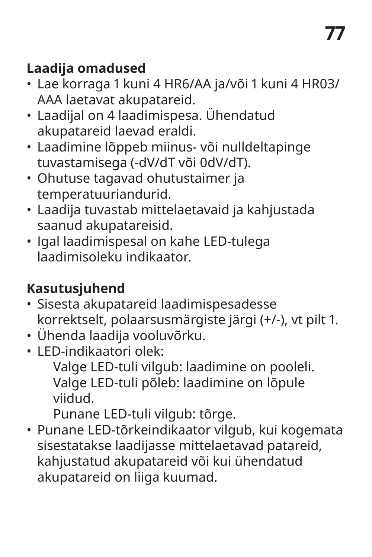# **Laadija omadused**

- Lae korraga 1 kuni 4 HR6/AA ja/või 1 kuni 4 HR03/ AAA laetavat akupatareid.
- Laadijal on 4 laadimispesa. Ühendatud akupatareid laevad eraldi.
- Laadimine lõppeb miinus- või nulldeltapinge tuvastamisega (-dV/dT või 0dV/dT).
- Ohutuse tagavad ohutustaimer ja temperatuuriandurid.
- Laadija tuvastab mittelaetavaid ja kahjustada saanud akupatareisid.
- Igal laadimispesal on kahe LED-tulega laadimisoleku indikaator.

# **Kasutusjuhend**

- Sisesta akupatareid laadimispesadesse korrektselt, polaarsusmärgiste järgi (+/-), vt pilt 1.
- Ühenda laadija vooluvõrku.
- LED-indikaatori olek:

Valge LED-tuli vilgub: laadimine on pooleli. Valge LED-tuli põleb: laadimine on lõpule viidud.

Punane LED-tuli vilgub: tõrge.

• Punane LED-tõrkeindikaator vilgub, kui kogemata sisestatakse laadijasse mittelaetavad patareid, kahjustatud akupatareid või kui ühendatud akupatareid on liiga kuumad.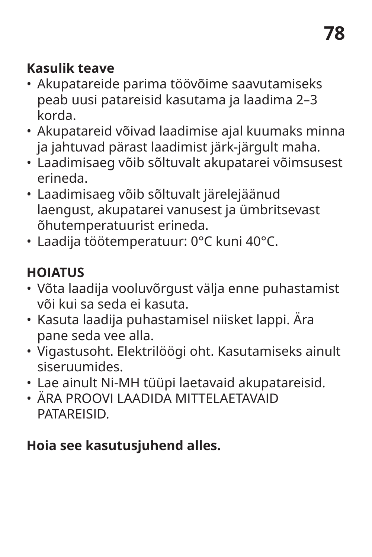# **Kasulik teave**

- Akupatareide parima töövõime saavutamiseks peab uusi patareisid kasutama ja laadima 2–3 korda.
- Akupatareid võivad laadimise ajal kuumaks minna ja jahtuvad pärast laadimist järk-järgult maha.
- Laadimisaeg võib sõltuvalt akupatarei võimsusest erineda.
- Laadimisaeg võib sõltuvalt järelejäänud laengust, akupatarei vanusest ja ümbritsevast õhutemperatuurist erineda.
- Laadija töötemperatuur: 0°C kuni 40°C.

# **HOIATUS**

- Võta laadija vooluvõrgust välja enne puhastamist või kui sa seda ei kasuta.
- Kasuta laadija puhastamisel niisket lappi. Ära pane seda vee alla.
- Vigastusoht. Elektrilöögi oht. Kasutamiseks ainult siseruumides.
- Lae ainult Ni-MH tüüpi laetavaid akupatareisid.
- ÄRA PROOVI LAADIDA MITTELAETAVAID PATAREISID.

## **Hoia see kasutusjuhend alles.**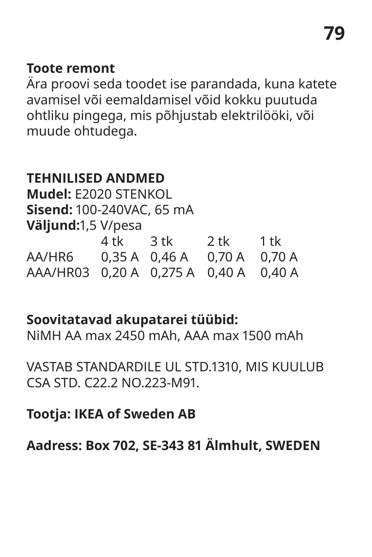#### **Toote remont**

Ära proovi seda toodet ise parandada, kuna katete avamisel või eemaldamisel võid kokku puutuda ohtliku pingega, mis põhjustab elektrilööki, või muude ohtudega.

#### **TEHNILISED ANDMED**

**Mudel:** E2020 STENKOL **Sisend:** 100-240VAC, 65 mA **Väljund:**1,5 V/pesa  $4$  tk  $2$  tk  $2$  tk  $1$  tk AA/HR6 0,35 A 0,46 A 0,70 A 0,70 A AAA/HR03 0,20 A 0,275 A 0,40 A 0,40 A

### **Soovitatavad akupatarei tüübid:** NiMH AA max 2450 mAh, AAA max 1500 mAh

VASTAB STANDARDILE UL STD.1310, MIS KUULUB CSA STD. C22.2 NO.223-M91.

**Tootja: IKEA of Sweden AB**

**Aadress: Box 702, SE-343 81 Älmhult, SWEDEN**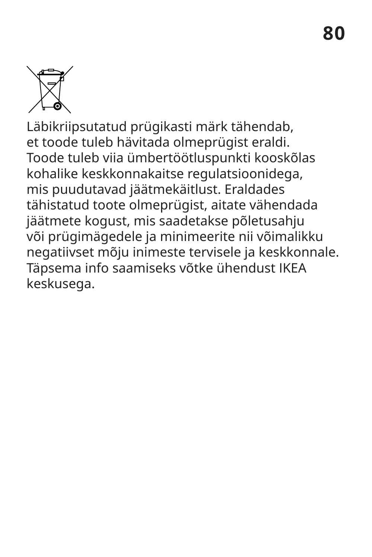

Läbikriipsutatud prügikasti märk tähendab, et toode tuleb hävitada olmeprügist eraldi. Toode tuleb viia ümbertöötluspunkti kooskõlas kohalike keskkonnakaitse regulatsioonidega, mis puudutavad jäätmekäitlust. Eraldades tähistatud toote olmeprügist, aitate vähendada jäätmete kogust, mis saadetakse põletusahju või prügimägedele ja minimeerite nii võimalikku negatiivset mõju inimeste tervisele ja keskkonnale. Täpsema info saamiseks võtke ühendust IKEA keskusega.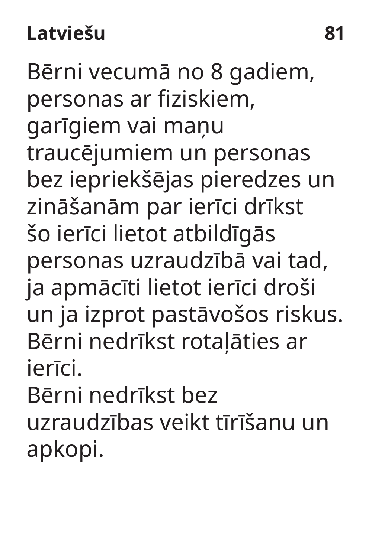# **Latviešu 81**

Bērni vecumā no 8 gadiem, personas ar fiziskiem, garīgiem vai maņu traucējumiem un personas bez iepriekšējas pieredzes un zināšanām par ierīci drīkst šo ierīci lietot atbildīgās personas uzraudzībā vai tad, ja apmācīti lietot ierīci droši un ja izprot pastāvošos riskus. Bērni nedrīkst rotaļāties ar ierīci. Bērni nedrīkst bez uzraudzības veikt tīrīšanu un apkopi.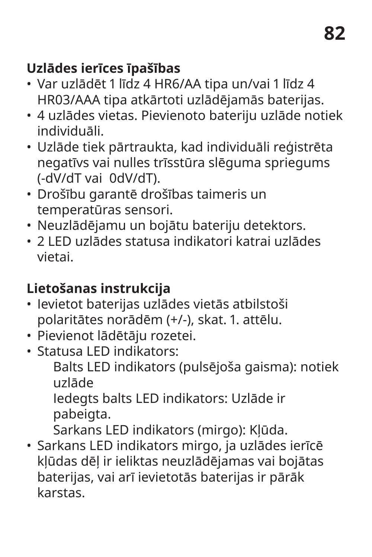# **82**

# **Uzlādes ierīces īpašības**

- Var uzlādēt 1 līdz 4 HR6/AA tipa un/vai 1 līdz 4 HR03/AAA tipa atkārtoti uzlādējamās baterijas.
- 4 uzlādes vietas. Pievienoto bateriju uzlāde notiek individuāli.
- Uzlāde tiek pārtraukta, kad individuāli reģistrēta negatīvs vai nulles trīsstūra slēguma spriegums (-dV/dT vai 0dV/dT).
- Drošību garantē drošības taimeris un temperatūras sensori.
- Neuzlādējamu un bojātu bateriju detektors.
- 2 LED uzlādes statusa indikatori katrai uzlādes vietai.

## **Lietošanas instrukcija**

- Ievietot baterijas uzlādes vietās atbilstoši polaritātes norādēm (+/-), skat. 1. attēlu.
- Pievienot lādētāju rozetei.
- Statusa LED indikators:
	- Balts LED indikators (pulsējoša gaisma): notiek uzlāde
	- Iedegts balts LED indikators: Uzlāde ir pabeigta.
	- Sarkans LED indikators (mirgo): Kļūda.
- Sarkans LED indikators mirgo, ja uzlādes ierīcē kļūdas dēļ ir ieliktas neuzlādējamas vai bojātas baterijas, vai arī ievietotās baterijas ir pārāk karstas.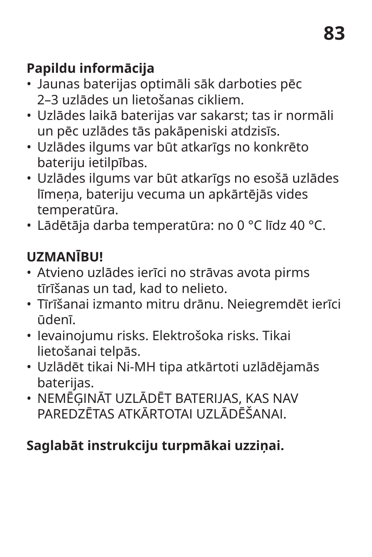# **Papildu informācija**

- Jaunas baterijas optimāli sāk darboties pēc 2–3 uzlādes un lietošanas cikliem.
- Uzlādes laikā baterijas var sakarst; tas ir normāli un pēc uzlādes tās pakāpeniski atdzisīs.
- Uzlādes ilgums var būt atkarīgs no konkrēto bateriju ietilpības.
- Uzlādes ilgums var būt atkarīgs no esošā uzlādes līmeņa, bateriju vecuma un apkārtējās vides temperatūra.
- Lādētāja darba temperatūra: no 0 °C līdz 40 °C.

# **UZMANĪBU!**

- Atvieno uzlādes ierīci no strāvas avota pirms tīrīšanas un tad, kad to nelieto.
- Tīrīšanai izmanto mitru drānu. Neiegremdēt ierīci ūdenī.
- Ievainojumu risks. Elektrošoka risks. Tikai lietošanai telpās.
- Uzlādēt tikai Ni-MH tipa atkārtoti uzlādējamās baterijas.
- NEMĒĢINĀT UZLĀDĒT BATERIJAS, KAS NAV PAREDZĒTAS ATKĀRTOTAI UZLĀDĒŠANAI.

## **Saglabāt instrukciju turpmākai uzziņai.**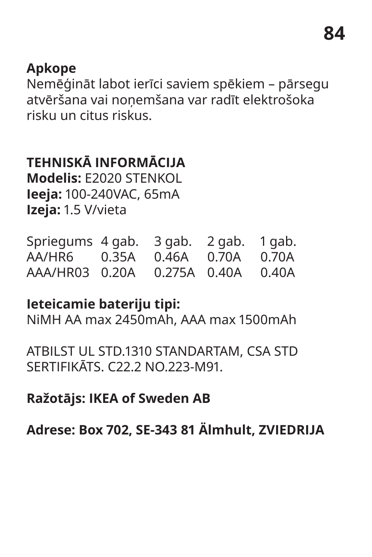#### **Apkope**

Nemēģināt labot ierīci saviem spēkiem – pārsegu atvēršana vai noņemšana var radīt elektrošoka risku un citus riskus.

### **TEHNISKĀ INFORMĀCIJA**

**Modelis:** E2020 STENKOL **Ieeja:** 100-240VAC, 65mA **Izeja:** 1.5 V/vieta

| Spriegums 4 gab. |       | 3 gab.       | 2 gab. | 1 gab. |
|------------------|-------|--------------|--------|--------|
| AA/HR6           | 0.35A | 0.46A        | 0.70A  | 0.70A  |
| AAA/HR03 0.20A   |       | 0.275A 0.40A |        | 0.40A  |

#### **Ieteicamie bateriju tipi:**

NiMH AA max 2450mAh, AAA max 1500mAh

ATBILST UL STD.1310 STANDARTAM, CSA STD SERTIFIKĀTS C22.2 NO.223-M91

#### **Ražotājs: IKEA of Sweden AB**

**Adrese: Box 702, SE-343 81 Älmhult, ZVIEDRIJA**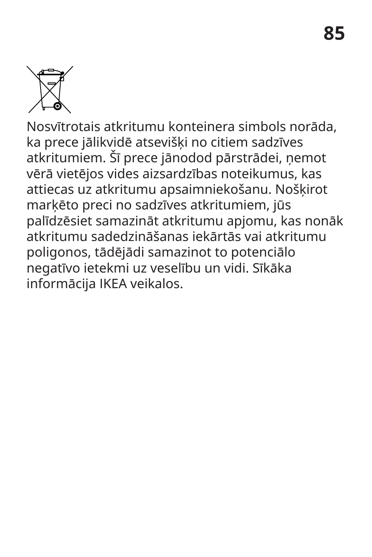

Nosvītrotais atkritumu konteinera simbols norāda, ka prece jālikvidē atsevišķi no citiem sadzīves atkritumiem. Šī prece jānodod pārstrādei, ņemot vērā vietējos vides aizsardzības noteikumus, kas attiecas uz atkritumu apsaimniekošanu. Nošķirot marķēto preci no sadzīves atkritumiem, jūs palīdzēsiet samazināt atkritumu apjomu, kas nonāk atkritumu sadedzināšanas iekārtās vai atkritumu poligonos, tādējādi samazinot to potenciālo negatīvo ietekmi uz veselību un vidi. Sīkāka informācija IKEA veikalos.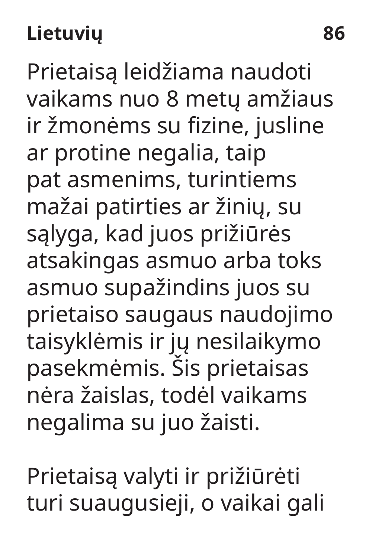# **Lietuvių 86**

Prietaisą leidžiama naudoti vaikams nuo 8 metų amžiaus ir žmonėms su fizine, jusline ar protine negalia, taip pat asmenims, turintiems mažai patirties ar žinių, su sąlyga, kad juos prižiūrės atsakingas asmuo arba toks asmuo supažindins juos su prietaiso saugaus naudojimo taisyklėmis ir jų nesilaikymo pasekmėmis. Šis prietaisas nėra žaislas, todėl vaikams negalima su juo žaisti.

Prietaisą valyti ir prižiūrėti turi suaugusieji, o vaikai gali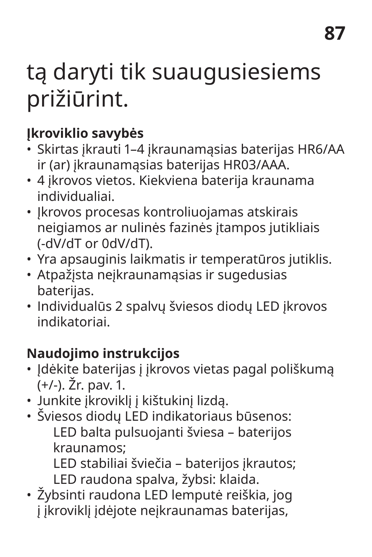# tą daryti tik suaugusiesiems prižiūrint.

# **Įkroviklio savybės**

- Skirtas įkrauti 1–4 įkraunamąsias baterijas HR6/AA ir (ar) įkraunamąsias baterijas HR03/AAA.
- 4 įkrovos vietos. Kiekviena baterija kraunama individualiai.
- Įkrovos procesas kontroliuojamas atskirais neigiamos ar nulinės fazinės įtampos jutikliais (-dV/dT or 0dV/dT).
- Yra apsauginis laikmatis ir temperatūros jutiklis.
- Atpažįsta neįkraunamąsias ir sugedusias baterijas.
- Individualūs 2 spalvų šviesos diodų LED įkrovos indikatoriai.

# **Naudojimo instrukcijos**

- Idėkite baterijas į įkrovos vietas pagal poliškumą  $(+/-)$ . Žr. pav. 1.
- Junkite įkroviklį į kištukinį lizdą.
- Šviesos diodų LED indikatoriaus būsenos: LED balta pulsuojanti šviesa – baterijos kraunamos;

LED stabiliai šviečia – baterijos įkrautos; LED raudona spalva, žybsi: klaida.

• Žybsinti raudona LED lemputė reiškia, jog į įkroviklį įdėjote neįkraunamas baterijas,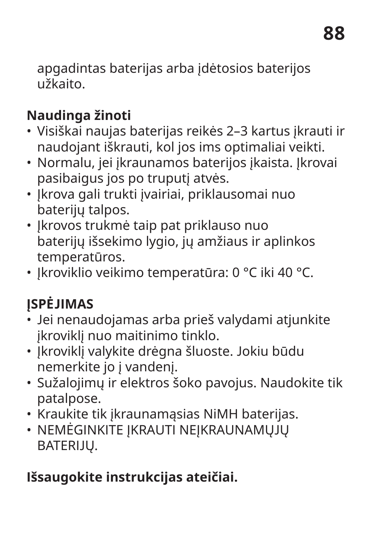apgadintas baterijas arba įdėtosios baterijos užkaito.

# **Naudinga žinoti**

- Visiškai naujas baterijas reikės 2–3 kartus įkrauti ir naudojant iškrauti, kol jos ims optimaliai veikti.
- Normalu, jei įkraunamos baterijos įkaista. Įkrovai pasibaigus jos po truputį atvės.
- Įkrova gali trukti įvairiai, priklausomai nuo baterijų talpos.
- Įkrovos trukmė taip pat priklauso nuo baterijų išsekimo lygio, jų amžiaus ir aplinkos temperatūros.
- Įkroviklio veikimo temperatūra: 0 °C iki 40 °C.

# **ĮSPĖJIMAS**

- Jei nenaudojamas arba prieš valydami atjunkite įkroviklį nuo maitinimo tinklo.
- Įkroviklį valykite drėgna šluoste. Jokiu būdu nemerkite jo į vandenį.
- Sužalojimų ir elektros šoko pavojus. Naudokite tik patalpose.
- Kraukite tik įkraunamąsias NiMH baterijas.
- NEMĖGINKITE IKRAUTI NEIKRAUNAMUJU BATERIJŲ.

# **Išsaugokite instrukcijas ateičiai.**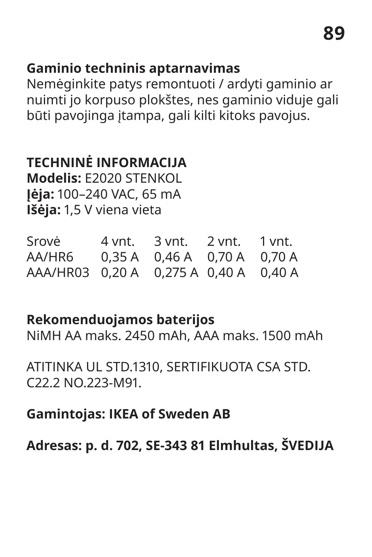#### **Gaminio techninis aptarnavimas**

Nemėginkite patys remontuoti / ardyti gaminio ar nuimti jo korpuso plokštes, nes gaminio viduje gali būti pavojinga įtampa, gali kilti kitoks pavojus.

### **TECHNINĖ INFORMACIJA**

**Modelis:** E2020 STENKOL **Įėja:** 100–240 VAC, 65 mA **Išėja:** 1,5 V viena vieta

| Srovė                                 | $4 \text{ vnt}$ . $3 \text{ vnt}$ . $2 \text{ vnt}$ . $1 \text{ vnt}$ . |  |
|---------------------------------------|-------------------------------------------------------------------------|--|
| AA/HR6                                | $0.35 A$ $0.46 A$ $0.70 A$ $0.70 A$                                     |  |
| AAA/HR03 0,20 A 0,275 A 0,40 A 0,40 A |                                                                         |  |

#### **Rekomenduojamos baterijos**

NiMH AA maks. 2450 mAh, AAA maks. 1500 mAh

ATITINKA UL STD.1310, SERTIFIKUOTA CSA STD. C22.2 NO.223-M91.

#### **Gamintojas: IKEA of Sweden AB**

**Adresas: p. d. 702, SE-343 81 Elmhultas, ŠVEDIJA**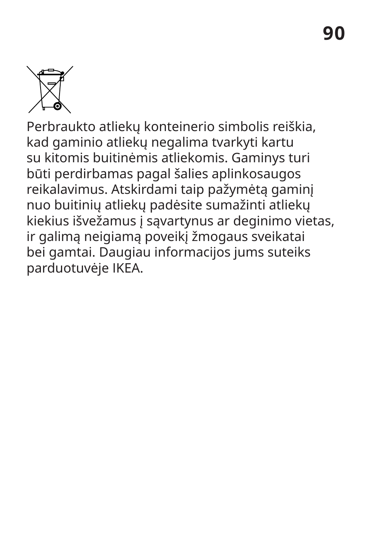

Perbraukto atliekų konteinerio simbolis reiškia, kad gaminio atliekų negalima tvarkyti kartu su kitomis buitinėmis atliekomis. Gaminys turi būti perdirbamas pagal šalies aplinkosaugos reikalavimus. Atskirdami taip pažymėtą gaminį nuo buitinių atliekų padėsite sumažinti atliekų kiekius išvežamus į sąvartynus ar deginimo vietas, ir galimą neigiamą poveikį žmogaus sveikatai bei gamtai. Daugiau informacijos jums suteiks parduotuvėje IKEA.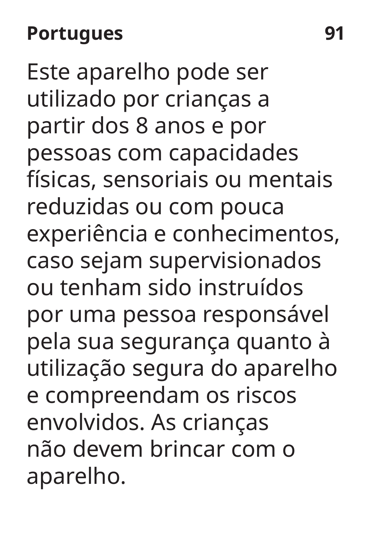# **Portugues 91**

Este aparelho pode ser utilizado por crianças a partir dos 8 anos e por pessoas com capacidades físicas, sensoriais ou mentais reduzidas ou com pouca experiência e conhecimentos, caso sejam supervisionados ou tenham sido instruídos por uma pessoa responsável pela sua segurança quanto à utilização segura do aparelho e compreendam os riscos envolvidos. As crianças não devem brincar com o aparelho.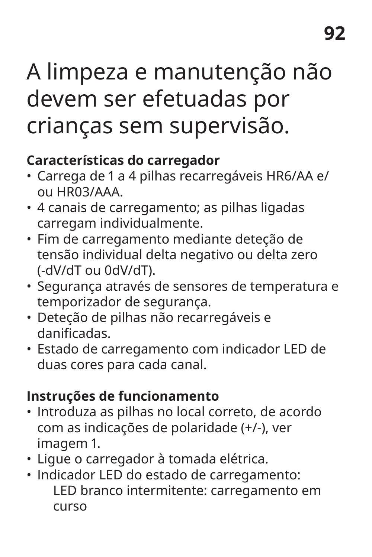# A limpeza e manutenção não devem ser efetuadas por crianças sem supervisão.

# **Características do carregador**

- Carrega de 1 a 4 pilhas recarregáveis HR6/AA e/ ou HR03/AAA.
- 4 canais de carregamento; as pilhas ligadas carregam individualmente.
- Fim de carregamento mediante deteção de tensão individual delta negativo ou delta zero (-dV/dT ou 0dV/dT).
- Segurança através de sensores de temperatura e temporizador de segurança.
- Deteção de pilhas não recarregáveis e danificadas.
- Estado de carregamento com indicador LED de duas cores para cada canal.

# **Instruções de funcionamento**

- Introduza as pilhas no local correto, de acordo com as indicações de polaridade (+/-), ver imagem 1.
- Ligue o carregador à tomada elétrica.
- Indicador LED do estado de carregamento: LED branco intermitente: carregamento em curso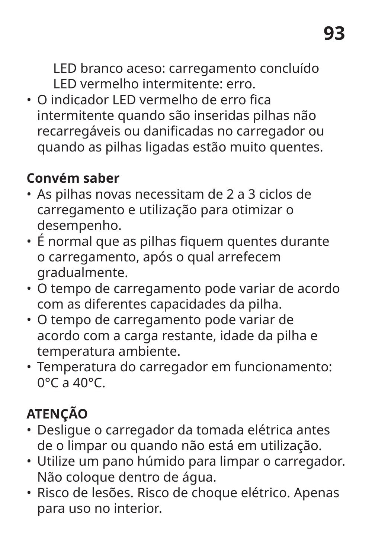LED branco aceso: carregamento concluído LED vermelho intermitente: erro.

• O indicador LED vermelho de erro fica intermitente quando são inseridas pilhas não recarregáveis ou danificadas no carregador ou quando as pilhas ligadas estão muito quentes.

# **Convém saber**

- As pilhas novas necessitam de 2 a 3 ciclos de carregamento e utilização para otimizar o desempenho.
- É normal que as pilhas fiquem quentes durante o carregamento, após o qual arrefecem gradualmente.
- O tempo de carregamento pode variar de acordo com as diferentes capacidades da pilha.
- O tempo de carregamento pode variar de acordo com a carga restante, idade da pilha e temperatura ambiente.
- Temperatura do carregador em funcionamento:  $0^\circ$ C a 40 $^\circ$ C.

# **ATENÇÃO**

- Desligue o carregador da tomada elétrica antes de o limpar ou quando não está em utilização.
- Utilize um pano húmido para limpar o carregador. Não coloque dentro de água.
- Risco de lesões. Risco de choque elétrico. Apenas para uso no interior.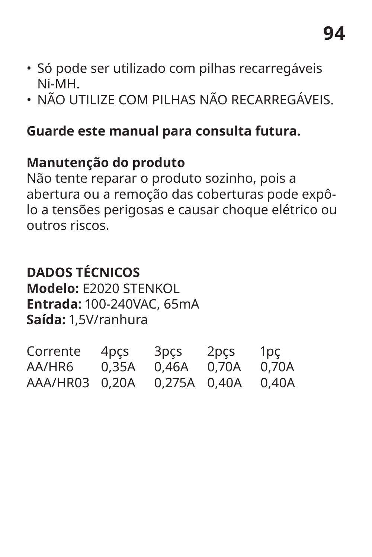- Só pode ser utilizado com pilhas recarregáveis Ni-MH.
- NÃO UTILIZE COM PILHAS NÃO RECARREGÁVEIS.

#### **Guarde este manual para consulta futura.**

#### **Manutenção do produto**

Não tente reparar o produto sozinho, pois a abertura ou a remoção das coberturas pode expôlo a tensões perigosas e causar choque elétrico ou outros riscos.

#### **DADOS TÉCNICOS Modelo:** E2020 STENKOL **Entrada:** 100-240VAC, 65mA **Saída:** 1,5V/ranhura

| Corrente       | 4pçs  | 3pçs         | 2pçs  | 1pç   |
|----------------|-------|--------------|-------|-------|
| AA/HR6         | 0.35A | 0.46A        | 0.70A | 0.70A |
| AAA/HR03 0.20A |       | 0.275A 0.40A |       | 0.40A |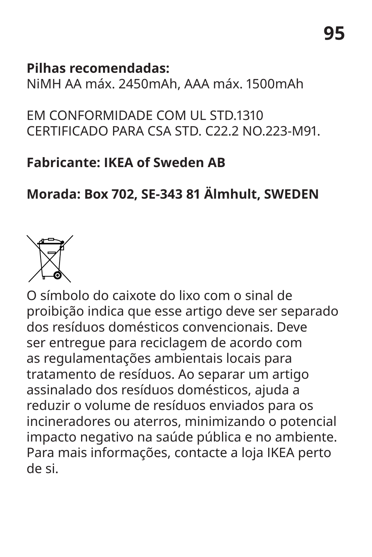#### **Pilhas recomendadas:** NiMH AA máx. 2450mAh, AAA máx. 1500mAh

EM CONFORMIDADE COM UL STD.1310 CERTIFICADO PARA CSA STD. C22.2 NO.223-M91.

#### **Fabricante: IKEA of Sweden AB**

### **Morada: Box 702, SE-343 81 Älmhult, SWEDEN**



O símbolo do caixote do lixo com o sinal de proibição indica que esse artigo deve ser separado dos resíduos domésticos convencionais. Deve ser entregue para reciclagem de acordo com as regulamentações ambientais locais para tratamento de resíduos. Ao separar um artigo assinalado dos resíduos domésticos, ajuda a reduzir o volume de resíduos enviados para os incineradores ou aterros, minimizando o potencial impacto negativo na saúde pública e no ambiente. Para mais informações, contacte a loja IKEA perto de si.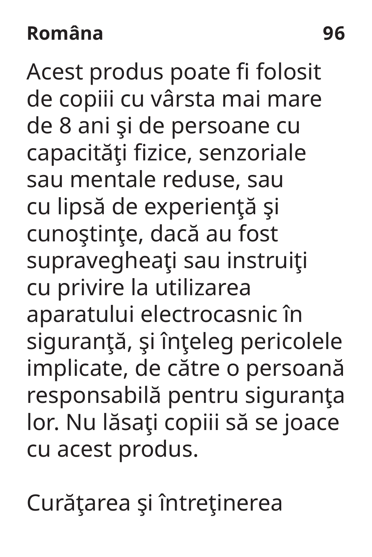# **Româna 96**

Acest produs poate fi folosit de copiii cu vârsta mai mare de 8 ani şi de persoane cu capacități fizice, senzoriale sau mentale reduse, sau cu lipsă de experiență și cunoştinţe, dacă au fost supravegheaţi sau instruiţi cu privire la utilizarea aparatului electrocasnic în siguranţă, şi înţeleg pericolele implicate, de către o persoană responsabilă pentru siguranța lor. Nu lăsați copiii să se joace cu acest produs.

Curăţarea şi întreţinerea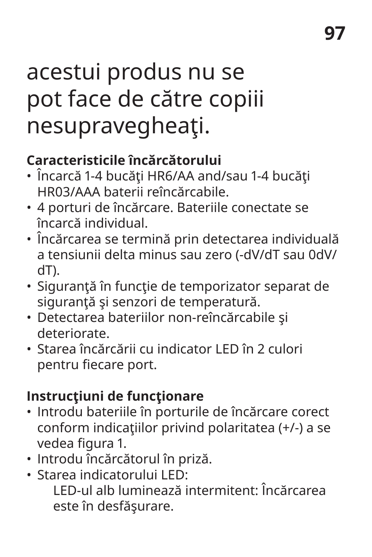# acestui produs nu se pot face de către copiii nesupravegheati.

# **Caracteristicile încărcătorului**

- Încarcă 1-4 bucăţi HR6/AA and/sau 1-4 bucăţi HR03/AAA baterii reîncărcabile.
- 4 porturi de încărcare. Bateriile conectate se încarcă individual.
- Încărcarea se termină prin detectarea individuală a tensiunii delta minus sau zero (-dV/dT sau 0dV/ dT).
- Sigurantă în funcție de temporizator separat de siguranță și senzori de temperatură.
- Detectarea bateriilor non-reîncărcabile şi deteriorate.
- Starea încărcării cu indicator LED în 2 culori pentru fiecare port.

## **Instrucţiuni de funcţionare**

- Introdu bateriile în porturile de încărcare corect conform indicaţiilor privind polaritatea (+/-) a se vedea figura 1.
- Introdu încărcătorul în priză.
- Starea indicatorului LED: LED-ul alb luminează intermitent: Încărcarea este în desfăşurare.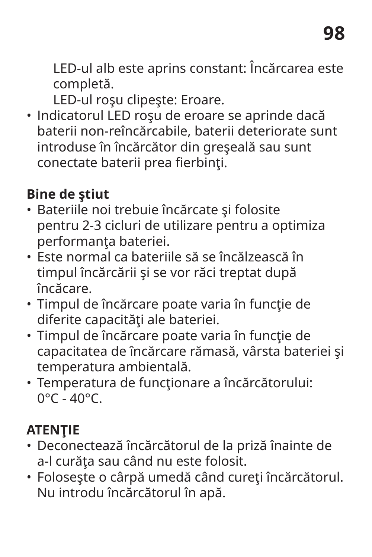LED-ul alb este aprins constant: Încărcarea este completă.

LED-ul roşu clipeşte: Eroare.

• Indicatorul LED roşu de eroare se aprinde dacă baterii non-reîncărcabile, baterii deteriorate sunt introduse în încărcător din greşeală sau sunt conectate baterii prea fierbinti.

## **Bine de ştiut**

- Bateriile noi trebuie încărcate şi folosite pentru 2-3 cicluri de utilizare pentru a optimiza .<br>performanta bateriei.
- Este normal ca bateriile să se încălzească în timpul încărcării şi se vor răci treptat după încăcare.
- Timpul de încărcare poate varia în funcție de diferite capacități ale bateriei.
- Timpul de încărcare poate varia în funcție de capacitatea de încărcare rămasă, vârsta bateriei şi temperatura ambientală.
- Temperatura de functionare a încărcătorului:  $0°C - 40°C$

# **ATENŢIE**

- Deconectează încărcătorul de la priză înainte de a-l curăţa sau când nu este folosit.
- Foloseste o cârpă umedă când cureți încărcătorul. Nu introdu încărcătorul în apă.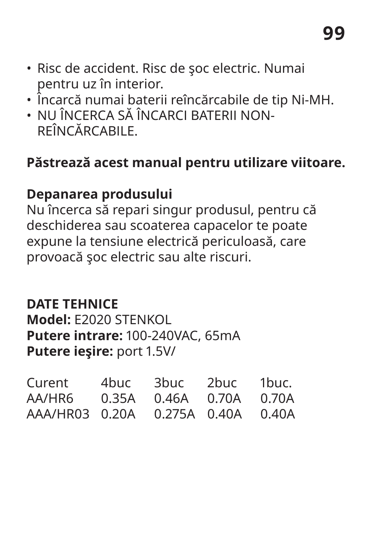- Risc de accident. Risc de şoc electric. Numai pentru uz în interior.
- Încarcă numai baterii reîncărcabile de tip Ni-MH.
- NU ÎNCERCA SĂ ÎNCARCI BATERII NON-REÎNCĂRCABILE.

#### **Păstrează acest manual pentru utilizare viitoare.**

#### **Depanarea produsului**

Nu încerca să repari singur produsul, pentru că deschiderea sau scoaterea capacelor te poate expune la tensiune electrică periculoasă, care provoacă şoc electric sau alte riscuri.

#### **DATE TEHNICE**

**Model:** E2020 STENKOL **Putere intrare:** 100-240VAC, 65mA **Putere ieşire:** port 1.5V/

| Curent         | 4hur  | 3huc             | 2huc  | 1 <sub>buc</sub> |
|----------------|-------|------------------|-------|------------------|
| AA/HR6         | 0.35A | 0.46A            | 0.70A | 0.70A            |
| AAA/HR03 0.20A |       | $0.275A$ $0.40A$ |       | 0.40A            |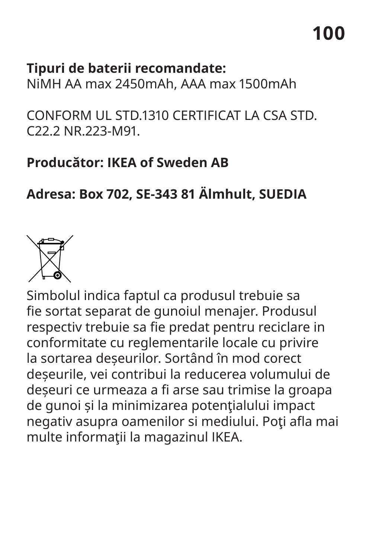**Tipuri de baterii recomandate:** NiMH AA max 2450mAh, AAA max 1500mAh

CONFORM UL STD.1310 CERTIFICAT LA CSA STD. C22.2 NR.223-M91.

#### **Producător: IKEA of Sweden AB**

#### **Adresa: Box 702, SE-343 81 Älmhult, SUEDIA**



Simbolul indica faptul ca produsul trebuie sa fie sortat separat de gunoiul menajer. Produsul respectiv trebuie sa fie predat pentru reciclare in conformitate cu reglementarile locale cu privire la sortarea deșeurilor. Sortând în mod corect deșeurile, vei contribui la reducerea volumului de deșeuri ce urmeaza a fi arse sau trimise la groapa de gunoi și la minimizarea potențialului impact negativ asupra oamenilor si mediului. Poţi afla mai multe informatii la magazinul IKEA.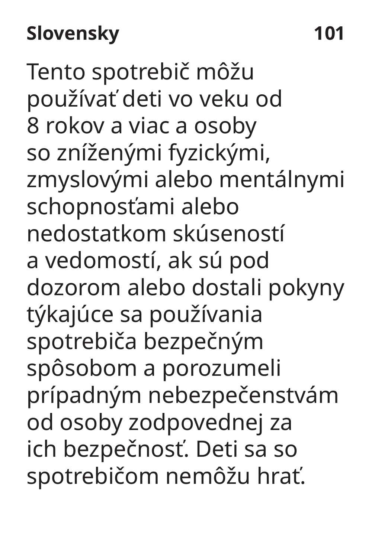Tento spotrebič môžu používať deti vo veku od 8 rokov a viac a osoby so zníženými fyzickými, zmyslovými alebo mentálnymi schopnosťami alebo nedostatkom skúseností a vedomostí, ak sú pod dozorom alebo dostali pokyny týkajúce sa používania spotrebiča bezpečným spôsobom a porozumeli prípadným nebezpečenstvám od osoby zodpovednej za ich bezpečnosť. Deti sa so spotrebičom nemôžu hrať.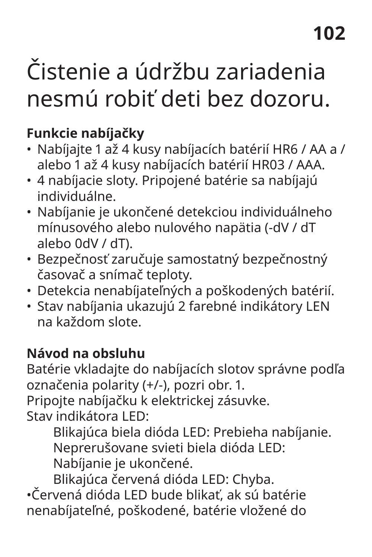# Čistenie a údržbu zariadenia nesmú robiť deti bez dozoru.

# **Funkcie nabíjačky**

- Nabíjajte 1 až 4 kusy nabíjacích batérií HR6 / AA a / alebo 1 až 4 kusy nabíjacích batérií HR03 / AAA.
- 4 nabíjacie sloty. Pripojené batérie sa nabíjajú individuálne.
- Nabíjanie je ukončené detekciou individuálneho mínusového alebo nulového napätia (-dV / dT alebo 0dV / dT).
- Bezpečnosť zaručuje samostatný bezpečnostný časovač a snímač teploty.
- Detekcia nenabíjateľných a poškodených batérií.
- Stav nabíjania ukazujú 2 farebné indikátory LEN na každom slote.

## **Návod na obsluhu**

Batérie vkladajte do nabíjacích slotov správne podľa označenia polarity (+/-), pozri obr. 1.

Pripojte nabíjačku k elektrickej zásuvke.

Stav indikátora LED:

Blikajúca biela dióda LED: Prebieha nabíjanie.

Neprerušovane svieti biela dióda LED:

Nabíjanie je ukončené.

Blikajúca červená dióda LED: Chyba.

•Červená dióda LED bude blikať, ak sú batérie nenabíjateľné, poškodené, batérie vložené do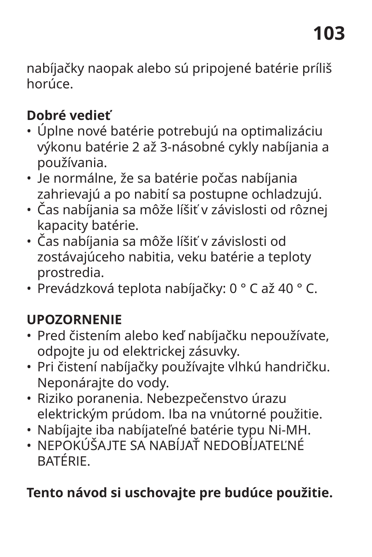nabíjačky naopak alebo sú pripojené batérie príliš horúce.

# **Dobré vedieť**

- Úplne nové batérie potrebujú na optimalizáciu výkonu batérie 2 až 3-násobné cykly nabíjania a používania.
- Je normálne, že sa batérie počas nabíjania zahrievajú a po nabití sa postupne ochladzujú.
- Čas nabíjania sa môže líšiť v závislosti od rôznej kapacity batérie.
- Čas nabíjania sa môže líšiť v závislosti od zostávajúceho nabitia, veku batérie a teploty prostredia.
- Prevádzková teplota nabíjačky: 0 ° C až 40 ° C.

## **UPOZORNENIE**

- Pred čistením alebo keď nabíjačku nepoužívate, odpojte ju od elektrickej zásuvky.
- Pri čistení nabíjačky používajte vlhkú handričku. Neponárajte do vody.
- Riziko poranenia. Nebezpečenstvo úrazu elektrickým prúdom. Iba na vnútorné použitie.
- Nabíjajte iba nabíjateľné batérie typu Ni-MH.
- NEPOKÚŠA ITE SA NABÍJAŤ NEDOBÍJATEĽNÉ **BATÉRIE**

## **Tento návod si uschovajte pre budúce použitie.**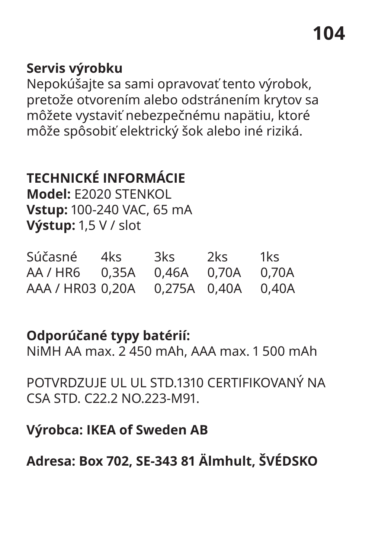#### **Servis výrobku**

Nepokúšajte sa sami opravovať tento výrobok, pretože otvorením alebo odstránením krytov sa môžete vystaviť nebezpečnému napätiu, ktoré môže spôsobiť elektrický šok alebo iné riziká.

# **TECHNICKÉ INFORMÁCIE**

**Model:** E2020 STENKOL **Vstup:** 100-240 VAC, 65 mA **Výstup:** 1,5 V / slot

| Súčasné          | 4ks.  | 3ks          | 2ks   | 1ks   |
|------------------|-------|--------------|-------|-------|
| AA / HR6         | 0.35A | 0.46A        | 0.70A | 0.70A |
| AAA / HR03 0.20A |       | 0.275A 0.40A |       | 0.40A |

#### **Odporúčané typy batérií:**

NiMH AA max. 2 450 mAh, AAA max. 1 500 mAh

POTVRDZUJE UL UL STD.1310 CERTIFIKOVANÝ NA CSA STD. C22.2 NO.223-M91.

**Výrobca: IKEA of Sweden AB**

**Adresa: Box 702, SE-343 81 Älmhult, ŠVÉDSKO**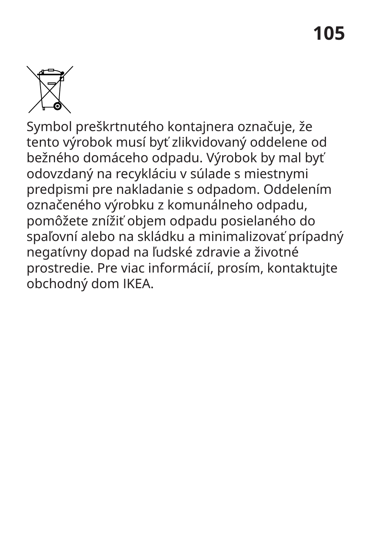

Symbol preškrtnutého kontajnera označuje, že tento výrobok musí byť zlikvidovaný oddelene od bežného domáceho odpadu. Výrobok by mal byť odovzdaný na recykláciu v súlade s miestnymi predpismi pre nakladanie s odpadom. Oddelením označeného výrobku z komunálneho odpadu, pomôžete znížiť objem odpadu posielaného do spaľovní alebo na skládku a minimalizovať prípadný negatívny dopad na ľudské zdravie a životné prostredie. Pre viac informácií, prosím, kontaktujte obchodný dom IKEA.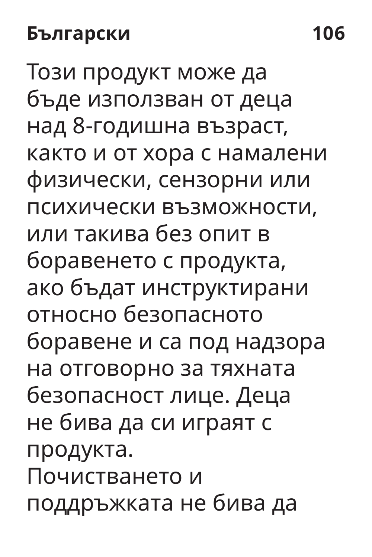**Български 106**

Този продукт може да бъде използван от деца над 8-годишна възраст, както и от хора с намалени физически, сензорни или психически възможности, или такива без опит в боравенето с продукта, ако бъдат инструктирани относно безопасното боравене и са под надзора на отговорно за тяхната безопасност лице. Деца не бива да си играят с продукта. Почистването и поддръжката не бива да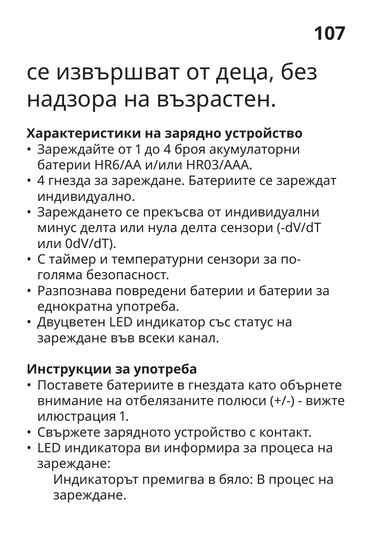# се извършват от деца, без надзора на възрастен.

#### **Характеристики на зарядно устройство**

- Зареждайте от 1 до 4 броя акумулаторни батерии HR6/AA и/или HR03/AAA.
- 4 гнезда за зареждане. Батериите се зареждат индивидуално.
- Зареждането се прекъсва от индивидуални минус делта или нула делта сензори (-dV/dT или 0dV/dT).
- С таймер и температурни сензори за поголяма безопасност.
- Разпознава повредени батерии и батерии за еднократна употреба.
- Двуцветен LED индикатор със статус на зареждане във всеки канал.

## **Инструкции за употреба**

- Поставете батериите в гнездата като обърнете внимание на отбелязаните полюси (+/-) - вижте илюстрация 1.
- Свържете зарядното устройство с контакт.
- LED индикатора ви информира за процеса на зареждане:

Индикаторът премигва в бяло: В процес на зареждане.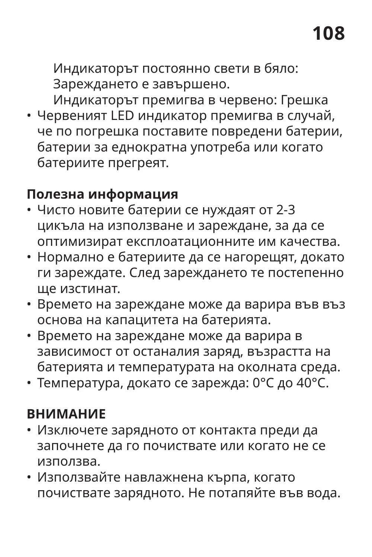Индикаторът постоянно свети в бяло: Зареждането е завършено. Индикаторът премигва в червено: Грешка

• Червеният LED индикатор премигва в случай, че по погрешка поставите повредени батерии, батерии за еднократна употреба или когато батериите прегреят.

#### **Полезна информация**

- Чисто новите батерии се нуждаят от 2-3 цикъла на използване и зареждане, за да се оптимизират експлоатационните им качества.
- Нормално е батериите да се нагорещят, докато ги зареждате. След зареждането те постепенно ще изстинат.
- Времето на зареждане може да варира във въз основа на капацитета на батерията.
- Времето на зареждане може да варира в зависимост от останалия заряд, възрастта на батерията и температурата на околната среда.
- Температура, докато се зарежда: 0°C до 40°C.

#### **ВНИМАНИЕ**

- Изключете зарядното от контакта преди да започнете да го почиствате или когато не се използва.
- Използвайте навлажнена кърпа, когато почиствате зарядното. Не потапяйте във вода.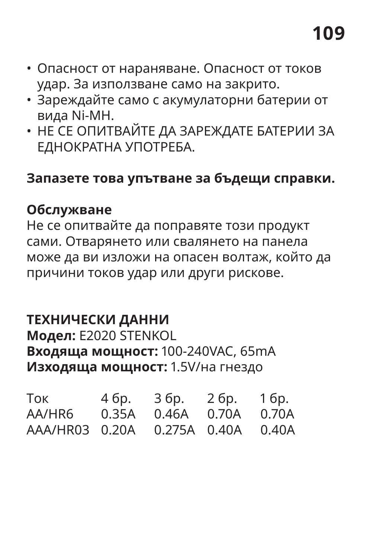- Опасност от нараняване. Опасност от токов удар. За използване само на закрито.
- Зареждайте само с акумулаторни батерии от вида Ni-MH.
- НЕ СЕ ОПИТВАЙТЕ ДА ЗАРЕЖДАТЕ БАТЕРИИ ЗА ЕДНОКРАТНА УПОТРЕБА.

#### **Запазете това упътване за бъдещи справки.**

#### **Обслужване**

Не се опитвайте да поправяте този продукт сами. Отварянето или свалянето на панела може да ви изложи на опасен волтаж, който да причини токов удар или други рискове.

#### **ТЕХНИЧЕСКИ ДАННИ**

**Модел:** E2020 STENKOL **Входяща мощност:** 100-240VAC, 65mA **Изходяща мощност:** 1.5V/на гнездо

| Ток            | 4 бр. | 3 бр.        | 2 бр. | 1 6p. |
|----------------|-------|--------------|-------|-------|
| AA/HR6         | 0.35A | 0.46A        | 0.70A | 0.70A |
| AAA/HR03 0.20A |       | 0.275A 0.40A |       | 0.40A |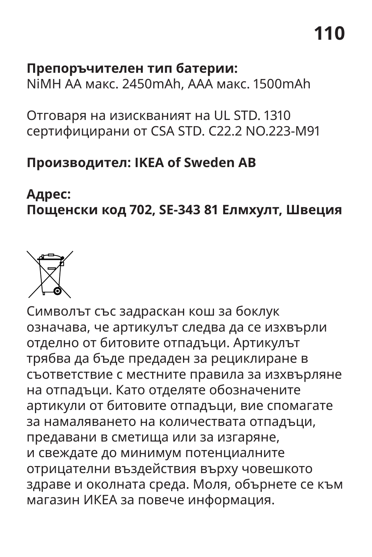#### **Препоръчителен тип батерии:** NiMH AA макс. 2450mAh, AAA макс. 1500mAh

Отговаря на изискваният на UL STD. 1310 сертифицирани от CSA STD. C22.2 NO.223-M91

#### **Производител: IKEA of Sweden AB**

#### **Адрес: Пощенски код 702, SE-343 81 Елмхулт, Швеция**



Символът със задраскан кош за боклук означава, че артикулът следва да се изхвърли отделно от битовите отпадъци. Артикулът трябва да бъде предаден за рециклиране в съответствие с местните правила за изхвърляне на отпадъци. Като отделяте обозначените артикули от битовите отпадъци, вие спомагате за намаляването на количествата отпадъци, предавани в сметища или за изгаряне, и свеждате до минимум потенциалните отрицателни въздействия върху човешкото здраве и околната среда. Моля, обърнете се към магазин ИКЕА за повече информация.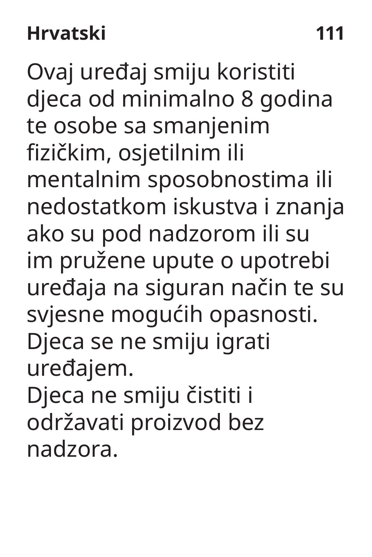## **Hrvatski 111**

Ovaj uređaj smiju koristiti djeca od minimalno 8 godina te osobe sa smanjenim fizičkim, osjetilnim ili mentalnim sposobnostima ili nedostatkom iskustva i znanja ako su pod nadzorom ili su im pružene upute o upotrebi uređaja na siguran način te su svjesne mogućih opasnosti. Djeca se ne smiju igrati uređajem. Djeca ne smiju čistiti i održavati proizvod bez nadzora.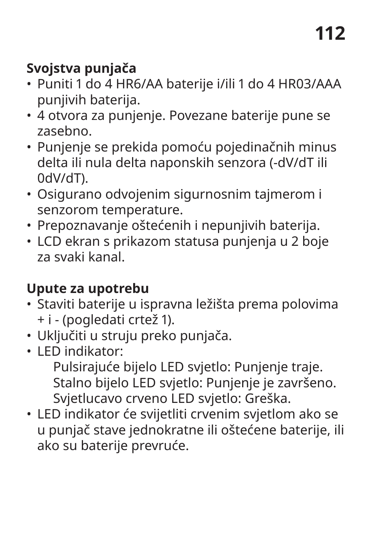## **Svojstva punjača**

- Puniti 1 do 4 HR6/AA baterije i/ili 1 do 4 HR03/AAA punjivih baterija.
- 4 otvora za punjenje. Povezane baterije pune se zasebno.
- Punjenje se prekida pomoću pojedinačnih minus delta ili nula delta naponskih senzora (-dV/dT ili 0dV/dT).
- Osigurano odvojenim sigurnosnim tajmerom i senzorom temperature.
- Prepoznavanje oštećenih i nepunjivih baterija.
- LCD ekran s prikazom statusa punjenja u 2 boje za svaki kanal.

#### **Upute za upotrebu**

- Staviti baterije u ispravna ležišta prema polovima + i - (pogledati crtež 1).
- Uključiti u struju preko punjača.
- LED indikator:

Pulsirajuće bijelo LED svjetlo: Punjenje traje. Stalno bijelo LED svjetlo: Punjenje je završeno. Svjetlucavo crveno LED svjetlo: Greška.

• LED indikator će svijetliti crvenim svjetlom ako se u punjač stave jednokratne ili oštećene baterije, ili ako su baterije prevruće.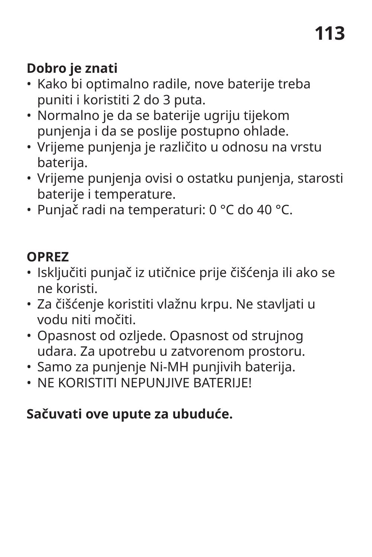## **Dobro je znati**

- Kako bi optimalno radile, nove baterije treba puniti i koristiti 2 do 3 puta.
- Normalno je da se baterije ugriju tijekom punjenja i da se poslije postupno ohlade.
- Vrijeme punjenja je različito u odnosu na vrstu baterija.
- Vrijeme punjenja ovisi o ostatku punjenja, starosti baterije i temperature.
- Punjač radi na temperaturi: 0 °C do 40 °C.

## **OPREZ**

- Isključiti punjač iz utičnice prije čišćenja ili ako se ne koristi.
- Za čišćenje koristiti vlažnu krpu. Ne stavljati u vodu niti močiti.
- Opasnost od ozljede. Opasnost od strujnog udara. Za upotrebu u zatvorenom prostoru.
- Samo za punjenje Ni-MH punjivih baterija.
- NE KORISTITI NEPUNJIVE BATERIJE!

## **Sačuvati ove upute za ubuduće.**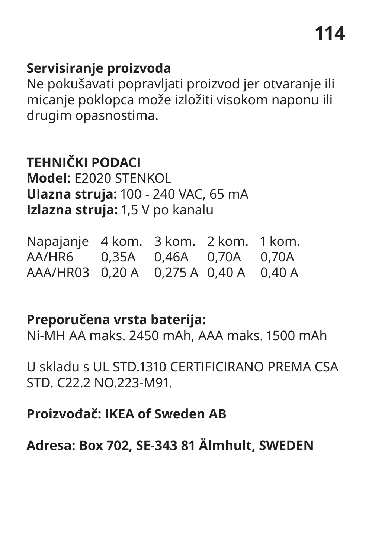#### **Servisiranje proizvoda**

Ne pokušavati popravljati proizvod jer otvaranje ili micanje poklopca može izložiti visokom naponu ili drugim opasnostima.

## **TEHNIČKI PODACI**

**Model:** E2020 STENKOL **Ulazna struja:** 100 - 240 VAC, 65 mA **Izlazna struja:** 1,5 V po kanalu

| Napajanje 4 kom. 3 kom. 2 kom. 1 kom. |                         |  |
|---------------------------------------|-------------------------|--|
|                                       |                         |  |
| AAA/HR03 0.20 A                       | $0.275 A$ 0.40 A 0.40 A |  |

#### **Preporučena vrsta baterija:**

Ni-MH AA maks. 2450 mAh, AAA maks. 1500 mAh

U skladu s UL STD.1310 CERTIFICIRANO PREMA CSA STD. C22.2 NO.223-M91.

#### **Proizvođač: IKEA of Sweden AB**

**Adresa: Box 702, SE-343 81 Älmhult, SWEDEN**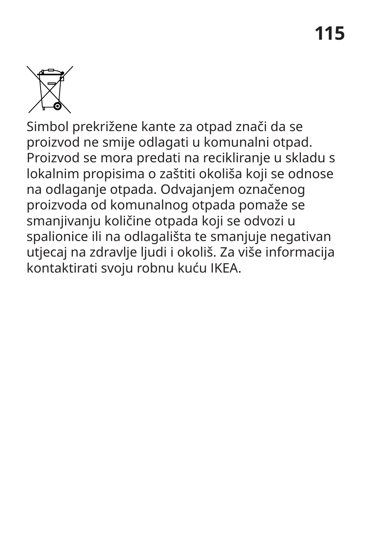

Simbol prekrižene kante za otpad znači da se proizvod ne smije odlagati u komunalni otpad. Proizvod se mora predati na recikliranje u skladu s lokalnim propisima o zaštiti okoliša koji se odnose na odlaganje otpada. Odvajanjem označenog proizvoda od komunalnog otpada pomaže se smanjivanju količine otpada koji se odvozi u spalionice ili na odlagališta te smanjuje negativan utjecaj na zdravlje ljudi i okoliš. Za više informacija kontaktirati svoju robnu kuću IKEA.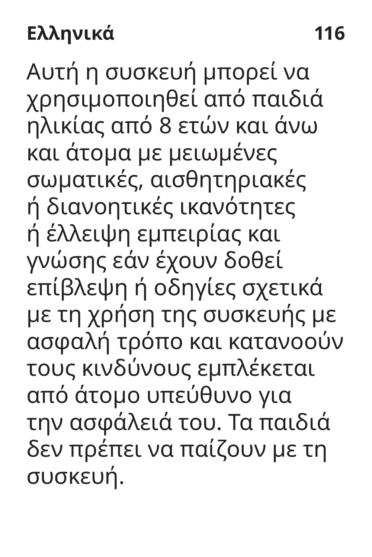Αυτή η συσκευή μπορεί να χρησιμοποιηθεί από παιδιά ηλικίας από 8 ετών και άνω και άτομα με μειωμένες σωματικές, αισθητηριακές ή διανοητικές ικανότητες ή έλλειψη εμπειρίας και γνώσης εάν έχουν δοθεί επίβλεψη ή οδηγίες σχετικά με τη χρήση της συσκευής με ασφαλή τρόπο και κατανοούν τους κινδύνους εμπλέκεται από άτομο υπεύθυνο για την ασφάλειά του. Τα παιδιά δεν πρέπει να παίζουν με τη συσκευή.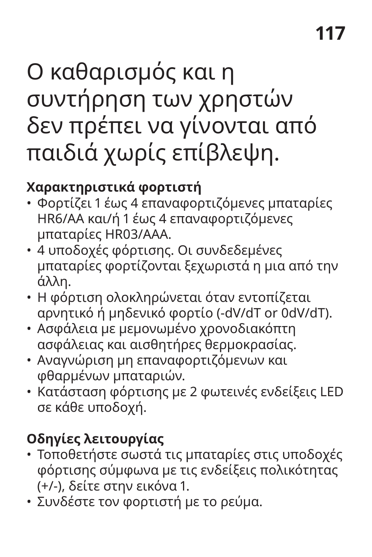# Ο καθαρισμός και η συντήρηση των χρηστών δεν πρέπει να γίνονται από παιδιά χωρίς επίβλεψη.

## **Χαρακτηριστικά φορτιστή**

- Φορτίζει 1 έως 4 επαναφορτιζόμενες μπαταρίες HR6/AA και/ή 1 έως 4 επαναφορτιζόμενες μπαταρίες HR03/AAA.
- 4 υποδοχές φόρτισης. Οι συνδεδεμένες μπαταρίες φορτίζονται ξεχωριστά η μια από την άλλη.
- Η φόρτιση ολοκληρώνεται όταν εντοπίζεται αρνητικό ή μηδενικό φορτίο (-dV/dT or 0dV/dT).
- Ασφάλεια με μεμονωμένο χρονοδιακόπτη ασφάλειας και αισθητήρες θερμοκρασίας.
- Αναγνώριση μη επαναφορτιζόμενων και φθαρμένων μπαταριών.
- Κατάσταση φόρτισης με 2 φωτεινές ενδείξεις LED σε κάθε υποδοχή.

## **Οδηγίες λειτουργίας**

- Τοποθετήστε σωστά τις μπαταρίες στις υποδοχές φόρτισης σύμφωνα με τις ενδείξεις πολικότητας (+/-), δείτε στην εικόνα 1.
- Συνδέστε τον φορτιστή με το ρεύμα.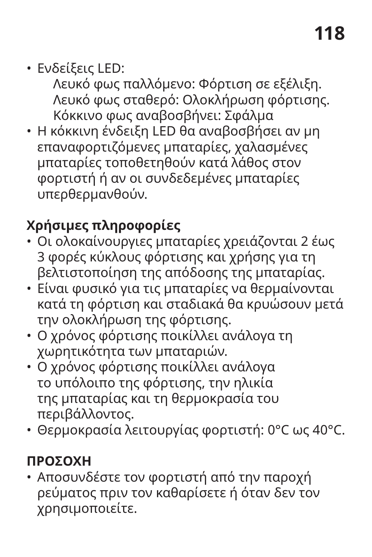• Ενδείξεις LED:

Λευκό φως παλλόμενο: Φόρτιση σε εξέλιξη. Λευκό φως σταθερό: Ολοκλήρωση φόρτισης. Κόκκινο φως αναβοσβήνει: Σφάλμα

• Η κόκκινη ένδειξη LED θα αναβοσβήσει αν μη επαναφορτιζόμενες μπαταρίες, χαλασμένες μπαταρίες τοποθετηθούν κατά λάθος στον φορτιστή ή αν οι συνδεδεμένες μπαταρίες υπερθερμανθούν.

## **Χρήσιμες πληροφορίες**

- Οι ολοκαίνουργιες μπαταρίες χρειάζονται 2 έως 3 φορές κύκλους φόρτισης και χρήσης για τη βελτιστοποίηση της απόδοσης της μπαταρίας.
- Είναι φυσικό για τις μπαταρίες να θερμαίνονται κατά τη φόρτιση και σταδιακά θα κρυώσουν μετά την ολοκλήρωση της φόρτισης.
- Ο χρόνος φόρτισης ποικίλλει ανάλογα τη χωρητικότητα των μπαταριών.
- Ο χρόνος φόρτισης ποικίλλει ανάλογα το υπόλοιπο της φόρτισης, την ηλικία της μπαταρίας και τη θερμοκρασία του περιβάλλοντος.
- Θερμοκρασία λειτουργίας φορτιστή: 0°C ως 40°C.

## **ΠΡΟΣΟΧΗ**

• Αποσυνδέστε τον φορτιστή από την παροχή ρεύματος πριν τον καθαρίσετε ή όταν δεν τον χρησιμοποιείτε.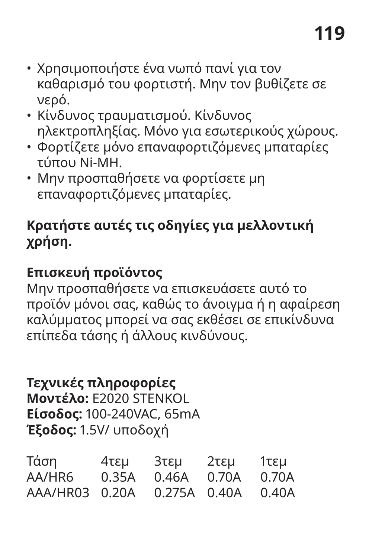- Χρησιμοποιήστε ένα νωπό πανί για τον καθαρισμό του φορτιστή. Μην τον βυθίζετε σε νερό.
- Κίνδυνος τραυματισμού. Κίνδυνος ηλεκτροπληξίας. Μόνο για εσωτερικούς χώρους.
- Φορτίζετε μόνο επαναφορτιζόμενες μπαταρίες τύπου Ni-MH.
- Μην προσπαθήσετε να φορτίσετε μη επαναφορτιζόμενες μπαταρίες.

## **Κρατήστε αυτές τις οδηγίες για μελλοντική χρήση.**

## **Επισκευή προϊόντος**

Μην προσπαθήσετε να επισκευάσετε αυτό το προϊόν μόνοι σας, καθώς το άνοιγμα ή η αφαίρεση καλύμματος μπορεί να σας εκθέσει σε επικίνδυνα επίπεδα τάσης ή άλλους κινδύνους.

## **Τεχνικές πληροφορίες**

**Μοντέλο:** E2020 STENKOL **Είσοδος:** 100-240VAC, 65mA **Έξοδος:** 1.5V/ υποδοχή

| Τάση           | 4τεμ  | 3τεμ         | 2τεμ  | 1τεμ  |
|----------------|-------|--------------|-------|-------|
| AA/HR6         | 0.35A | 0.46A        | 0.70A | 0.70A |
| AAA/HR03 0.20A |       | 0.275A 0.40A |       | 0.40A |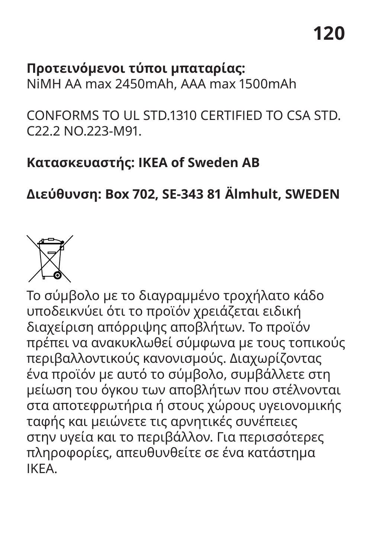**Προτεινόμενοι τύποι μπαταρίας:** NiMH AA max 2450mAh, AAA max 1500mAh

CONFORMS TO UL STD.1310 CERTIFIED TO CSA STD. C22.2 NO.223-M91.

#### **Κατασκευαστής: IKEA of Sweden AB**

#### **Διεύθυνση: Box 702, SE-343 81 Älmhult, SWEDEN**



Το σύμβολο με το διαγραμμένο τροχήλατο κάδο υποδεικνύει ότι το προϊόν χρειάζεται ειδική διαχείριση απόρριψης αποβλήτων. Το προϊόν πρέπει να ανακυκλωθεί σύμφωνα με τους τοπικούς περιβαλλοντικούς κανονισμούς. Διαχωρίζοντας ένα προϊόν με αυτό το σύμβολο, συμβάλλετε στη μείωση του όγκου των αποβλήτων που στέλνονται στα αποτεφρωτήρια ή στους χώρους υγειονομικής ταφής και μειώνετε τις αρνητικές συνέπειες στην υγεία και το περιβάλλον. Για περισσότερες πληροφορίες, απευθυνθείτε σε ένα κατάστημα ΙΚΕΑ.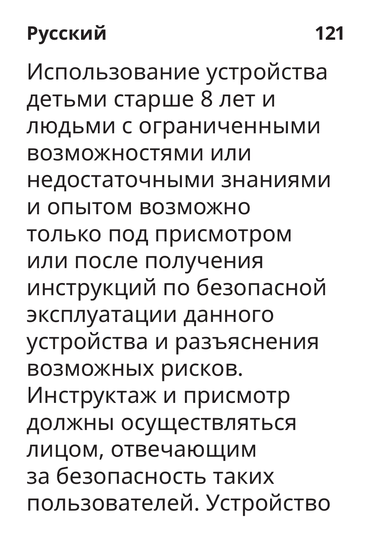**Русский 121**

Использование устройства детьми старше 8 лет и людьми с ограниченными возможностями или недостаточными знаниями и опытом возможно только под присмотром или после получения инструкций по безопасной эксплуатации данного устройства и разъяснения возможных рисков. Инструктаж и присмотр должны осуществляться лицом, отвечающим за безопасность таких пользователей. Устройство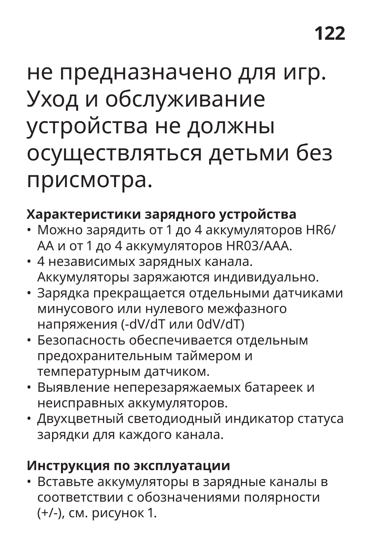# не предназначено для игр. Уход и обслуживание устройства не должны осуществляться детьми без присмотра.

#### **Характеристики зарядного устройства**

- Можно зарядить от 1 до 4 аккумуляторов HR6/ AA и от 1 до 4 аккумуляторов HR03/AAA.
- 4 независимых зарядных канала. Аккумуляторы заряжаются индивидуально.
- Зарядка прекращается отдельными датчиками минусового или нулевого межфазного напряжения (-dV/dT или 0dV/dT)
- Безопасность обеспечивается отдельным предохранительным таймером и температурным датчиком.
- Выявление неперезаряжаемых батареек и неисправных аккумуляторов.
- Двухцветный светодиодный индикатор статуса зарядки для каждого канала.

#### **Инструкция по эксплуатации**

• Вставьте аккумуляторы в зарядные каналы в соответствии с обозначениями полярности (+/-), см. рисунок 1.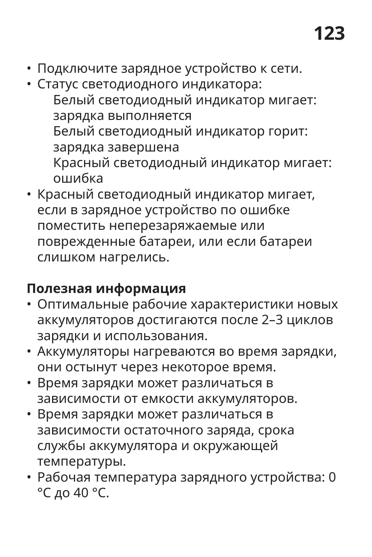- Подключите зарядное устройство к сети.
- Статус светодиодного индикатора: Белый светодиодный индикатор мигает: зарядка выполняется Белый светодиодный индикатор горит: зарядка завершена Красный светодиодный индикатор мигает: ошибка
- Красный светодиодный индикатор мигает, если в зарядное устройство по ошибке поместить неперезаряжаемые или поврежденные батареи, или если батареи слишком нагрелись.

#### **Полезная информация**

- Оптимальные рабочие характеристики новых аккумуляторов достигаются после 2–3 циклов зарядки и использования.
- Аккумуляторы нагреваются во время зарядки, они остынут через некоторое время.
- Время зарядки может различаться в зависимости от емкости аккумуляторов.
- Время зарядки может различаться в зависимости остаточного заряда, срока службы аккумулятора и окружающей температуры.
- Рабочая температура зарядного устройства: 0 °C до 40 °C.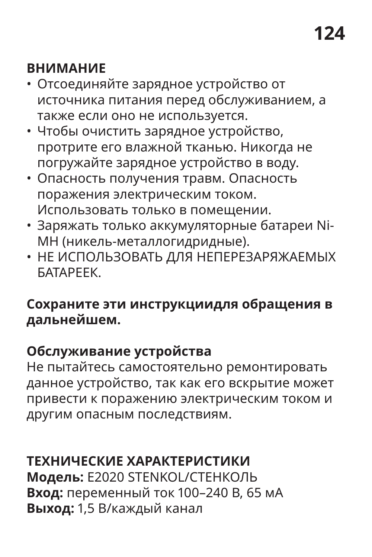#### **ВНИМАНИЕ**

- Отсоединяйте зарядное устройство от источника питания перед обслуживанием, а также если оно не используется.
- Чтобы очистить зарядное устройство, протрите его влажной тканью. Никогда не погружайте зарядное устройство в воду.
- Опасность получения травм. Опасность поражения электрическим током. Использовать только в помещении.
- Заряжать только аккумуляторные батареи Ni-MH (никель-металлогидридные).
- НЕ ИСПОЛЬЗОВАТЬ ДЛЯ НЕПЕРЕЗАРЯЖАЕМЫХ БАТАРЕЕК.

#### **Сохраните эти инструкциидля обращения в дальнейшем.**

#### **Обслуживание устройства**

Не пытайтесь самостоятельно ремонтировать данное устройство, так как его вскрытие может привести к поражению электрическим током и другим опасным последствиям.

#### **ТЕХНИЧЕСКИЕ ХАРАКТЕРИСТИКИ**

**Модель:** E2020 STENKOL/СТЕНКОЛЬ **Вход:** переменный ток 100–240 В, 65 мА **Выход:** 1,5 В/каждый канал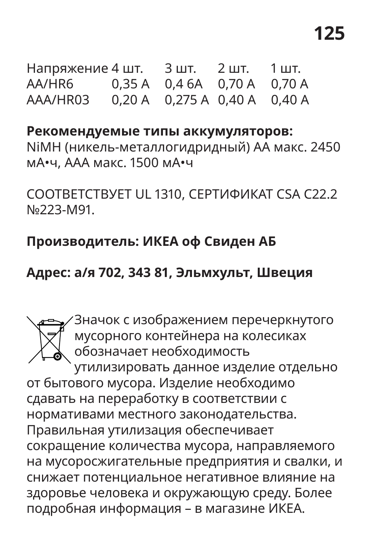Напряжение 4 шт. 3 шт. 2 шт. 1 шт.<br>АА/НR6 0.35 А 0.4 6А 0.70 А 0.70 А 0,46A 0,70 A 0,70 A<br>0.275 A 0.40 A 0.40 A AAA/HR03 0,20 A 0,275 A 0,40 A 0,40 A

#### **Рекомендуемые типы аккумуляторов:**

NiMH (никель-металлогидридный) АА макс. 2450 мА•ч, AAA макс. 1500 мА•ч

СООТВЕТСТВУЕТ UL 1310, СЕРТИФИКАТ CSA C22.2 №223-M91.

#### **Производитель: ИКЕА оф Свиден АБ**

#### **Адрес: а/я 702, 343 81, Эльмхульт, Швеция**

Значок с изображением перечеркнутого мусорного контейнера на колесиках обозначает необходимость утилизировать данное изделие отдельно от бытового мусора. Изделие необходимо сдавать на переработку в соответствии с нормативами местного законодательства. Правильная утилизация обеспечивает сокращение количества мусора, направляемого на мусоросжигательные предприятия и свалки, и снижает потенциальное негативное влияние на здоровье человека и окружающую среду. Более подробная информация – в магазине ИКЕА.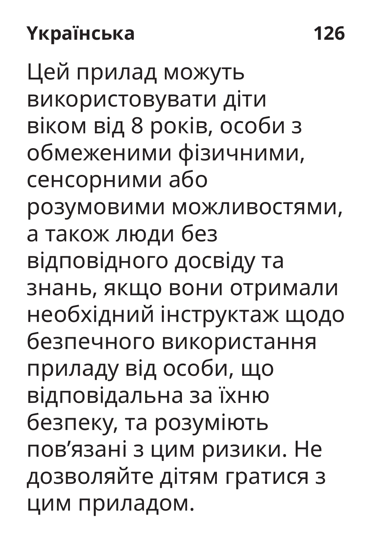**Yкраїнська 126**

Цей прилад можуть використовувати діти віком від 8 років, особи з обмеженими фізичними, сенсорними або розумовими можливостями, а також люди без відповідного досвіду та знань, якщо вони отримали необхідний інструктаж щодо безпечного використання приладу від особи, що відповідальна за їхню безпеку, та розуміють пов'язані з цим ризики. Не дозволяйте дітям гратися з цим приладом.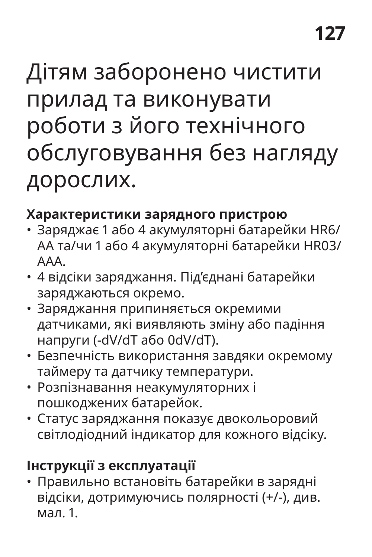# Дітям заборонено чистити прилад та виконувати роботи з його технічного обслуговування без нагляду дорослих.

#### **Характеристики зарядного пристрою**

- Заряджає 1 або 4 акумуляторні батарейки HR6/ AA та/чи 1 або 4 акумуляторні батарейки HR03/ AAA.
- 4 відсіки заряджання. Під'єднані батарейки заряджаються окремо.
- Заряджання припиняється окремими датчиками, які виявляють зміну або падіння напруги (-dV/dT або 0dV/dT).
- Безпечність використання завдяки окремому таймеру та датчику температури.
- Розпізнавання неакумуляторних і пошкоджених батарейок.
- Статус заряджання показує двокольоровий світлодіодний індикатор для кожного відсіку.

#### **Інструкції з експлуатації**

• Правильно встановіть батарейки в зарядні відсіки, дотримуючись полярності (+/-), див. мал. 1.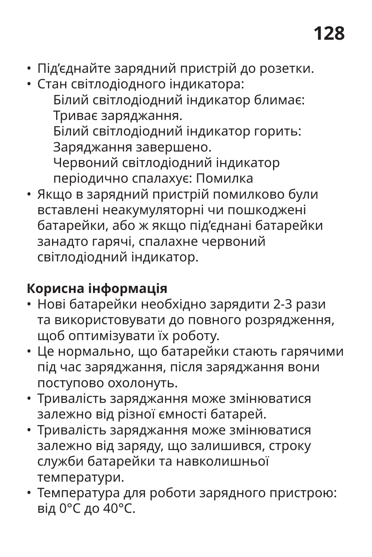- Під'єднайте зарядний пристрій до розетки.
- Стан світлодіодного індикатора:

Білий світлодіодний індикатор блимає: Триває заряджання.

Білий світлодіодний індикатор горить: Заряджання завершено.

Червоний світлодіодний індикатор періодично спалахує: Помилка

• Якщо в зарядний пристрій помилково були вставлені неакумуляторні чи пошкоджені батарейки, або ж якщо під'єднані батарейки занадто гарячі, спалахне червоний світлодіодний індикатор.

#### **Корисна інформація**

- Нові батарейки необхідно зарядити 2-3 рази та використовувати до повного розрядження, щоб оптимізувати їх роботу.
- Це нормально, що батарейки стають гарячими під час заряджання, після заряджання вони поступово охолонуть.
- Тривалість заряджання може змінюватися залежно від різної ємності батарей.
- Тривалість заряджання може змінюватися залежно від заряду, що залишився, строку служби батарейки та навколишньої температури.
- Температура для роботи зарядного пристрою: від 0°C до 40°C.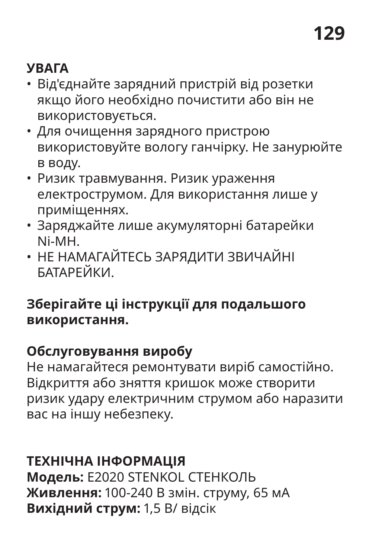#### **УВАГА**

- Від'єднайте зарядний пристрій від розетки якщо його необхідно почистити або він не використовується.
- Для очищення зарядного пристрою використовуйте вологу ганчірку. Не занурюйте в воду.
- Ризик травмування. Ризик ураження електрострумом. Для використання лише у приміщеннях.
- Заряджайте лише акумуляторні батарейки Ni-MH.
- НЕ НАМАГАЙТЕСЬ ЗАРЯДИТИ ЗВИЧАЙНІ **БАТАРЕЙКИ**

#### **Зберігайте ці інструкції для подальшого використання.**

#### **Обслуговування виробу**

Не намагайтеся ремонтувати виріб самостійно. Відкриття або зняття кришок може створити ризик удару електричним струмом або наразити вас на іншу небезпеку.

#### **ТЕХНІЧНА ІНФОРМАЦІЯ**

**Модель:** E2020 STENKOL СТЕНКОЛЬ **Живлення:** 100-240 В змін. струму, 65 мА **Вихідний струм:** 1,5 В/ відсік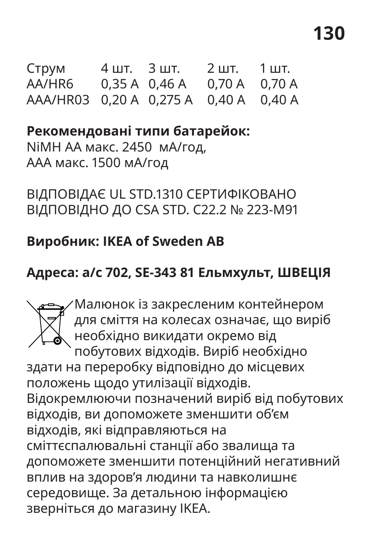Струм 4 шт. 3 шт. 2 шт. 1 шт. .<br>AAA/HR03 0,35 A 0,46 A 0,70 A 0,70 A<br>AAA/HR03 0,20 A 0,275 A 0,40 A 0,40 A 0.20 A 0.275 A

#### **Рекомендовані типи батарейок:**

NiMH AA макс. 2450 мА/год, AAA макс. 1500 мА/год

ВІДПОВІДАЄ UL STD.1310 СЕРТИФІКОВАНО ВІДПОВІДНО ДО CSA STD. C22.2 № 223-M91

#### **Виробник: IKEA of Sweden AB**

#### **Адреса: а/с 702, SE-343 81 Ельмхульт, ШВЕЦІЯ**

Малюнок із закресленим контейнером для сміття на колесах означає, що виріб необхідно викидати окремо від побутових відходів. Виріб необхідно здати на переробку відповідно до місцевих положень щодо утилізації відходів. Відокремлюючи позначений виріб від побутових відходів, ви допоможете зменшити об'єм відходів, які відправляються на сміттєспалювальні станції або звалища та допоможете зменшити потенційний негативний вплив на здоров'я людини та навколишнє середовище. За детальною інформацією зверніться до магазину IKEA.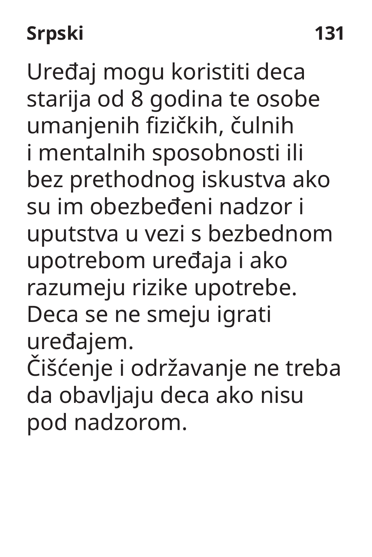## **Srpski 131**

Uređaj mogu koristiti deca starija od 8 godina te osobe umanjenih fizičkih, čulnih i mentalnih sposobnosti ili bez prethodnog iskustva ako su im obezbeđeni nadzor i uputstva u vezi s bezbednom upotrebom uređaja i ako razumeju rizike upotrebe. Deca se ne smeju igrati uređajem. Čišćenje i održavanje ne treba da obavljaju deca ako nisu

pod nadzorom.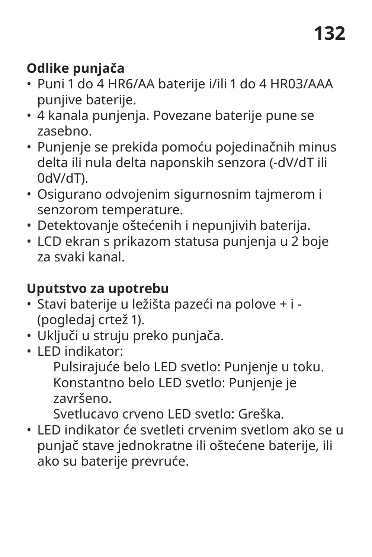## **Odlike punjača**

- Puni 1 do 4 HR6/AA baterije i/ili 1 do 4 HR03/AAA punjive baterije.
- 4 kanala punjenja. Povezane baterije pune se zasebno.
- Punjenje se prekida pomoću pojedinačnih minus delta ili nula delta naponskih senzora (-dV/dT ili 0dV/dT).
- Osigurano odvojenim sigurnosnim tajmerom i senzorom temperature.
- Detektovanje oštećenih i nepunjivih baterija.
- LCD ekran s prikazom statusa punjenja u 2 boje za svaki kanal.

#### **Uputstvo za upotrebu**

- Stavi baterije u ležišta pazeći na polove + i (pogledaj crtež 1).
- Uključi u struju preko punjača.
- LED indikator:

Pulsirajuće belo LED svetlo: Punjenje u toku. Konstantno belo LED svetlo: Punjenje je završeno.

Svetlucavo crveno LED svetlo: Greška.

• LED indikator će svetleti crvenim svetlom ako se u punjač stave jednokratne ili oštećene baterije, ili ako su baterije prevruće.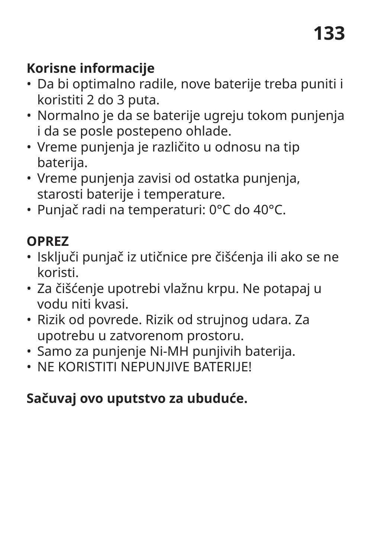## **Korisne informacije**

- Da bi optimalno radile, nove baterije treba puniti i koristiti 2 do 3 puta.
- Normalno je da se baterije ugreju tokom punjenja i da se posle postepeno ohlade.
- Vreme punjenja je različito u odnosu na tip baterija.
- Vreme punjenja zavisi od ostatka punjenja, starosti baterije i temperature.
- Punjač radi na temperaturi: 0°C do 40°C.

## **OPREZ**

- Isključi punjač iz utičnice pre čišćenja ili ako se ne koristi.
- Za čišćenje upotrebi vlažnu krpu. Ne potapaj u vodu niti kvasi.
- Rizik od povrede. Rizik od strujnog udara. Za upotrebu u zatvorenom prostoru.
- Samo za punjenje Ni-MH punjivih baterija.
- NE KORISTITI NEPUNJIVE BATERIJE!

#### **Sačuvaj ovo uputstvo za ubuduće.**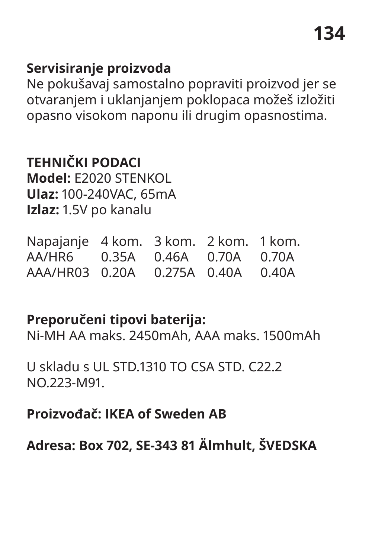#### **Servisiranje proizvoda**

Ne pokušavaj samostalno popraviti proizvod jer se otvaranjem i uklanjanjem poklopaca možeš izložiti opasno visokom naponu ili drugim opasnostima.

## **TEHNIČKI PODACI**

**Model:** E2020 STENKOL **Ulaz:** 100-240VAC, 65mA **Izlaz:** 1.5V po kanalu

| Napajanje 4 kom. 3 kom. 2 kom. 1 kom. |  |  |
|---------------------------------------|--|--|
|                                       |  |  |
| AAA/HR03 0.20A 0.275A 0.40A 0.40A     |  |  |

#### **Preporučeni tipovi baterija:**

Ni-MH AA maks. 2450mAh, AAA maks. 1500mAh

U skladu s UL STD.1310 TO CSA STD. C22.2 NO.223-M91.

**Proizvođač: IKEA of Sweden AB**

**Adresa: Box 702, SE-343 81 Älmhult, ŠVEDSKA**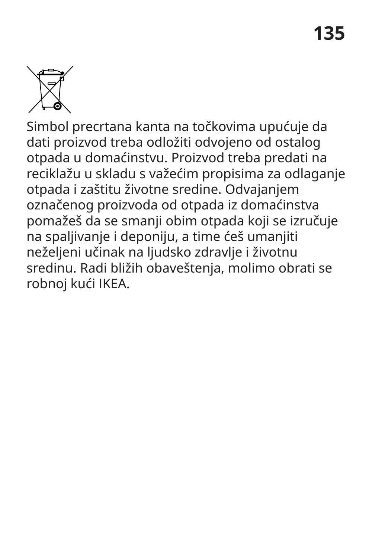

Simbol precrtana kanta na točkovima upućuje da dati proizvod treba odložiti odvojeno od ostalog otpada u domaćinstvu. Proizvod treba predati na reciklažu u skladu s važećim propisima za odlaganje otpada i zaštitu životne sredine. Odvajanjem označenog proizvoda od otpada iz domaćinstva pomažeš da se smanji obim otpada koji se izručuje na spaljivanje i deponiju, a time ćeš umanjiti neželjeni učinak na ljudsko zdravlje i životnu sredinu. Radi bližih obaveštenja, molimo obrati se robnoj kući IKEA.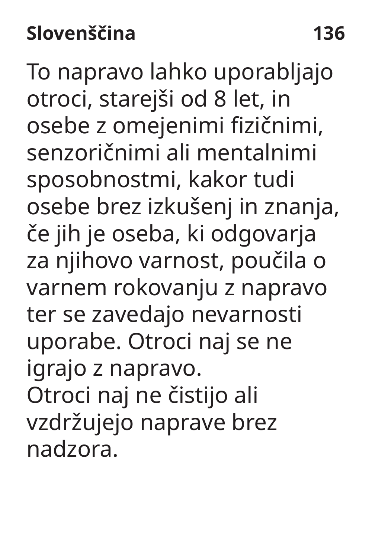## **Slovenščina 136**

To napravo lahko uporabljajo otroci, starejši od 8 let, in osebe z omejenimi fizičnimi, senzoričnimi ali mentalnimi sposobnostmi, kakor tudi osebe brez izkušenj in znanja, če jih je oseba, ki odgovarja za njihovo varnost, poučila o varnem rokovanju z napravo ter se zavedajo nevarnosti uporabe. Otroci naj se ne igrajo z napravo. Otroci naj ne čistijo ali vzdržujejo naprave brez nadzora.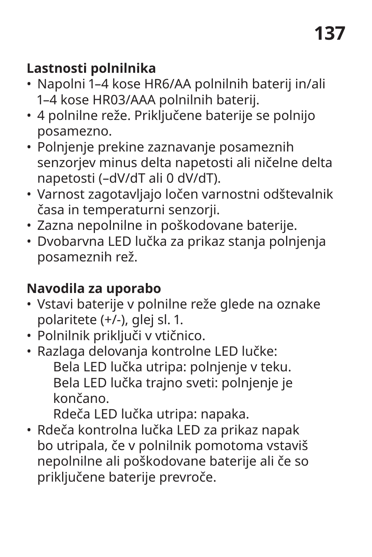## **Lastnosti polnilnika**

- Napolni 1–4 kose HR6/AA polnilnih baterij in/ali 1–4 kose HR03/AAA polnilnih baterij.
- 4 polnilne reže. Priključene baterije se polnijo posamezno.
- Polnjenje prekine zaznavanje posameznih senzorjev minus delta napetosti ali ničelne delta napetosti (–dV/dT ali 0 dV/dT).
- Varnost zagotavljajo ločen varnostni odštevalnik časa in temperaturni senzorji.
- Zazna nepolnilne in poškodovane baterije.
- Dvobarvna LED lučka za prikaz stanja polnjenja posameznih rež.

#### **Navodila za uporabo**

- Vstavi baterije v polnilne reže glede na oznake polaritete (+/-), glej sl. 1.
- Polnilnik priključi v vtičnico.
- Razlaga delovanja kontrolne LED lučke: Bela LED lučka utripa: polnjenje v teku. Bela LED lučka trajno sveti: polnjenje je končano.

Rdeča LED lučka utripa: napaka.

• Rdeča kontrolna lučka LED za prikaz napak bo utripala, če v polnilnik pomotoma vstaviš nepolnilne ali poškodovane baterije ali če so priključene baterije prevroče.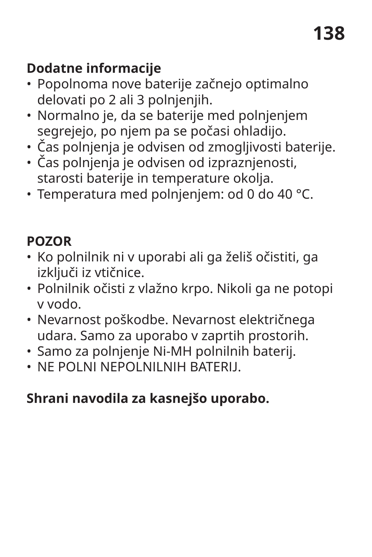## **Dodatne informacije**

- Popolnoma nove baterije začnejo optimalno delovati po 2 ali 3 polnjenjih.
- Normalno je, da se baterije med polnjenjem segrejejo, po njem pa se počasi ohladijo.
- Čas polnjenja je odvisen od zmogljivosti baterije.
- Čas polnjenja je odvisen od izpraznjenosti, starosti baterije in temperature okolja.
- Temperatura med polnjenjem: od 0 do 40 °C.

### **POZOR**

- Ko polnilnik ni v uporabi ali ga želiš očistiti, ga izključi iz vtičnice.
- Polnilnik očisti z vlažno krpo. Nikoli ga ne potopi v vodo.
- Nevarnost poškodbe. Nevarnost električnega udara. Samo za uporabo v zaprtih prostorih.
- Samo za polnjenje Ni-MH polnilnih baterij.
- NE POLNI NEPOLNILNIH BATERIJ.

#### **Shrani navodila za kasnejšo uporabo.**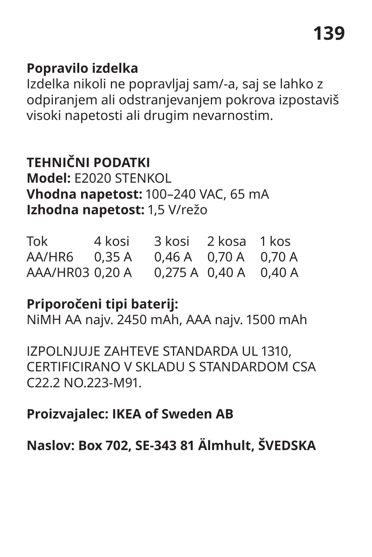#### **Popravilo izdelka**

Izdelka nikoli ne popravljaj sam/-a, saj se lahko z odpiranjem ali odstranjevanjem pokrova izpostaviš visoki napetosti ali drugim nevarnostim.

## **TEHNIČNI PODATKI**

**Model:** E2020 STENKOL **Vhodna napetost:** 100–240 VAC, 65 mA **Izhodna napetost:** 1,5 V/režo

| Tok             | 4 kosi | 3 kosi | 2 kosa 1 kos               |  |
|-----------------|--------|--------|----------------------------|--|
| AA/HR6 0.35 A   |        |        | $0.46$ A $0.70$ A $0.70$ A |  |
| AAA/HR03 0.20 A |        |        | $0.275 A$ 0.40 A 0.40 A    |  |

#### **Priporočeni tipi baterij:**

NiMH AA najv. 2450 mAh, AAA najv. 1500 mAh

IZPOLNJUJE ZAHTEVE STANDARDA UL 1310, CERTIFICIRANO V SKLADU S STANDARDOM CSA C22.2 NO.223-M91.

#### **Proizvajalec: IKEA of Sweden AB**

**Naslov: Box 702, SE-343 81 Älmhult, ŠVEDSKA**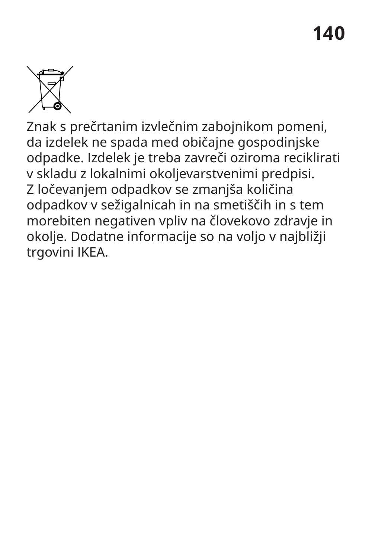

Znak s prečrtanim izvlečnim zabojnikom pomeni, da izdelek ne spada med običajne gospodinjske odpadke. Izdelek je treba zavreči oziroma reciklirati v skladu z lokalnimi okoljevarstvenimi predpisi. Z ločevanjem odpadkov se zmanjša količina odpadkov v sežigalnicah in na smetiščih in s tem morebiten negativen vpliv na človekovo zdravje in okolje. Dodatne informacije so na voljo v najbližji trgovini IKEA.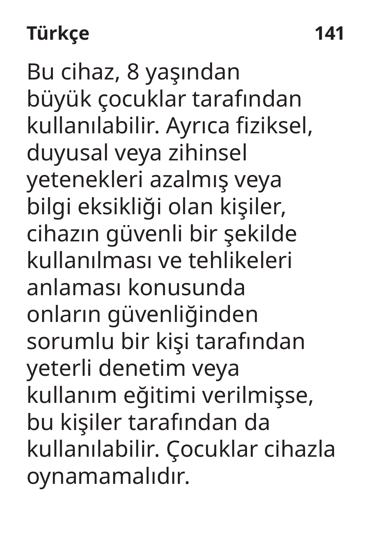## **Türkçe 141**

Bu cihaz, 8 yaşından büyük çocuklar tarafından kullanılabilir. Ayrıca fiziksel, duyusal veya zihinsel yetenekleri azalmış veya bilgi eksikliği olan kişiler, cihazın güvenli bir şekilde kullanılması ve tehlikeleri anlaması konusunda onların güvenliğinden sorumlu bir kişi tarafından yeterli denetim veya kullanım eğitimi verilmişse, bu kişiler tarafından da kullanılabilir. Çocuklar cihazla oynamamalıdır.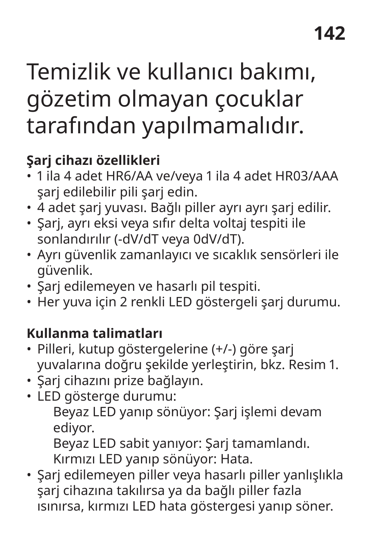# Temizlik ve kullanıcı bakımı, gözetim olmayan çocuklar tarafından yapılmamalıdır.

## **Şarj cihazı özellikleri**

- 1 ila 4 adet HR6/AA ve/veya 1 ila 4 adet HR03/AAA şarj edilebilir pili şarj edin.
- 4 adet şarj yuvası. Bağlı piller ayrı ayrı şarj edilir.
- Şarj, ayrı eksi veya sıfır delta voltaj tespiti ile sonlandırılır (-dV/dT veya 0dV/dT).
- Ayrı güvenlik zamanlayıcı ve sıcaklık sensörleri ile güvenlik.
- Şarj edilemeyen ve hasarlı pil tespiti.
- Her yuva için 2 renkli LED göstergeli şarj durumu.

#### **Kullanma talimatları**

- Pilleri, kutup göstergelerine (+/-) göre şarj yuvalarına doğru şekilde yerleştirin, bkz. Resim 1.
- Şarj cihazını prize bağlayın.
- LED gösterge durumu:

Beyaz LED yanıp sönüyor: Şarj işlemi devam ediyor.

Beyaz LED sabit yanıyor: Şarj tamamlandı.

Kırmızı LED yanıp sönüyor: Hata.

• Şarj edilemeyen piller veya hasarlı piller yanlışlıkla şarj cihazına takılırsa ya da bağlı piller fazla ısınırsa, kırmızı LED hata göstergesi yanıp söner.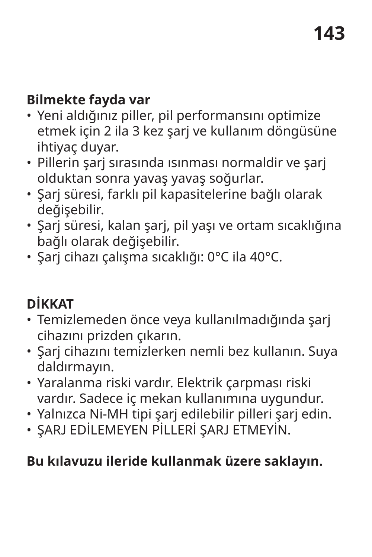#### **Bilmekte fayda var**

- Yeni aldığınız piller, pil performansını optimize etmek için 2 ila 3 kez şarj ve kullanım döngüsüne ihtiyaç duyar.
- Pillerin şari sırasında ısınması normaldir ve şari olduktan sonra yavaş yavaş soğurlar.
- Şarj süresi, farklı pil kapasitelerine bağlı olarak değişebilir.
- Şarj süresi, kalan şarj, pil yaşı ve ortam sıcaklığına bağlı olarak değişebilir.
- Şarj cihazı çalışma sıcaklığı: 0°C ila 40°C.

## **DİKKAT**

- Temizlemeden önce veya kullanılmadığında şarj cihazını prizden çıkarın.
- Şarj cihazını temizlerken nemli bez kullanın. Suya daldırmayın.
- Yaralanma riski vardır. Elektrik çarpması riski vardır. Sadece iç mekan kullanımına uygundur.
- Yalnızca Ni-MH tipi şarj edilebilir pilleri şarj edin.
- ŞARJ EDİLEMEYEN PİLLERİ ŞARJ ETMEYİN.

#### **Bu kılavuzu ileride kullanmak üzere saklayın.**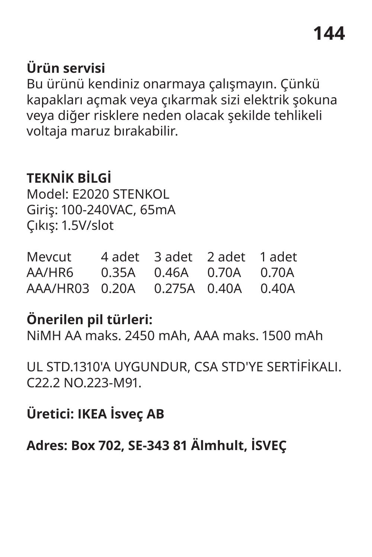## **Ürün servisi**

Bu ürünü kendiniz onarmaya çalışmayın. Çünkü kapakları açmak veya çıkarmak sizi elektrik şokuna veya diğer risklere neden olacak şekilde tehlikeli voltaja maruz bırakabilir.

## **TEKNİK BİLGİ**

Model: E2020 STENKOL Giriş: 100-240VAC, 65mA Çıkış: 1.5V/slot

| Mevcut         | 4 adet 3 adet 2 adet 1 adet |                      |  |
|----------------|-----------------------------|----------------------|--|
| AA/HR6         | 0.35A  0.46A  0.70A  0.70A  |                      |  |
| AAA/HR03 0.20A |                             | 0.275A  0.40A  0.40A |  |

#### **Önerilen pil türleri:**

NiMH AA maks. 2450 mAh, AAA maks. 1500 mAh

UL STD.1310'A UYGUNDUR, CSA STD'YE SERTİFİKALI. C22.2 NO.223-M91.

**Üretici: IKEA İsveç AB**

**Adres: Box 702, SE-343 81 Älmhult, İSVEÇ**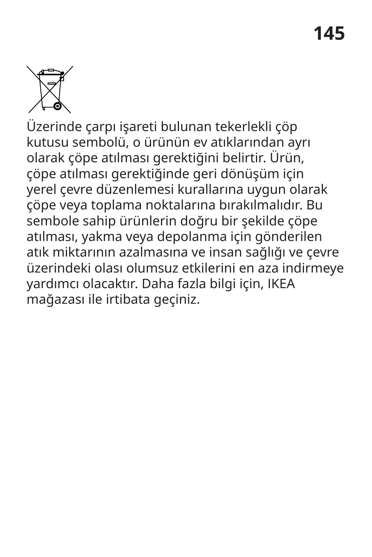

Üzerinde çarpı işareti bulunan tekerlekli çöp kutusu sembolü, o ürünün ev atıklarından ayrı olarak çöpe atılması gerektiğini belirtir. Ürün, çöpe atılması gerektiğinde geri dönüşüm için yerel çevre düzenlemesi kurallarına uygun olarak çöpe veya toplama noktalarına bırakılmalıdır. Bu sembole sahip ürünlerin doğru bir şekilde çöpe atılması, yakma veya depolanma için gönderilen atık miktarının azalmasına ve insan sağlığı ve çevre üzerindeki olası olumsuz etkilerini en aza indirmeye yardımcı olacaktır. Daha fazla bilgi için, IKEA mağazası ile irtibata geçiniz.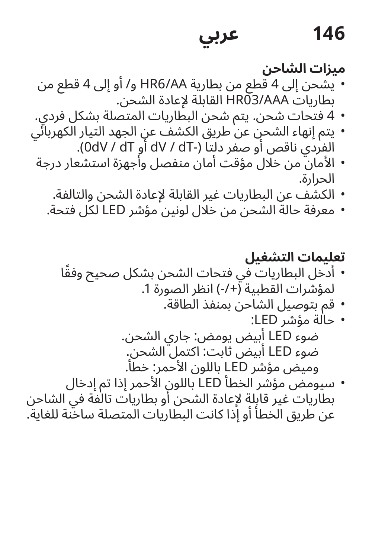# **146 عربي**

### **ميزات الشاحن**

- يشحن إىل 4 قطع من بطارية AA6/HR و/ أو إىل 4 قطع من بطاريات AAA03/HR القابلة إلعادة الشحن.
- 4 فتحات شحن. يتم شحن البطاريات المتصلة بشكل فردي. يتم إنهاء الشحن عن طريق الكشف عن الجهد التيار الكهربائي
	- الفردي ناقص أو صفر دلتا )-dT / dV أو dT / dV0).
	- األمان من خالل مؤقت أمان منفصل وأجهزة استشعار درجة الحرارة.
		- الكشف عن البطاريات غير القابلة إلعادة الشحن والتالفة.
		- معرفة حالة الشحن من خالل لونين مؤشر LED لكل فتحة.

### **تعليمات التشغيل** ً أدخل البطاريات في فتحات الشحن بشكل صحيح وفقا لمؤشرات القطبية (ۖ+/-) انظر الصورة 1. قم بتوصيل الشاحن بمنفذ الطاقة. حالة مؤشر LED: ضوء LED أبيض يومض: جاري الشحن.

ضوء LED أبيض ثابت: اكتمل الشحن. وميض مؤشر LED باللون األحمر: خطأ.

 سيومض مؤشر الخطأ LED باللون األحمر إذا تم إدخال بطاريات غير قابلة إلعادة الشحن أو بطاريات تالفة في الشاحن عن طريق الخطأ أو إذا كانت البطاريات المتصلة ساخنة للغاية.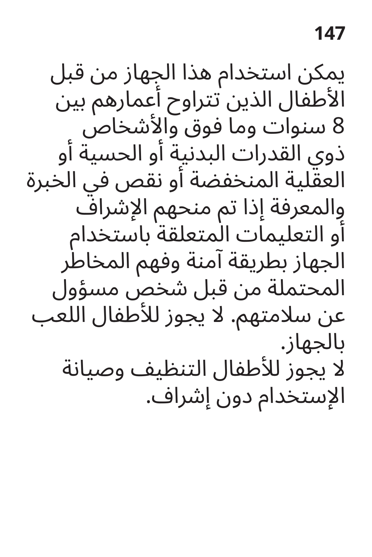## **147**

يمكن استخدام هذا الجهاز من قبل الأطفال الذين تتراوح أعمارهم بين 8 سنوات وما فوق والاشخاص ذوي القدرات البدنية أو الحسية أو العقلية المنخفضة أو نقص في الخبرة والمعرفة إذا تم منحهم الإشراف أو التعليمات المتعلقة باستخدام الجهاز بطريقة آمنة وفهم المخاطر المحتملة من قبل شخص مسؤول عن سالمتهم. ال يجوز لألطفال اللعب بالجهاز. ال يجوز لألطفال التنظيف وصيانة الإستخدام دون إشراف.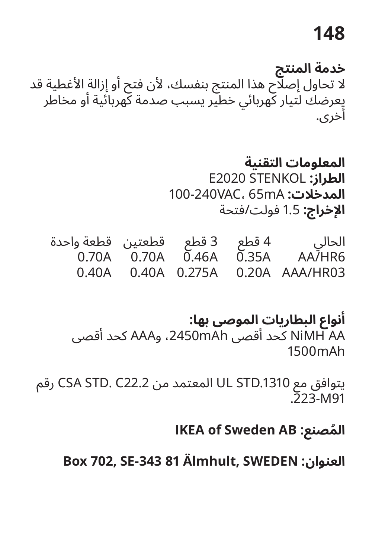**خدمة المنتج** لا تحاول إصلاح هذا المنتج بنفسك، لان فتح او إزالة الاغطية قد يعرضك لتيار كهربائي خطير يسبب صدمة كهربائية أو مخاطر أخرى.

> **المعلومات التقنية** E2020 STENKOL **:الطراز** 100-240VAC، 65mA **:المدخالت اإلخراج:** 1.5 فولت/فتحة

|  |  | الحالي      4 قطع    3 قطع    قطعتين  قطعة واحدة<br>0.70A    0.70A    0.46A    0.35A     AA/HR6 |
|--|--|-------------------------------------------------------------------------------------------------|
|  |  |                                                                                                 |
|  |  | 0.40A  0.40A  0.275A  0.20A  AAA/HR03                                                           |

**أنواع البطاريات الموصى بها:** AA NiMH كحد أقصى mAh،2450 وAAA كحد أقصى 1500mAh

يتوافق مع .1310STD UL المعتمد من 22.2C .STD CSA رقم 223-M91

**IKEA of Sweden AB :المصنع ُ**

**Box 702, SE-343 81 Älmhult, SWEDEN :العنوان**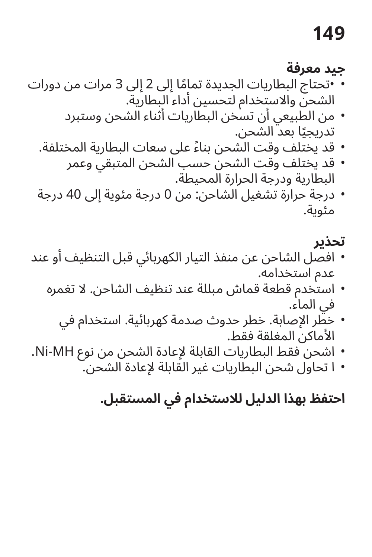### **149**

#### **جيد معرفة**

- ً •تحتاج البطاريات الجديدة تماما إىل 2 إىل 3 مرات من دورات الشحن واالستخدام لتحسين أداء البطارية.
	- من الطبيعي أن تسخن البطاريات أثناء الشحن وستبرد ً تدريجيا بعد الشحن.
	- ً قد يختلف وقت الشحن بناء عىل سعات البطارية المختلفة.
		- قد يختلف وقت الشحن حسب الشحن المتبقي وعمر البطارية ودرجة الحرارة المحيطة.
	- درجة حرارة تشغيل الشاحن: من 0 درجة مئوية إىل 40 درجة مئوية.

#### **تحذير**

- .<br>افصاً الشاحن عن منفذ التيار الكهربائي قبل التنظيف أو عند عدم استخدامه.
	- استخدم قطعة قماش مبللة عند تنظيف الشاحن. ال تغمره في الماء.
		- خطر اإلصابة. خطر حدوث صدمة كهربائية. استخدام في الأماكن المغلقة فقط.
- اشحن فقط البطاريات القابلة إلعادة الشحن من نوع MH-Ni.
	- ا تحاول شحن البطاريات غير القابلة إلعادة الشحن.

### **احتفظ بهذا الدليل لالستخدام في المستقبل.**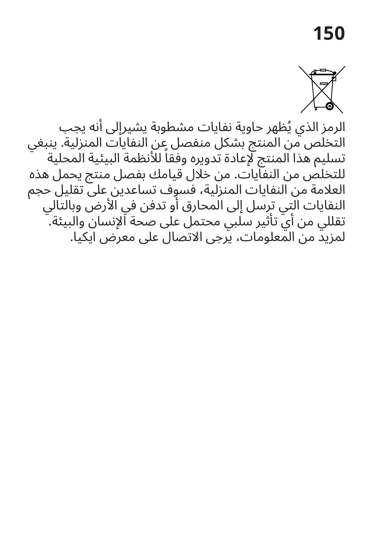# **150**



الرمز الذي يُظهر حاوية نفايات مشطوبة يشيرإلى انه يجب التخلص من المنتج بشكل منفصل عن النفايات المنزلية. ينبغي نسليم هذا المنتج لإعادة تدويره وفقاً للأنظمة البيئية المحلية للتخلص من النفايات. من خالل قيامك بفصل منتج يحمل هذه العالمة من النفايات المنزلية، فسوف تساعدين عىل تقليل حجم النفايات التي ترسل إلى المحارق أو تدفن في الأرض وبالتالي<br>النفايات التي ترسل إلى المحارق أو تدفن في الأرض وبالتالي تقللي من أي تأثير سلبي محتمل عىل صحة اإلنسان والبيئة. .<br>لمزيد من المعلومات، يرجى الاتصال على معرض ايكيا.